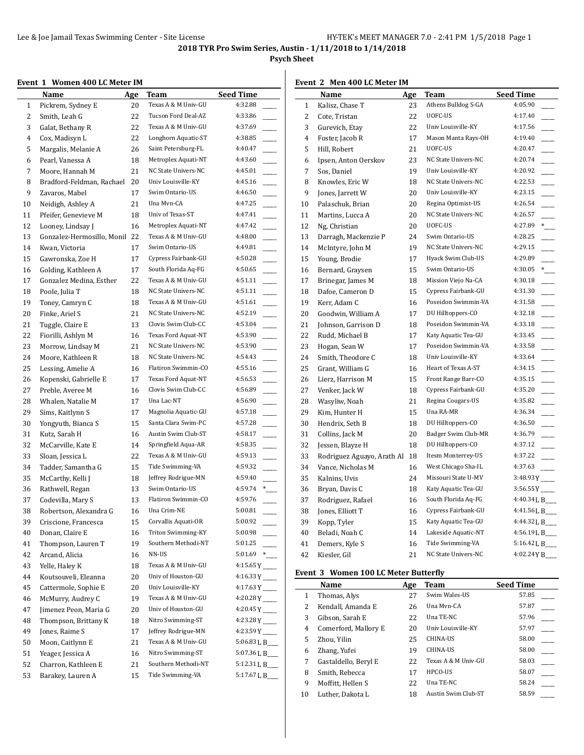**Psych Sheet**

## **Event 1 Women 400 LC Meter IM**

|    | momen too no meter mi<br>Name | Age | <b>Team</b>         | <b>Seed Time</b>           |
|----|-------------------------------|-----|---------------------|----------------------------|
| 1  | Pickrem, Sydney E             | 20  | Texas A & M Univ-GU | 4:32.88                    |
| 2  | Smith, Leah G                 | 22  | Tucson Ford Deal-AZ | 4:33.86                    |
| 3  | Galat, Bethany R              | 22  | Texas A & M Univ-GU | 4:37.69                    |
| 4  | Cox, Madisyn L                | 22  | Longhorn Aquatic-ST | 4:38.85                    |
| 5  | Margalis, Melanie A           | 26  | Saint Petersburg-FL | 4:40.47                    |
| 6  | Pearl, Vanessa A              | 18  | Metroplex Aquati-NT | 4:43.60                    |
| 7  | Moore, Hannah M               | 21  | NC State Univers-NC | 4:45.01                    |
| 8  | Bradford-Feldman, Rachael     | 20  | Univ Louisville-KY  | 4:45.16                    |
| 9  | Zavaros, Mabel                | 17  | Swim Ontario-US     | 4:46.50                    |
| 10 | Neidigh, Ashley A             | 21  | Una Myn-CA          | 4:47.25                    |
| 11 | Pfeifer, Genevieve M          | 18  | Univ of Texas-ST    | 4:47.41                    |
| 12 | Looney, Lindsay J             | 16  | Metroplex Aquati-NT | 4:47.42                    |
| 13 | Gonzalez-Hermosillo, Monil    | 22  | Texas A & M Univ-GU | 4:48.00                    |
| 14 | Kwan, Victoria                | 17  | Swim Ontario-US     | 4:49.81                    |
| 15 | Gawronska, Zoe H              | 17  | Cypress Fairbank-GU | 4:50.28                    |
| 16 | Golding, Kathleen A           | 17  | South Florida Aq-FG | 4:50.65                    |
| 17 | Gonzalez Medina, Esther       | 22  | Texas A & M Univ-GU | 4:51.11                    |
| 18 | Poole, Julia T                | 18  | NC State Univers-NC | 4:51.11                    |
| 19 | Toney, Camryn C               | 18  | Texas A & M Univ-GU | 4:51.61                    |
| 20 | Finke, Ariel S                | 21  | NC State Univers-NC | 4:52.19                    |
| 21 | Tuggle, Claire E              | 13  | Clovis Swim Club-CC | 4:53.04                    |
| 22 | Fiorilli, Ashlyn M            | 16  | Texas Ford Aquat-NT | 4:53.90                    |
| 23 | Morrow, Lindsay M             | 21  | NC State Univers-NC | 4:53.90                    |
| 24 | Moore, Kathleen R             | 18  | NC State Univers-NC | 4:54.43                    |
| 25 | Lessing, Amelie A             | 16  | Flatiron Swimmin-CO | 4:55.16                    |
| 26 | Kopenski, Gabrielle E         | 17  | Texas Ford Aquat-NT | 4:56.53                    |
| 27 | Preble, Averee M              | 16  | Clovis Swim Club-CC | 4:56.89                    |
| 28 | Whalen, Natalie M             | 17  | Una Lac-NT          | 4:56.90                    |
| 29 | Sims, Kaitlynn S              | 17  | Magnolia Aquatic-GU | 4:57.18                    |
| 30 | Yongyuth, Bianca S            | 15  | Santa Clara Swim-PC | 4:57.28                    |
| 31 | Kutz, Sarah H                 | 16  | Austin Swim Club-ST | 4:58.17                    |
| 32 | McCarville, Kate E            | 14  | Springfield Aqua-AR | 4:58.35                    |
| 33 | Sloan, Jessica L              | 22  | Texas A & M Univ-GU | 4:59.13                    |
| 34 | Tadder, Samantha G            | 15  | Tide Swimming-VA    | 4:59.32                    |
| 35 | McCarthy, Kelli J             | 18  | Jeffrey Rodrigue-MN | 4:59.40                    |
| 36 | Rathwell, Regan               | 13  | Swim Ontario-US     | 4:59.74<br>$\ast$          |
| 37 | Codevilla, Mary S             | 13  | Flatiron Swimmin-CO | 4:59.76                    |
| 38 | Robertson, Alexandra G        | 16  | Una Crim-NE         | 5:00.81                    |
| 39 | Criscione, Francesca          | 15  | Corvallis Aquati-OR | 5:00.92                    |
| 40 | Donan, Claire E               | 16  | Triton Swimming-KY  | 5:00.98                    |
| 41 | Thompson, Lauren T            | 19  | Southern Methodi-NT | 5:01.25                    |
| 42 | Arcand, Alicia                | 16  | NN-US               | 5:01.69<br>$*$             |
| 43 | Yelle, Haley K                | 18  | Texas A & M Univ-GU | $4:15.65Y$ <sub>----</sub> |
| 44 | Koutsouveli, Eleanna          | 20  | Univ of Houston-GU  | $4:16.33Y$ <sub>---</sub>  |
| 45 | Cattermole, Sophie E          | 20  | Univ Louisville-KY  | $4:17.63Y$ <sub>---</sub>  |
| 46 | McMurry, Audrey C             | 19  | Texas A & M Univ-GU | $4:20.28Y$ <sub>---</sub>  |
| 47 | Jimenez Peon, Maria G         | 20  | Univ of Houston-GU  | $4:20.45Y$ <sub>----</sub> |
| 48 | Thompson, Brittany K          | 18  | Nitro Swimming-ST   | $4:23.28Y$ <sub>----</sub> |
| 49 | Jones, Raime S                | 17  | Jeffrey Rodrigue-MN | $4:23.59Y$ <sub>---</sub>  |
| 50 | Moon, Caitlynn E              | 21  | Texas A & M Univ-GU | 5:06.83 L B                |
| 51 | Yeager, Jessica A             | 16  | Nitro Swimming-ST   | 5:07.36 L B__              |
| 52 | Charron, Kathleen E           | 21  | Southern Methodi-NT | 5:12.31 L B                |
| 53 | Barakey, Lauren A             | 15  | Tide Swimming-VA    | 5:17.67 L B___             |
|    |                               |     |                     |                            |

#### **Event 2 Men 400 LC Meter IM**

|    | <u>Name</u>                | <u>Age</u> | <b>Team</b>         | <b>Seed Time</b>           |
|----|----------------------------|------------|---------------------|----------------------------|
| 1  | Kalisz, Chase T            | 23         | Athens Bulldog S-GA | 4:05.90                    |
| 2  | Cote, Tristan              | 22         | UOFC-US             | 4:17.40                    |
| 3  | Gurevich, Etay             | 22         | Univ Louisville-KY  | 4:17.56                    |
| 4  | Foster, Jacob R            | 17         | Mason Manta Rays-OH | 4:19.40                    |
| 5  | Hill, Robert               | 21         | UOFC-US             | 4:20.47                    |
| 6  | Ipsen, Anton Oerskov       | 23         | NC State Univers-NC | 4:20.74                    |
| 7  | Sos, Daniel                | 19         | Univ Louisville-KY  | 4:20.92                    |
| 8  | Knowles, Eric W            | 18         | NC State Univers-NC | 4:22.53                    |
| 9  | Jones, Jarrett W           | 20         | Univ Louisville-KY  | 4:23.15                    |
| 10 | Palaschuk, Brian           | 20         | Regina Optimist-US  | 4:26.54                    |
| 11 | Martins, Lucca A           | 20         | NC State Univers-NC | 4:26.57                    |
| 12 | Ng, Christian              | 20         | UOFC-US             | 4:27.89<br>$\overline{\ }$ |
| 13 | Darragh, Mackenzie P       | 24         | Swim Ontario-US     | 4:28.25                    |
| 14 | McIntyre, John M           | 19         | NC State Univers-NC | 4:29.15                    |
| 15 | Young, Brodie              | 17         | Hyack Swim Club-US  | 4:29.89                    |
| 16 | Bernard, Graysen           | 15         | Swim Ontario-US     | 4:30.05<br>$\ast$          |
| 17 | Brinegar, James M          | 18         | Mission Viejo Na-CA | 4:30.18                    |
| 18 | Dafoe, Cameron D           | 15         | Cypress Fairbank-GU | 4:31.30                    |
| 19 | Kerr, Adam C               | 16         | Poseidon Swimmin-VA | 4:31.58                    |
| 20 | Goodwin, William A         | 17         | DU Hilltoppers-CO   | 4:32.18                    |
| 21 | Johnson, Garrison D        | 18         | Poseidon Swimmin-VA | 4:33.18                    |
| 22 | Rudd, Michael B            | 17         | Katy Aquatic Tea-GU | 4:33.45                    |
| 23 | Hogan, Sean W              | 17         | Poseidon Swimmin-VA | 4:33.58                    |
| 24 | Smith, Theodore C          | 18         | Univ Louisville-KY  | 4:33.64                    |
| 25 | Grant, William G           | 16         | Heart of Texas A-ST | 4:34.15                    |
| 26 | Lierz, Harrison M          | 15         | Front Range Barr-CO | 4:35.15                    |
| 27 | Venker, Jack W             | 18         | Cypress Fairbank-GU | 4:35.20                    |
| 28 | Wasyliw, Noah              | 21         | Regina Cougars-US   | 4:35.82                    |
| 29 | Kim, Hunter H              | 15         | Una RA-MR           | 4:36.34                    |
| 30 | Hendrix, Seth B            | 18         | DU Hilltoppers-CO   | 4:36.50                    |
| 31 | Collins, Jack M            | 20         | Badger Swim Club-MR | 4:36.79                    |
| 32 | Jessen, Blayze H           | 18         | DU Hilltoppers-CO   | 4:37.12                    |
| 33 | Rodriguez Aguayo, Arath Al | 18         | Itesm Monterrey-US  | 4:37.22                    |
| 34 | Vance, Nicholas M          | 16         | West Chicago Sha-IL | 4:37.63                    |
| 35 | Kalnins, Uvis              | 24         | Missouri State U-MV | $3:48.93Y$ <sub>---</sub>  |
| 36 | Bryan, Davis C             | 18         | Katy Aquatic Tea-GU | $3:56.55Y$ <sub>---</sub>  |
| 37 | Rodriguez, Rafael          | 16         | South Florida Aq-FG | 4:40.34 L B_               |
| 38 | Jones, Elliott T           | 16         | Cypress Fairbank-GU | 4:41.56 L B___             |
| 39 | Kopp, Tyler                | 15         | Katy Aquatic Tea-GU | 4:44.32 L B___             |
| 40 | Beladi, Noah C             | 14         | Lakeside Aquatic-NT | 4:56.19 L B___             |
| 41 | Demers, Kyle S             | 16         | Tide Swimming-VA    | 5:16.42 L B                |
| 42 | Kiesler, Gil               | 21         | NC State Univers-NC | 4:02.24 Y B___             |
|    |                            |            |                     |                            |

## **Event 3 Women 100 LC Meter Butterfly**

|    | Name                 | Age | Team                | <b>Seed Time</b> |
|----|----------------------|-----|---------------------|------------------|
| 1  | Thomas, Alys         | 27  | Swim Wales-US       | 57.85            |
| 2  | Kendall, Amanda E    | 26  | Una Myn-CA          | 57.87            |
| 3  | Gibson, Sarah E      | 22  | Una TE-NC           | 57.96            |
| 4  | Comerford, Mallory E | 20  | Univ Louisville-KY  | 57.97            |
| 5  | Zhou, Yilin          | 25  | <b>CHINA-US</b>     | 58.00            |
| 6  | Zhang, Yufei         | 19  | <b>CHINA-US</b>     | 58.00            |
| 7  | Gastaldello, Beryl E | 22  | Texas A & M Univ-GU | 58.03            |
| 8  | Smith, Rebecca       | 17  | HPCO-US             | 58.07            |
| 9  | Moffitt, Hellen S    | 22  | Una TE-NC           | 58.24            |
| 10 | Luther, Dakota L     | 18  | Austin Swim Club-ST | 58.59            |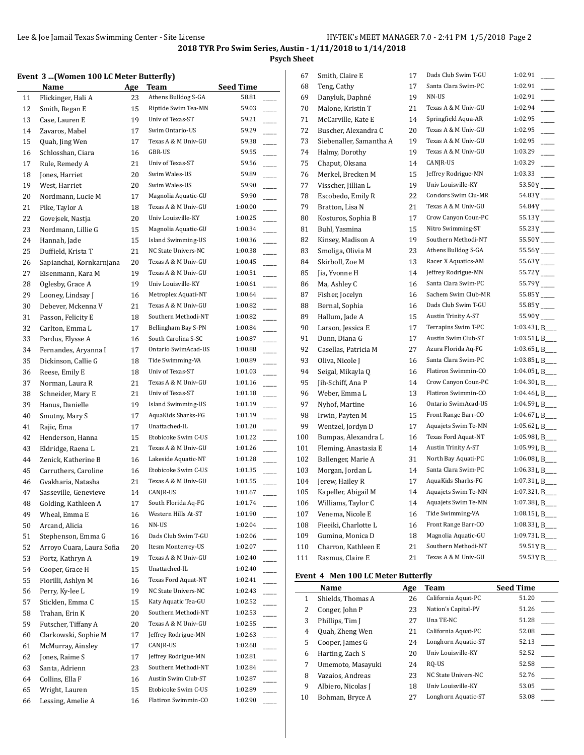**Psych Sheet**

#### **Event 3 ...(Women 100 LC Meter Butterfly)**

|    | romen 100 Be meter Butterny J |            |                     |                  |  |
|----|-------------------------------|------------|---------------------|------------------|--|
|    | Name                          | <u>Age</u> | <b>Team</b>         | <b>Seed Time</b> |  |
| 11 | Flickinger, Hali A            | 23         | Athens Bulldog S-GA | 58.81            |  |
| 12 | Smith, Regan E                | 15         | Riptide Swim Tea-MN | 59.03            |  |
| 13 | Case, Lauren E                | 19         | Univ of Texas-ST    | 59.21            |  |
| 14 | Zavaros, Mabel                | 17         | Swim Ontario-US     | 59.29            |  |
| 15 | Quah, Jing Wen                | 17         | Texas A & M Univ-GU | 59.38            |  |
| 16 | Schlosshan, Ciara             | 16         | GBR-US              | 59.55            |  |
| 17 | Rule, Remedy A                | 21         | Univ of Texas-ST    | 59.56            |  |
| 18 | Jones, Harriet                | 20         | Swim Wales-US       | 59.89            |  |
| 19 | West, Harriet                 | 20         | Swim Wales-US       | 59.90            |  |
| 20 | Nordmann, Lucie M             | 17         | Magnolia Aquatic-GU | 59.90            |  |
| 21 | Pike, Taylor A                | 18         | Texas A & M Univ-GU | 1:00.00          |  |
| 22 | Govejsek, Nastja              | 20         | Univ Louisville-KY  | 1:00.25          |  |
| 23 | Nordmann, Lillie G            | 15         | Magnolia Aquatic-GU | 1:00.34          |  |
| 24 | Hannah, Jade                  | 15         | Island Swimming-US  | 1:00.36          |  |
| 25 | Duffield, Krista T            | 21         | NC State Univers-NC | 1:00.38          |  |
| 26 | Sapianchai, Kornkarnjana      | 20         | Texas A & M Univ-GU | 1:00.45          |  |
| 27 | Eisenmann, Kara M             | 19         | Texas A & M Univ-GU | 1:00.51          |  |
| 28 | Oglesby, Grace A              | 19         | Univ Louisville-KY  | 1:00.61          |  |
| 29 | Looney, Lindsay J             | 16         | Metroplex Aquati-NT | 1:00.64          |  |
| 30 | Debever, Mckenna V            | 21         | Texas A & M Univ-GU | 1:00.82          |  |
| 31 | Passon, Felicity E            | 18         | Southern Methodi-NT | 1:00.82          |  |
| 32 | Carlton, Emma L               | 17         | Bellingham Bay S-PN | 1:00.84          |  |
| 33 | Pardus, Elysse A              | 16         | South Carolina S-SC | 1:00.87          |  |
| 34 | Fernandes, Aryanna I          | 17         | Ontario SwimAcad-US | 1:00.88          |  |
| 35 | Dickinson, Callie G           | 18         | Tide Swimming-VA    | 1:00.89          |  |
| 36 | Reese, Emily E                | 18         | Univ of Texas-ST    | 1:01.03          |  |
| 37 | Norman, Laura R               | 21         | Texas A & M Univ-GU | 1:01.16          |  |
| 38 | Schneider, Mary E             | 21         | Univ of Texas-ST    | 1:01.18          |  |
| 39 | Hanus, Danielle               | 19         | Island Swimming-US  | 1:01.19          |  |
|    |                               | 17         | AquaKids Sharks-FG  | 1:01.19          |  |
| 40 | Smutny, Mary S                | 17         | Unattached-IL       | 1:01.20          |  |
| 41 | Rajic, Ema                    |            | Etobicoke Swim C-US | 1:01.22          |  |
| 42 | Henderson, Hanna              | 15         |                     |                  |  |
| 43 | Eldridge, Raena L             | 21         | Texas A & M Univ-GU | 1:01.26          |  |
| 44 | Zenick, Katherine B           | 16         | Lakeside Aquatic-NT | 1:01.28          |  |
| 45 | Carruthers, Caroline          | 16         | Etobicoke Swim C-US | 1:01.35          |  |
| 46 | Gvakharia, Natasha            | 21         | Texas A & M Univ-GU | 1:01.55          |  |
| 47 | Sasseville, Genevieve         | 14         | CANJR-US            | 1:01.67          |  |
| 48 | Golding, Kathleen A           | 17         | South Florida Aq-FG | 1:01.74          |  |
| 49 | Wheal, Emma E                 | 16         | Western Hills At-ST | 1:01.90          |  |
| 50 | Arcand, Alicia                | 16         | NN-US               | 1:02.04          |  |
| 51 | Stephenson, Emma G            | 16         | Dads Club Swim T-GU | 1:02.06          |  |
| 52 | Arroyo Cuara, Laura Sofia     | 20         | Itesm Monterrey-US  | 1:02.07          |  |
| 53 | Portz, Kathryn A              | 19         | Texas A & M Univ-GU | 1:02.40          |  |
| 54 | Cooper, Grace H               | 15         | Unattached-IL       | 1:02.40          |  |
| 55 | Fiorilli, Ashlyn M            | 16         | Texas Ford Aquat-NT | 1:02.41          |  |
| 56 | Perry, Ky-lee L               | 19         | NC State Univers-NC | 1:02.43          |  |
| 57 | Sticklen, Emma C              | 15         | Katy Aquatic Tea-GU | 1:02.52          |  |
| 58 | Trahan. Erin K                | 20         | Southern Methodi-NT | 1:02.53          |  |
| 59 | Futscher, Tiffany A           | 20         | Texas A & M Univ-GU | 1:02.55          |  |
| 60 | Clarkowski, Sophie M          | 17         | Jeffrey Rodrigue-MN | 1:02.63          |  |
| 61 | McMurray, Ainsley             | 17         | CANJR-US            | 1:02.68          |  |
| 62 | Jones, Raime S                | 17         | Jeffrey Rodrigue-MN | 1:02.81          |  |
| 63 | Santa, Adrienn                | 23         | Southern Methodi-NT | 1:02.84          |  |
| 64 | Collins, Ella F               | 16         | Austin Swim Club-ST | 1:02.87          |  |
| 65 | Wright, Lauren                | 15         | Etobicoke Swim C-US | 1:02.89          |  |
| 66 | Lessing, Amelie A             | 16         | Flatiron Swimmin-CO | 1:02.90          |  |
|    |                               |            |                     |                  |  |

| 67  | Smith, Claire E         | 17 | Dads Club Swim T-GU        | 1:02.91                 |
|-----|-------------------------|----|----------------------------|-------------------------|
| 68  | Teng, Cathy             | 17 | Santa Clara Swim-PC        | 1:02.91                 |
| 69  | Danyluk, Daphné         | 19 | NN-US                      | 1:02.91                 |
| 70  | Malone, Kristin T       | 21 | Texas A & M Univ-GU        | 1:02.94                 |
| 71  | McCarville, Kate E      | 14 | Springfield Aqua-AR        | 1:02.95                 |
| 72  | Buscher, Alexandra C    | 20 | Texas A & M Univ-GU        | 1:02.95                 |
| 73  | Siebenaller, Samantha A | 19 | Texas A & M Univ-GU        | 1:02.95                 |
| 74  | Halmy, Dorothy          | 19 | Texas A & M Univ-GU        | 1:03.29                 |
| 75  | Chaput, Oksana          | 14 | CANJR-US                   | 1:03.29                 |
| 76  | Merkel, Brecken M       | 15 | Jeffrey Rodrigue-MN        | 1:03.33                 |
| 77  | Visscher, Jillian L     | 19 | Univ Louisville-KY         | $53.50Y$ <sub>---</sub> |
| 78  | Escobedo, Emily R       | 22 | Condors Swim Clu-MR        | $54.83Y$ —              |
| 79  | Bratton, Lisa N         | 21 | Texas A & M Univ-GU        | $54.84Y$ <sub>---</sub> |
| 80  | Kosturos, Sophia B      | 17 | Crow Canyon Coun-PC        | $55.13Y$ <sub>---</sub> |
| 81  | Buhl, Yasmina           | 15 | Nitro Swimming-ST          | $55.23Y$ <sub>---</sub> |
| 82  | Kinsey, Madison A       | 19 | Southern Methodi-NT        | 55.50Y                  |
| 83  | Smoliga, Olivia M       | 23 | Athens Bulldog S-GA        | $55.56Y$ <sub>---</sub> |
| 84  | Skirboll, Zoe M         | 13 | Racer X Aquatics-AM        | $55.63Y$ <sub>---</sub> |
| 85  | Jia, Yvonne H           | 14 | Jeffrey Rodrigue-MN        | 55.72 Y                 |
| 86  | Ma, Ashley C            | 16 | Santa Clara Swim-PC        | $55.79Y$ <sub>---</sub> |
| 87  | Fisher, Jocelyn         | 16 | Sachem Swim Club-MR        | $55.85Y$ <sub>---</sub> |
| 88  | Bernal, Sophia          | 16 | Dads Club Swim T-GU        | $55.85Y$ <sub>---</sub> |
| 89  | Hallum, Jade A          | 15 | <b>Austin Trinity A-ST</b> | 55.90Y                  |
| 90  | Larson, Jessica E       | 17 | Terrapins Swim T-PC        | 1:03.43 L B             |
| 91  | Dunn, Diana G           | 17 | Austin Swim Club-ST        | 1:03.51 L B             |
| 92  | Casellas, Patricia M    | 27 | Azura Florida Aq-FG        | 1:03.65 L B             |
| 93  | Oliva, Nicole J         | 16 | Santa Clara Swim-PC        | 1:03.85 L B             |
| 94  | Seigal, Mikayla Q       | 16 | Flatiron Swimmin-CO        | 1:04.05 L B             |
| 95  | Jih-Schiff, Ana P       | 14 | Crow Canyon Coun-PC        | 1:04.30 L B_            |
| 96  | Weber, Emma L           | 13 | Flatiron Swimmin-CO        | 1:04.46 L B             |
| 97  | Nyhof, Martine          | 16 | Ontario SwimAcad-US        | 1:04.59 L B_            |
| 98  | Irwin, Payten M         | 15 | Front Range Barr-CO        | 1:04.67 L B             |
| 99  | Wentzel, Jordyn D       | 17 | Aquajets Swim Te-MN        | 1:05.62 L B             |
| 100 | Bumpas, Alexandra L     | 16 | Texas Ford Aquat-NT        | 1:05.98 L B             |
| 101 | Fleming, Anastasia E    | 14 | <b>Austin Trinity A-ST</b> | 1:05.99 L B             |
| 102 | Ballenger, Marie A      | 31 | North Bay Aquati-PC        | 1:06.08 L B             |
| 103 | Morgan, Jordan L        | 14 | Santa Clara Swim-PC        | 1:06.33 L B             |
| 104 | Jerew, Hailey R         | 17 | AquaKids Sharks-FG         | 1:07.31 L B             |
| 105 | Kapeller, Abigail M     | 14 | Aquajets Swim Te-MN        | 1:07.32 L B             |
| 106 | Williams, Taylor C      | 14 | Aquajets Swim Te-MN        | 1:07.38 L B             |
| 107 | Venema, Nicole E        | 16 | Tide Swimming-VA           | 1:08.15 L B_            |
| 108 | Fieeiki, Charlotte L    | 16 | Front Range Barr-CO        | 1:08.33 L B             |
| 109 | Gumina, Monica D        | 18 | Magnolia Aquatic-GU        | 1:09.73 L B             |
| 110 | Charron, Kathleen E     | 21 | Southern Methodi-NT        | 59.51YB_                |
| 111 | Rasmus, Claire E        | 21 | Texas A & M Univ-GU        | 59.53YB_                |
|     |                         |    |                            |                         |

### **Event 4 Men 100 LC Meter Butterfly**

|    | Name               | Age | Team                | <b>Seed Time</b> |
|----|--------------------|-----|---------------------|------------------|
| 1  | Shields, Thomas A  | 26  | California Aquat-PC | 51.20            |
| 2  | Conger, John P     | 23  | Nation's Capital-PV | 51.26            |
| 3  | Phillips, Tim J    | 27  | Una TE-NC           | 51.28            |
| 4  | Quah, Zheng Wen    | 21  | California Aquat-PC | 52.08            |
| 5  | Cooper, James G    | 24  | Longhorn Aquatic-ST | 52.13            |
| 6  | Harting, Zach S    | 20  | Univ Louisville-KY  | 52.52            |
| 7  | Umemoto, Masayuki  | 24  | RO-US               | 52.58            |
| 8  | Vazaios, Andreas   | 23  | NC State Univers-NC | 52.76            |
| 9  | Albiero, Nicolas J | 18  | Univ Louisville-KY  | 53.05            |
| 10 | Bohman, Bryce A    | 27  | Longhorn Aquatic-ST | 53.08            |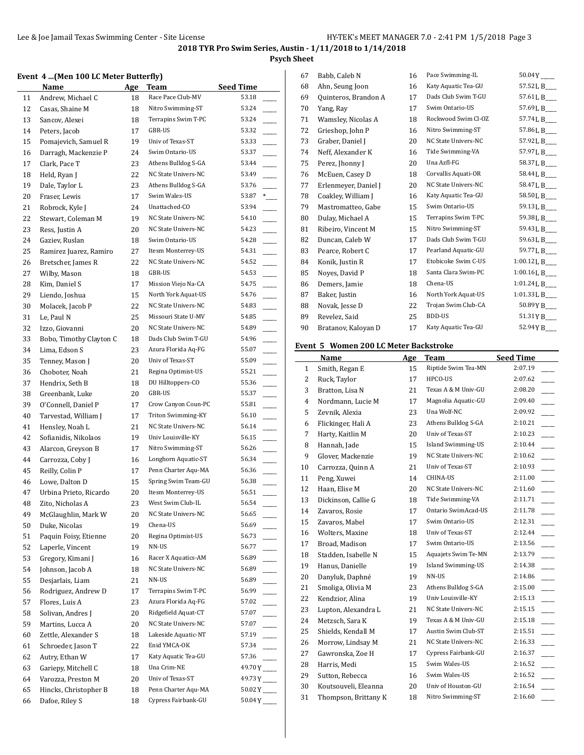**Psych Sheet**

## **Event 4 ...(Men 100 LC Meter Butterfly)**

|    | Event 4 (Men 100 LC Meter Butterny) |          |                     |                          |
|----|-------------------------------------|----------|---------------------|--------------------------|
|    | Name                                | Age      | Team                | <b>Seed Time</b>         |
| 11 | Andrew, Michael C                   | 18       | Race Pace Club-MV   | 53.18                    |
| 12 | Casas, Shaine M                     | 18       | Nitro Swimming-ST   | 53.24                    |
| 13 | Sancov, Alexei                      | 18       | Terrapins Swim T-PC | 53.24                    |
| 14 | Peters, Jacob                       | 17       | GBR-US              | 53.32                    |
| 15 | Pomajevich, Samuel R                | 19       | Univ of Texas-ST    | 53.33                    |
| 16 | Darragh, Mackenzie P                | 24       | Swim Ontario-US     | 53.37                    |
| 17 | Clark, Pace T                       | 23       | Athens Bulldog S-GA | 53.44                    |
| 18 | Held, Ryan J                        | 22       | NC State Univers-NC | 53.49                    |
| 19 | Dale, Taylor L                      | 23       | Athens Bulldog S-GA | 53.76                    |
| 20 | Fraser, Lewis                       | 17       | Swim Wales-US       | 53.87<br>$*$             |
| 21 | Robrock, Kyle J                     | 24       | Unattached-CO       | 53.94                    |
| 22 | Stewart, Coleman M                  | 19       | NC State Univers-NC | 54.10                    |
| 23 | Ress, Justin A                      | 20       | NC State Univers-NC | 54.23                    |
| 24 | Gaziev, Ruslan                      | 18       | Swim Ontario-US     | 54.28                    |
| 25 | Ramirez Juarez, Ramiro              | 27       | Itesm Monterrey-US  | 54.31                    |
| 26 | Bretscher, James R                  | 22       | NC State Univers-NC | 54.52                    |
| 27 | Wilby, Mason                        | 18       | GBR-US              | 54.53                    |
| 28 | Kim, Daniel S                       | 17       | Mission Viejo Na-CA | 54.75                    |
| 29 | Liendo, Joshua                      | 15       | North York Aquat-US | 54.76                    |
| 30 | Molacek, Jacob P                    | 22       | NC State Univers-NC | 54.83                    |
| 31 | Le, Paul N                          | 25       | Missouri State U-MV | 54.85                    |
| 32 | Izzo, Giovanni                      | 20       | NC State Univers-NC | 54.89                    |
| 33 | Bobo, Timothy Clayton C             | 18       | Dads Club Swim T-GU | 54.96                    |
| 34 | Lima, Edson S                       | 23       | Azura Florida Aq-FG | 55.07                    |
| 35 | Tenney, Mason J                     | 20       | Univ of Texas-ST    | 55.09                    |
| 36 | Choboter, Noah                      | 21       | Regina Optimist-US  | 55.21                    |
| 37 | Hendrix, Seth B                     | 18       | DU Hilltoppers-CO   | 55.36                    |
| 38 | Greenbank, Luke                     | 20       | GBR-US              | 55.37                    |
| 39 | O'Connell, Daniel P                 | 17       | Crow Canyon Coun-PC | 55.81                    |
| 40 | Tarvestad, William J                | 17       | Triton Swimming-KY  | 56.10                    |
| 41 | Hensley, Noah L                     | 21       | NC State Univers-NC | 56.14                    |
| 42 | Sofianidis, Nikolaos                | 19       | Univ Louisville-KY  | 56.15                    |
| 43 | Alarcon, Greyson B                  | 17       | Nitro Swimming-ST   | 56.26                    |
| 44 | Carrozza, Coby J                    | 16       | Longhorn Aquatic-ST | 56.34                    |
| 45 | Reilly, Colin P                     | 17       | Penn Charter Aqu-MA | 56.36                    |
| 46 | Lowe, Dalton D                      | 15       | Spring Swim Team-GU | 56.38                    |
| 47 | Urbina Prieto, Ricardo              | 20       | Itesm Monterrey-US  | 56.51                    |
| 48 | Zito, Nicholas A                    | 23       | West Swim Club-IL   | 56.54                    |
| 49 | McGlaughlin, Mark W                 | 20       | NC State Univers-NC | 56.65                    |
| 50 | Duke, Nicolas                       | 19       | Chena-US            | 56.69                    |
| 51 | Paquin Foisy, Etienne               | 20       | Regina Optimist-US  | 56.73                    |
| 52 | Laperle, Vincent                    | 19       | NN-US               | 56.77                    |
| 53 | Gregory, Kimani J                   | 16       | Racer X Aquatics-AM | 56.89                    |
| 54 | Johnson, Jacob A                    | 18       | NC State Univers-NC | 56.89                    |
| 55 | Desjarlais, Liam                    |          | NN-US               | 56.89                    |
| 56 | Rodriguez, Andrew D                 | 21<br>17 | Terrapins Swim T-PC | 56.99                    |
|    | Flores, Luis A                      |          | Azura Florida Aq-FG | 57.02                    |
| 57 |                                     | 23       | Ridgefield Aquat-CT | 57.07                    |
| 58 | Solivan, Andres J                   | 20       | NC State Univers-NC | 57.07                    |
| 59 | Martins, Lucca A                    | 20       |                     |                          |
| 60 | Zettle, Alexander S                 | 18       | Lakeside Aquatic-NT | 57.19                    |
| 61 | Schroeder, Jason T                  | 22       | Enid YMCA-OK        | 57.34                    |
| 62 | Autry, Ethan W                      | 17       | Katy Aquatic Tea-GU | 57.36                    |
| 63 | Gariepy, Mitchell C                 | 18       | Una Crim-NE         | $49.70Y$ <sub>---</sub>  |
| 64 | Varozza, Preston M                  | 20       | Univ of Texas-ST    | $49.73Y$ <sub>---</sub>  |
| 65 | Hincks, Christopher B               | 18       | Penn Charter Aqu-MA | $50.02Y$ <sub>---</sub>  |
| 66 | Dafoe, Riley S                      | 18       | Cypress Fairbank-GU | $50.04Y$ <sub>----</sub> |

| 67 | Babb, Caleb N        | 16 | Pace Swimming-IL    | $50.04Y$ <sub>----</sub> |
|----|----------------------|----|---------------------|--------------------------|
| 68 | Ahn, Seung Joon      | 16 | Katy Aquatic Tea-GU | 57.52 L B__              |
| 69 | Quinteros, Brandon A | 17 | Dads Club Swim T-GU | 57.61 L B___             |
| 70 | Yang, Ray            | 17 | Swim Ontario-US     | 57.69 L B___             |
| 71 | Wamsley, Nicolas A   | 18 | Rockwood Swim Cl-OZ | 57.74 L B___             |
| 72 | Grieshop, John P     | 16 | Nitro Swimming-ST   | 57.86 L B_               |
| 73 | Graber, Daniel J     | 20 | NC State Univers-NC | 57.92 L B___             |
| 74 | Neff, Alexander K    | 16 | Tide Swimming-VA    | 57.97 L B___             |
| 75 | Perez, Jhonny J      | 20 | Una Azfl-FG         | 58.37 L B___             |
| 76 | McEuen, Casey D      | 18 | Corvallis Aquati-OR | 58.44 L B___             |
| 77 | Erlenmeyer, Daniel J | 20 | NC State Univers-NC | 58.47 L B__              |
| 78 | Coakley, William J   | 16 | Katy Aquatic Tea-GU | 58.50 L B__              |
| 79 | Mastromatteo, Gabe   | 15 | Swim Ontario-US     | 59.13 L B___             |
| 80 | Dulay, Michael A     | 15 | Terrapins Swim T-PC | 59.38LB__                |
| 81 | Ribeiro, Vincent M   | 15 | Nitro Swimming-ST   | 59.43 L B___             |
| 82 | Duncan, Caleb W      | 17 | Dads Club Swim T-GU | 59.63 L B___             |
| 83 | Pearce, Robert C     | 17 | Pearland Aquatic-GU | 59.77 L B___             |
| 84 | Konik, Justin R      | 17 | Etobicoke Swim C-US | $1:00.12$ L B_           |
| 85 | Noves, David P       | 18 | Santa Clara Swim-PC | $1:00.16$ LB_            |
| 86 | Demers, Jamie        | 18 | Chena-US            | 1:01.24 L B___           |
| 87 | Baker, Justin        | 16 | North York Aquat-US | 1:01.33 L B              |
| 88 | Novak, Jesse D       | 22 | Trojan Swim Club-CA | 50.89YB__                |
| 89 | Revelez, Said        | 25 | BDD-US              | 51.31YB_                 |
| 90 | Bratanov, Kaloyan D  | 17 | Katy Aquatic Tea-GU | 52.94 Y B___             |
|    |                      |    |                     |                          |

## **Event 5 Women 200 LC Meter Backstroke**

|              | Name                 | Age | <b>Team</b>               | <b>Seed Time</b> |
|--------------|----------------------|-----|---------------------------|------------------|
| $\mathbf{1}$ | Smith, Regan E       | 15  | Riptide Swim Tea-MN       | 2:07.19          |
| 2            | Ruck, Taylor         | 17  | HPCO-US                   | 2:07.62          |
| 3            | Bratton, Lisa N      | 21  | Texas A & M Univ-GU       | 2:08.20          |
| 4            | Nordmann, Lucie M    | 17  | Magnolia Aquatic-GU       | 2:09.40          |
| 5            | Zevnik, Alexia       | 23  | Una Wolf-NC               | 2:09.92          |
| 6            | Flickinger, Hali A   | 23  | Athens Bulldog S-GA       | 2:10.21          |
| 7            | Harty, Kaitlin M     | 20  | Univ of Texas-ST          | 2:10.23          |
| 8            | Hannah, Jade         | 15  | <b>Island Swimming-US</b> | 2:10.44          |
| 9            | Glover, Mackenzie    | 19  | NC State Univers-NC       | 2:10.62          |
| 10           | Carrozza, Quinn A    | 21  | Univ of Texas-ST          | 2:10.93          |
| 11           | Peng, Xuwei          | 14  | CHINA-US                  | 2:11.00          |
| 12           | Haan, Elise M        | 20  | NC State Univers-NC       | 2:11.60          |
| 13           | Dickinson, Callie G  | 18  | Tide Swimming-VA          | 2:11.71          |
| 14           | Zavaros, Rosie       | 17  | Ontario SwimAcad-US       | 2:11.78          |
| 15           | Zavaros, Mabel       | 17  | Swim Ontario-US           | 2:12.31          |
| 16           | Wolters, Maxine      | 18  | Univ of Texas-ST          | 2:12.44          |
| 17           | Broad, Madison       | 17  | Swim Ontario-US           | 2:13.56          |
| 18           | Stadden, Isabelle N  | 15  | Aquajets Swim Te-MN       | 2:13.79          |
| 19           | Hanus, Danielle      | 19  | Island Swimming-US        | 2:14.38          |
| 20           | Danyluk, Daphné      | 19  | NN-US                     | 2:14.86          |
| 21           | Smoliga, Olivia M    | 23  | Athens Bulldog S-GA       | 2:15.00          |
| 22           | Kendzior, Alina      | 19  | Univ Louisville-KY        | 2:15.13          |
| 23           | Lupton, Alexandra L  | 21  | NC State Univers-NC       | 2:15.15          |
| 24           | Metzsch, Sara K      | 19  | Texas A & M Univ-GU       | 2:15.18          |
| 25           | Shields, Kendall M   | 17  | Austin Swim Club-ST       | 2:15.51          |
| 26           | Morrow, Lindsay M    | 21  | NC State Univers-NC       | 2:16.33          |
| 27           | Gawronska, Zoe H     | 17  | Cypress Fairbank-GU       | 2:16.37          |
| 28           | Harris, Medi         | 15  | Swim Wales-US             | 2:16.52          |
| 29           | Sutton, Rebecca      | 16  | Swim Wales-US             | 2:16.52          |
| 30           | Koutsouveli, Eleanna | 20  | Univ of Houston-GU        | 2:16.54          |
| 31           | Thompson, Brittany K | 18  | Nitro Swimming-ST         | 2:16.60          |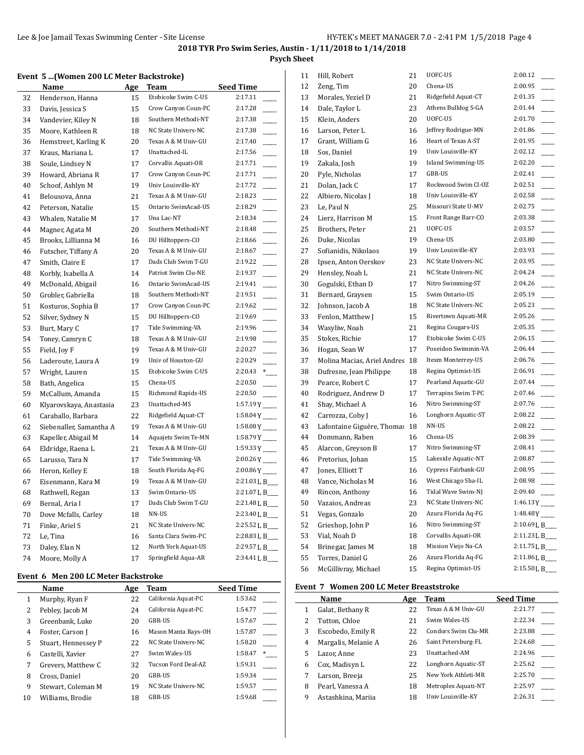## **Psych Sheet**

#### **Event 5 ...(Women 200 LC Meter Backstroke)**

|    | <b>Name</b>             | Age | Team                | Seed Time                           |
|----|-------------------------|-----|---------------------|-------------------------------------|
| 32 | Henderson, Hanna        | 15  | Etobicoke Swim C-US | 2:17.11                             |
| 33 | Davis, Jessica S        | 15  | Crow Canyon Coun-PC | 2:17.28                             |
| 34 | Vandevier, Kiley N      | 18  | Southern Methodi-NT | 2:17.38<br>$\overline{\phantom{a}}$ |
| 35 | Moore, Kathleen R       | 18  | NC State Univers-NC | 2:17.38                             |
| 36 | Hemstreet, Karling K    | 20  | Texas A & M Univ-GU | 2:17.40                             |
| 37 | Kraus, Mariana L        | 17  | Unattached-IL       | 2:17.56<br>$\overline{\phantom{a}}$ |
| 38 | Soule, Lindsey N        | 17  | Corvallis Aquati-OR | 2:17.71                             |
| 39 | Howard, Abriana R       | 17  | Crow Canyon Coun-PC | 2:17.71                             |
| 40 | Schoof, Ashlyn M        | 19  | Univ Louisville-KY  | 2:17.72                             |
| 41 | Belousova, Anna         | 21  | Texas A & M Univ-GU | 2:18.23                             |
| 42 | Peterson, Natalie       | 15  | Ontario SwimAcad-US | 2:18.29                             |
| 43 | Whalen, Natalie M       | 17  | Una Lac-NT          | 2:18.34                             |
| 44 | Magner, Agata M         | 20  | Southern Methodi-NT | 2:18.48<br>$\overline{\phantom{a}}$ |
| 45 | Brooks, Lillianna M     | 16  | DU Hilltoppers-CO   | 2:18.66                             |
| 46 | Futscher, Tiffany A     | 20  | Texas A & M Univ-GU | 2:18.67                             |
| 47 | Smith, Claire E         | 17  | Dads Club Swim T-GU | 2:19.22                             |
| 48 | Korbly, Isabella A      | 14  | Patriot Swim Clu-NE | 2:19.37                             |
| 49 | McDonald, Abigail       | 16  | Ontario SwimAcad-US | 2:19.41                             |
| 50 | Grobler, Gabriella      | 18  | Southern Methodi-NT | 2:19.51                             |
| 51 | Kosturos, Sophia B      | 17  | Crow Canyon Coun-PC | 2:19.62<br>$\overline{\phantom{a}}$ |
| 52 | Silver, Sydney N        | 15  | DU Hilltoppers-CO   | 2:19.69                             |
| 53 | Burt, Mary C            | 17  | Tide Swimming-VA    | 2:19.96                             |
| 54 | Toney, Camryn C         | 18  | Texas A & M Univ-GU | 2:19.98                             |
| 55 | Field, Joy F            | 19  | Texas A & M Univ-GU | 2:20.27                             |
| 56 | Laderoute, Laura A      | 19  | Univ of Houston-GU  | 2:20.29                             |
| 57 | Wright, Lauren          | 15  | Etobicoke Swim C-US | 2:20.43<br>$\overline{\phantom{0}}$ |
| 58 | Bath, Angelica          | 15  | Chena-US            | 2:20.50                             |
| 59 | McCallum, Amanda        | 15  | Richmond Rapids-US  | 2:20.50                             |
| 60 | Klyarovskaya, Anastasia | 23  | Unattached-MS       | $1:57.19Y$ <sub>----</sub>          |
| 61 | Caraballo, Barbara      | 22  | Ridgefield Aquat-CT | $1:58.04Y$ <sub>---</sub>           |
| 62 | Siebenaller, Samantha A | 19  | Texas A & M Univ-GU | $1:58.08Y$ <sub>---</sub>           |
| 63 | Kapeller, Abigail M     | 14  | Aquajets Swim Te-MN | $1:58.79Y$ <sub>----</sub>          |
| 64 | Eldridge, Raena L       | 21  | Texas A & M Univ-GU | $1:59.33Y$ <sub>---</sub>           |
| 65 | Larusso, Tara N         | 17  | Tide Swimming-VA    | $2:00.26Y$ <sub>----</sub>          |
| 66 | Heron, Kelley E         | 18  | South Florida Aq-FG | $2:00.86Y$ <sub>----</sub>          |
| 67 | Eisenmann, Kara M       | 19  | Texas A & M Univ-GU | 2:21.03 L B___                      |
| 68 | Rathwell, Regan         | 13  | Swim Ontario-US     | 2:21.07L B                          |
| 69 | Bernal, Aria I          | 17  | Dads Club Swim T-GU | 2:21.48 L B                         |
| 70 | Dove Mcfalls, Carley    | 18  | NN-US               | 2:23.40 L B_                        |
| 71 | Finke, Ariel S          | 21  | NC State Univers-NC | 2:25.52 L B_                        |
| 72 | Le, Tina                | 16  | Santa Clara Swim-PC | 2:28.83 L B_                        |
| 73 | Daley, Elan N           | 12  | North York Aquat-US | 2:29.57 L B                         |
| 74 | Moore, Molly A          | 17  | Springfield Aqua-AR | 2:34.41 L B_                        |

#### **Event 6 Men 200 LC Meter Backstroke**

|    | Name                | Age | Team                | <b>Seed Time</b> |  |
|----|---------------------|-----|---------------------|------------------|--|
| 1  | Murphy, Ryan F      | 22  | California Aquat-PC | 1:53.62          |  |
| 2  | Pebley, Jacob M     | 24  | California Aquat-PC | 1:54.77          |  |
| 3  | Greenbank, Luke     | 20  | GBR-US              | 1:57.67          |  |
| 4  | Foster, Carson J    | 16  | Mason Manta Rays-OH | 1:57.87          |  |
| 5  | Stuart, Hennessey P | 22  | NC State Univers-NC | 1:58.20          |  |
| 6  | Castelli, Xavier    | 27  | Swim Wales-US       | 1:58.47<br>*     |  |
|    | Grevers, Matthew C  | 32  | Tucson Ford Deal-AZ | 1:59.31          |  |
| 8  | Cross, Daniel       | 20  | GBR-US              | 1:59.34          |  |
| 9  | Stewart, Coleman M  | 19  | NC State Univers-NC | 1:59.57          |  |
| 10 | Williams, Brodie    | 18  | GBR-US              | 1:59.68          |  |

| 11 | Hill, Robert                | 21 | UOFC-US             | 2:00.12                   |
|----|-----------------------------|----|---------------------|---------------------------|
| 12 | Zeng, Tim                   | 20 | Chena-US            | 2:00.95                   |
| 13 | Morales, Yeziel D           | 21 | Ridgefield Aquat-CT | 2:01.35                   |
| 14 | Dale, Taylor L              | 23 | Athens Bulldog S-GA | 2:01.44                   |
| 15 | Klein, Anders               | 20 | UOFC-US             | 2:01.70                   |
| 16 | Larson, Peter L             | 16 | Jeffrey Rodrigue-MN | 2:01.86                   |
| 17 | Grant, William G            | 16 | Heart of Texas A-ST | 2:01.95                   |
| 18 | Sos, Daniel                 | 19 | Univ Louisville-KY  | 2:02.12                   |
| 19 | Zakala, Josh                | 19 | Island Swimming-US  | 2:02.20                   |
| 20 | Pyle, Nicholas              | 17 | GBR-US              | 2:02.41                   |
| 21 | Dolan, Jack C               | 17 | Rockwood Swim Cl-OZ | 2:02.51                   |
| 22 | Albiero, Nicolas J          | 18 | Univ Louisville-KY  | 2:02.58                   |
| 23 | Le, Paul N                  | 25 | Missouri State U-MV | 2:02.75                   |
| 24 | Lierz, Harrison M           | 15 | Front Range Barr-CO | 2:03.38                   |
| 25 | Brothers, Peter             | 21 | UOFC-US             | 2:03.57                   |
| 26 | Duke, Nicolas               | 19 | Chena-US            | 2:03.80                   |
| 27 | Sofianidis, Nikolaos        | 19 | Univ Louisville-KY  | 2:03.93                   |
| 28 | Ipsen, Anton Oerskov        | 23 | NC State Univers-NC | 2:03.95                   |
| 29 | Hensley, Noah L             | 21 | NC State Univers-NC | 2:04.24                   |
| 30 | Gogulski, Ethan D           | 17 | Nitro Swimming-ST   | 2:04.26                   |
| 31 | Bernard, Graysen            | 15 | Swim Ontario-US     | 2:05.19                   |
| 32 | Johnson, Jacob A            | 18 | NC State Univers-NC | 2:05.23                   |
| 33 | Fenlon, Matthew J           | 15 | Rivertown Aquati-MR | 2:05.26                   |
| 34 | Wasyliw, Noah               | 21 | Regina Cougars-US   | 2:05.35                   |
| 35 | Stokes, Richie              | 17 | Etobicoke Swim C-US | 2:06.15                   |
| 36 | Hogan, Sean W               | 17 | Poseidon Swimmin-VA | 2:06.44                   |
| 37 | Molina Macias, Ariel Andres | 18 | Itesm Monterrey-US  | 2:06.76                   |
| 38 | Dufresne, Jean Philippe     | 18 | Regina Optimist-US  | 2:06.91                   |
| 39 | Pearce, Robert C            | 17 | Pearland Aquatic-GU | 2:07.44                   |
| 40 | Rodriguez, Andrew D         | 17 | Terrapins Swim T-PC | 2:07.46                   |
| 41 | Shay, Michael A             | 16 | Nitro Swimming-ST   | 2:07.76                   |
| 42 | Carrozza, Coby J            | 16 | Longhorn Aquatic-ST | 2:08.22                   |
| 43 | Lafontaine Giguère, Thomas  | 18 | NN-US               | 2:08.22                   |
| 44 | Dommann, Raben              | 16 | Chena-US            | 2:08.39                   |
| 45 | Alarcon, Greyson B          | 17 | Nitro Swimming-ST   | 2:08.41                   |
| 46 | Pretorius, Johan            | 15 | Lakeside Aquatic-NT | 2:08.87                   |
| 47 | Jones, Elliott T            | 16 | Cypress Fairbank-GU | 2:08.95                   |
| 48 | Vance, Nicholas M           | 16 | West Chicago Sha-IL | 2:08.98                   |
| 49 | Rincon, Anthony             | 16 | Tidal Wave Swim-NJ  | 2:09.40                   |
| 50 | Vazaios, Andreas            | 23 | NC State Univers-NC | $1:46.13Y$ <sub>---</sub> |
| 51 | Vegas, Gonzalo              | 20 | Azura Florida Aq-FG | 1:48.48Y                  |
| 52 | Grieshop, John P            | 16 | Nitro Swimming-ST   | 2:10.69 L B               |
| 53 | Vial, Noah D                | 18 | Corvallis Aquati-OR | 2:11.23 L B               |
| 54 | Brinegar, James M           | 18 | Mission Viejo Na-CA | 2:11.75 L B               |
| 55 | Torres, Daniel G            | 26 | Azura Florida Aq-FG | 2:11.86 L B               |
| 56 | McGillivray, Michael        | 15 | Regina Optimist-US  | 2:15.50 L B               |

## **Event 7 Women 200 LC Meter Breaststroke**

|   | Name                | Age | Team                | <b>Seed Time</b> |
|---|---------------------|-----|---------------------|------------------|
| 1 | Galat, Bethany R    | 22  | Texas A & M Univ-GU | 2:21.77          |
| 2 | Tutton, Chloe       | 21  | Swim Wales-US       | 2:22.34          |
| 3 | Escobedo, Emily R   | 22  | Condors Swim Clu-MR | 2:23.88          |
| 4 | Margalis, Melanie A | 26  | Saint Petersburg-FL | 2:24.68          |
| 5 | Lazor, Anne         | 23  | Unattached-AM       | 2:24.96          |
| 6 | Cox, Madisyn L      | 22  | Longhorn Aquatic-ST | 2:25.62          |
| 7 | Larson, Breeja      | 25  | New York Athleti-MR | 2:25.70          |
| 8 | Pearl, Vanessa A    | 18  | Metroplex Aquati-NT | 2:25.97          |
| 9 | Astashkina, Mariia  | 18  | Univ Louisville-KY  | 2:26.31          |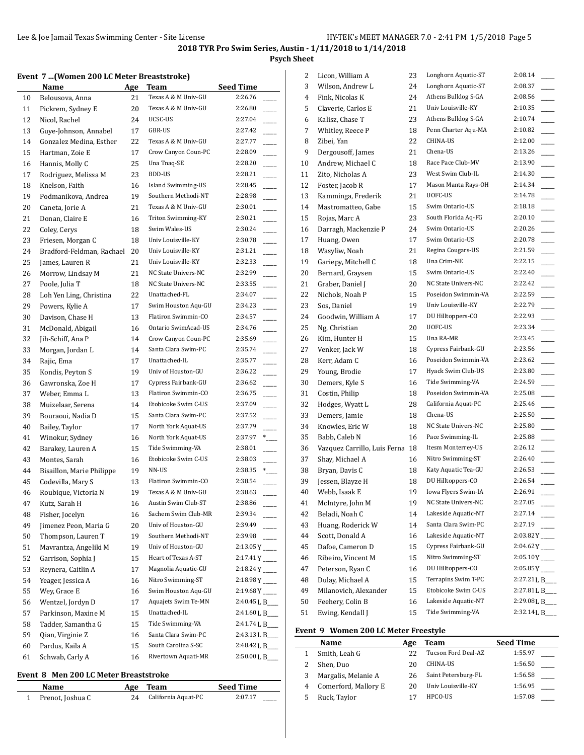## **Psych Sheet**

### **Event 7 ...(Women 200 LC Meter Breaststroke)**

|    | Name                              | <u>Age</u> | Team                | <b>Seed Time</b>                                        |
|----|-----------------------------------|------------|---------------------|---------------------------------------------------------|
| 10 | Belousova, Anna                   | 21         | Texas A & M Univ-GU | 2:26.76                                                 |
| 11 | Pickrem, Sydney E                 | 20         | Texas A & M Univ-GU | 2:26.80                                                 |
| 12 | Nicol, Rachel                     | 24         | UCSC-US             | 2:27.04                                                 |
| 13 | Guye-Johnson, Annabel             | 17         | GBR-US              | 2:27.42                                                 |
| 14 | Gonzalez Medina, Esther           | 22         | Texas A & M Univ-GU | 2:27.77                                                 |
| 15 | Hartman, Zoie E                   | 17         | Crow Canyon Coun-PC | 2:28.09                                                 |
| 16 | Hannis, Molly C                   | 25         | Una Tnaq-SE         | 2:28.20                                                 |
| 17 | Rodriguez, Melissa M              | 23         | <b>BDD-US</b>       | 2:28.21                                                 |
| 18 | Knelson, Faith                    | 16         | Island Swimming-US  | 2:28.45                                                 |
| 19 | Podmanikova, Andrea               | 19         | Southern Methodi-NT | 2:28.98                                                 |
| 20 | Caneta, Jorie A                   | 21         | Texas A & M Univ-GU | 2:30.01<br>$\sim$                                       |
| 21 | Donan, Claire E                   | 16         | Triton Swimming-KY  | 2:30.21                                                 |
| 22 | Coley, Cerys                      | 18         | Swim Wales-US       | 2:30.24                                                 |
| 23 | Friesen, Morgan C                 | 18         | Univ Louisville-KY  | 2:30.78                                                 |
| 24 | Bradford-Feldman, Rachael         | 20         | Univ Louisville-KY  | 2:31.21                                                 |
| 25 | James, Lauren R                   | 21         | Univ Louisville-KY  | 2:32.33                                                 |
| 26 | Morrow, Lindsay M                 | 21         | NC State Univers-NC | 2:32.99                                                 |
| 27 | Poole, Julia T                    | 18         | NC State Univers-NC | 2:33.55                                                 |
| 28 | Loh Yen Ling, Christina           | 22         | Unattached-FL       | 2:34.07                                                 |
| 29 | Powers, Kylie A                   | 17         | Swim Houston Aqu-GU | 2:34.23                                                 |
| 30 | Davison, Chase H                  | 13         | Flatiron Swimmin-CO | 2:34.57                                                 |
| 31 | McDonald, Abigail                 | 16         | Ontario SwimAcad-US | 2:34.76                                                 |
| 32 | Jih-Schiff, Ana P                 | 14         | Crow Canyon Coun-PC | 2:35.69                                                 |
| 33 | Morgan, Jordan L                  | 14         | Santa Clara Swim-PC | 2:35.74                                                 |
| 34 | Rajic, Ema                        | 17         | Unattached-IL       | 2:35.77                                                 |
| 35 | Kondis, Peyton S                  | 19         | Univ of Houston-GU  | 2:36.22                                                 |
| 36 | Gawronska, Zoe H                  | 17         | Cypress Fairbank-GU | 2:36.62                                                 |
| 37 | Weber, Emma L                     | 13         | Flatiron Swimmin-CO | 2:36.75                                                 |
| 38 | Muizelaar, Serena                 | 14         | Etobicoke Swim C-US | 2:37.09                                                 |
| 39 | Bouraoui, Nadia D                 | 15         | Santa Clara Swim-PC | 2:37.52                                                 |
| 40 | Bailey, Taylor                    | 17         | North York Aquat-US | 2:37.79                                                 |
| 41 | Winokur, Sydney                   | 16         | North York Aquat-US | 2:37.97<br>$*$                                          |
| 42 | Barakey, Lauren A                 | 15         | Tide Swimming-VA    | 2:38.01                                                 |
| 43 | Montes, Sarah                     | 16         | Etobicoke Swim C-US | 2:38.03                                                 |
| 44 | Bisaillon, Marie Philippe         | 19         | NN-US               | 2:38.35<br>$*$                                          |
| 45 | Codevilla, Mary S                 | 13         | Flatiron Swimmin-CO | 2:38.54                                                 |
| 46 | Roubique, Victoria N              | 19         | Texas A & M Univ-GU | 2:38.63                                                 |
| 47 | Kutz, Sarah H                     | 16         | Austin Swim Club-ST | 2:38.86                                                 |
| 48 | Fisher, Jocelyn                   |            | Sachem Swim Club-MR | 2:39.34                                                 |
| 49 | Jimenez Peon, Maria G             | 16<br>20   | Univ of Houston-GU  | 2:39.49                                                 |
| 50 | Thompson, Lauren T                | 19         | Southern Methodi-NT | 2:39.98                                                 |
| 51 | Mavrantza, Angeliki M             |            | Univ of Houston-GU  | $2:13.05Y$ <sub>---</sub>                               |
|    |                                   | 19         | Heart of Texas A-ST |                                                         |
| 52 | Garrison, Sophia J                | 15         | Magnolia Aquatic-GU | $2:17.41Y$ <sub>----</sub><br>$2:18.24Y$ <sub>---</sub> |
| 53 | Reynera, Caitlin A                | 17         | Nitro Swimming-ST   |                                                         |
| 54 | Yeager, Jessica A<br>Wev, Grace E | 16         | Swim Houston Aqu-GU | $2:18.98Y$ <sub>---</sub>                               |
| 55 |                                   | 16         | Aquajets Swim Te-MN | $2:19.68Y$ <sub>---</sub>                               |
| 56 | Wentzel, Jordyn D                 | 17         |                     | 2:40.45 L B___                                          |
| 57 | Parkinson, Maxine M               | 15         | Unattached-IL       | 2:41.60 L B___                                          |
| 58 | Tadder, Samantha G                | 15         | Tide Swimming-VA    | 2:41.74 L B___                                          |
| 59 | Qian, Virginie Z                  | 16         | Santa Clara Swim-PC | 2:43.13 L B___                                          |
| 60 | Pardus, Kaila A                   | 15         | South Carolina S-SC | 2:48.42 L B___                                          |
| 61 | Schwab, Carly A                   | 16         | Rivertown Aquati-MR | 2:50.00 L B_                                            |

#### **Event 8 Men 200 LC Meter Breaststroke**

 $\overline{a}$ 

| Name             | Age | Team                | <b>Seed Time</b> |
|------------------|-----|---------------------|------------------|
| Prenot, Joshua C |     | California Aquat-PC | 2:07.17          |

| 2  | Licon, William A             | 23 | Longhorn Aquatic-ST | 2:08.14                   |
|----|------------------------------|----|---------------------|---------------------------|
| 3  | Wilson, Andrew L             | 24 | Longhorn Aquatic-ST | 2:08.37                   |
| 4  | Fink, Nicolas K              | 24 | Athens Bulldog S-GA | 2:08.56                   |
| 5  | Claverie, Carlos E           | 21 | Univ Louisville-KY  | 2:10.35                   |
| 6  | Kalisz, Chase T              | 23 | Athens Bulldog S-GA | 2:10.74                   |
| 7  | Whitley, Reece P             | 18 | Penn Charter Aqu-MA | 2:10.82                   |
| 8  | Zibei, Yan                   | 22 | CHINA-US            | 2:12.00                   |
| 9  | Dergousoff, James            | 21 | Chena-US            | 2:13.26                   |
| 10 | Andrew, Michael C            | 18 | Race Pace Club-MV   | 2:13.90                   |
| 11 | Zito, Nicholas A             | 23 | West Swim Club-IL   | 2:14.30                   |
| 12 | Foster, Jacob R              | 17 | Mason Manta Rays-OH | 2:14.34                   |
| 13 | Kamminga, Frederik           | 21 | UOFC-US             | 2:14.78                   |
| 14 | Mastromatteo, Gabe           | 15 | Swim Ontario-US     | 2:18.18                   |
| 15 | Rojas, Marc A                | 23 | South Florida Aq-FG | 2:20.10                   |
| 16 | Darragh, Mackenzie P         | 24 | Swim Ontario-US     | 2:20.26                   |
| 17 | Huang, Owen                  | 17 | Swim Ontario-US     | 2:20.78                   |
| 18 | Wasyliw, Noah                | 21 | Regina Cougars-US   | 2:21.59                   |
| 19 | Gariepy, Mitchell C          | 18 | Una Crim-NE         | 2:22.15                   |
| 20 | Bernard, Graysen             | 15 | Swim Ontario-US     | 2:22.40                   |
| 21 | Graber, Daniel J             | 20 | NC State Univers-NC | 2:22.42                   |
| 22 | Nichols, Noah P              | 15 | Poseidon Swimmin-VA | 2:22.59                   |
| 23 | Sos, Daniel                  | 19 | Univ Louisville-KY  | 2:22.79                   |
| 24 | Goodwin, William A           | 17 | DU Hilltoppers-CO   | 2:22.93                   |
| 25 | Ng, Christian                | 20 | UOFC-US             | 2:23.34                   |
| 26 | Kim, Hunter H                | 15 | Una RA-MR           | 2:23.45                   |
| 27 | Venker, Jack W               | 18 | Cypress Fairbank-GU | 2:23.56                   |
| 28 | Kerr, Adam C                 | 16 | Poseidon Swimmin-VA | 2:23.62                   |
| 29 | Young, Brodie                | 17 | Hyack Swim Club-US  | 2:23.80                   |
| 30 | Demers, Kyle S               | 16 | Tide Swimming-VA    | 2:24.59                   |
| 31 | Costin, Philip               | 18 | Poseidon Swimmin-VA | 2:25.08                   |
| 32 | Hodges, Wyatt L              | 28 | California Aquat-PC | 2:25.46                   |
| 33 | Demers, Jamie                | 18 | Chena-US            | 2:25.50                   |
| 34 | Knowles, Eric W              | 18 | NC State Univers-NC | 2:25.80                   |
| 35 | Babb, Caleb N                | 16 | Pace Swimming-IL    | 2:25.88                   |
| 36 | Vazquez Carrillo, Luis Ferna | 18 | Itesm Monterrey-US  | 2:26.12                   |
| 37 | Shay, Michael A              | 16 | Nitro Swimming-ST   | 2:26.40                   |
| 38 | Bryan, Davis C               | 18 | Katy Aquatic Tea-GU | 2:26.53                   |
| 39 | Jessen, Blayze H             | 18 | DU Hilltoppers-CO   | 2:26.54                   |
| 40 | Webb, Isaak E                | 19 | Iowa Flyers Swim-IA | 2:26.91                   |
| 41 | McIntyre, John M             | 19 | NC State Univers-NC | 2:27.05                   |
| 42 | Beladi, Noah C               | 14 | Lakeside Aquatic-NT | 2:27.14                   |
| 43 | Huang, Roderick W            | 14 | Santa Clara Swim-PC | 2:27.19                   |
| 44 | Scott, Donald A              | 16 | Lakeside Aquatic-NT | $2:03.82Y$ <sub>---</sub> |
| 45 | Dafoe, Cameron D             | 15 | Cypress Fairbank-GU |                           |
| 46 | Ribeiro, Vincent M           | 15 | Nitro Swimming-ST   | $2:05.10Y$ <sub>---</sub> |
| 47 | Peterson, Rvan C             | 16 | DU Hilltoppers-CO   | $2:05.85Y$ <sup>-1</sup>  |
| 48 | Dulay, Michael A             | 15 | Terrapins Swim T-PC | 2:27.21 L B               |
| 49 | Milanovich, Alexander        | 15 | Etobicoke Swim C-US | 2:27.81 L B               |
| 50 | Feeherv. Colin B             | 16 | Lakeside Aquatic-NT | 2:29.08 L B               |
| 51 | Ewing, Kendall J             | 15 | Tide Swimming-VA    | 2:32.14 L B               |
|    |                              |    |                     |                           |

## **Event 9 Women 200 LC Meter Freestyle**

|   | Name                 | Age | <b>Team</b>         | <b>Seed Time</b> |
|---|----------------------|-----|---------------------|------------------|
|   | Smith, Leah G        | 22  | Tucson Ford Deal-AZ | 1:55.97          |
|   | Shen, Duo            | 20  | CHINA-US            | 1:56.50          |
| 3 | Margalis, Melanie A  | 26  | Saint Petersburg-FL | 1:56.58          |
| 4 | Comerford, Mallory E | 20  | Univ Louisville-KY  | 1:56.95          |
|   | Ruck, Taylor         |     | HPCO-US             | 1:57.08          |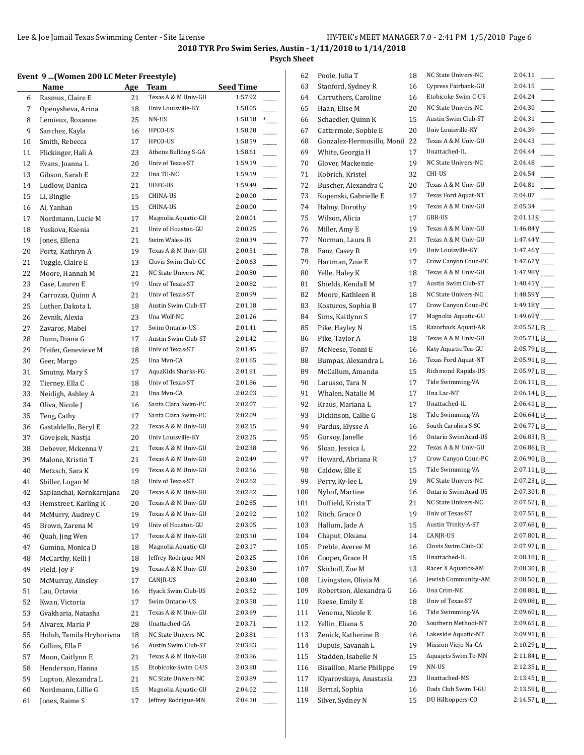**Psych Sheet**

# **Event 9 ...(Women 200 LC Meter Freestyle)**

|    | Vent 9 (Women 200 LC Meter Freestyle) |     |                     |                  |
|----|---------------------------------------|-----|---------------------|------------------|
|    | Name                                  | Age | Team                | <b>Seed Time</b> |
| 6  | Rasmus, Claire E                      | 21  | Texas A & M Univ-GU | 1:57.92          |
| 7  | Openysheva, Arina                     | 18  | Univ Louisville-KY  | 1:58.05          |
| 8  | Lemieux, Roxanne                      | 25  | NN-US               | 1:58.18<br>$*$   |
| 9  | Sanchez, Kayla                        | 16  | HPCO-US             | 1:58.28          |
| 10 | Smith, Rebecca                        | 17  | HPCO-US             | 1:58.59          |
| 11 | Flickinger, Hali A                    | 23  | Athens Bulldog S-GA | 1:58.61          |
| 12 | Evans, Joanna L                       | 20  | Univ of Texas-ST    | 1:59.19          |
| 13 | Gibson, Sarah E                       | 22  | Una TE-NC           | 1:59.19          |
| 14 | Ludlow, Danica                        | 21  | UOFC-US             | 1:59.49          |
| 15 | Li, Bingjie                           | 15  | CHINA-US            | 2:00.00          |
| 16 | Ai, Yanhan                            | 15  | CHINA-US            | 2:00.00          |
| 17 | Nordmann, Lucie M                     | 17  | Magnolia Aquatic-GU | 2:00.01          |
| 18 | Yuskova, Ksenia                       | 21  | Univ of Houston-GU  | 2:00.25          |
| 19 | Jones, Ellena                         | 21  | Swim Wales-US       | 2:00.39          |
| 20 | Portz, Kathryn A                      | 19  | Texas A & M Univ-GU | 2:00.51          |
| 21 | Tuggle, Claire E                      | 13  | Clovis Swim Club-CC | 2:00.63          |
| 22 | Moore, Hannah M                       | 21  | NC State Univers-NC | 2:00.80          |
| 23 | Case, Lauren E                        | 19  | Univ of Texas-ST    | 2:00.82          |
| 24 | Carrozza, Quinn A                     | 21  | Univ of Texas-ST    | 2:00.99          |
| 25 | Luther, Dakota L                      | 18  | Austin Swim Club-ST | 2:01.18          |
| 26 | Zevnik, Alexia                        | 23  | Una Wolf-NC         | 2:01.26          |
| 27 | Zavaros, Mabel                        | 17  | Swim Ontario-US     | 2:01.41          |
| 28 | Dunn, Diana G                         | 17  | Austin Swim Club-ST | 2:01.42          |
|    | Pfeifer, Genevieve M                  |     | Univ of Texas-ST    | 2:01.45          |
| 29 |                                       | 18  | Una Mvn-CA          |                  |
| 30 | Geer, Margo                           | 25  |                     | 2:01.65          |
| 31 | Smutny, Mary S                        | 17  | AquaKids Sharks-FG  | 2:01.81          |
| 32 | Tierney, Ella C                       | 18  | Univ of Texas-ST    | 2:01.86          |
| 33 | Neidigh, Ashley A                     | 21  | Una Mvn-CA          | 2:02.03          |
| 34 | Oliva, Nicole J                       | 16  | Santa Clara Swim-PC | 2:02.07          |
| 35 | Teng, Cathy                           | 17  | Santa Clara Swim-PC | 2:02.09          |
| 36 | Gastaldello, Beryl E                  | 22  | Texas A & M Univ-GU | 2:02.15          |
| 37 | Govejsek, Nastja                      | 20  | Univ Louisville-KY  | 2:02.25          |
| 38 | Debever, Mckenna V                    | 21  | Texas A & M Univ-GU | 2:02.38          |
| 39 | Malone, Kristin T                     | 21  | Texas A & M Univ-GU | 2:02.49          |
| 40 | Metzsch, Sara K                       | 19  | Texas A & M Univ-GU | 2:02.56          |
| 41 | Shiller, Logan M                      | 18  | Univ of Texas-ST    | 2:02.62          |
| 42 | Sapianchai, Kornkarnjana              | 20  | Texas A & M Univ-GU | 2:02.82          |
| 43 | Hemstreet, Karling K                  | 20  | Texas A & M Univ-GU | 2:02.85          |
| 44 | McMurry, Audrey C                     | 19  | Texas A & M Univ-GU | 2:02.92          |
| 45 | Brown, Zarena M                       | 19  | Univ of Houston-GU  | 2:03.05          |
| 46 | Quah, Jing Wen                        | 17  | Texas A & M Univ-GU | 2:03.10          |
| 47 | Gumina, Monica D                      | 18  | Magnolia Aquatic-GU | 2:03.17          |
| 48 | McCarthy, Kelli J                     | 18  | Jeffrey Rodrigue-MN | 2:03.25          |
| 49 | Field, Joy F                          | 19  | Texas A & M Univ-GU | 2:03.30          |
| 50 | McMurray, Ainsley                     | 17  | CANJR-US            | 2:03.40          |
| 51 | Lau, Octavia                          | 16  | Hyack Swim Club-US  | 2:03.52          |
| 52 | Kwan, Victoria                        | 17  | Swim Ontario-US     | 2:03.58          |
| 53 | Gvakharia, Natasha                    | 21  | Texas A & M Univ-GU | 2:03.69          |
| 54 | Alvarez, Maria P                      | 28  | Unattached-GA       | 2:03.71          |
|    | Holub, Tamila Hryhorivna              |     | NC State Univers-NC | 2:03.81          |
| 55 |                                       | 18  |                     |                  |
| 56 | Collins, Ella F                       | 16  | Austin Swim Club-ST | 2:03.83          |
| 57 | Moon, Caitlynn E                      | 21  | Texas A & M Univ-GU | 2:03.86          |
| 58 | Henderson, Hanna                      | 15  | Etobicoke Swim C-US | 2:03.88          |
| 59 | Lupton, Alexandra L                   | 21  | NC State Univers-NC | 2:03.89          |
| 60 | Nordmann, Lillie G                    | 15  | Magnolia Aquatic-GU | 2:04.02          |
| 61 | Jones, Raime S                        | 17  | Jeffrey Rodrigue-MN | 2:04.10          |

| 62  | Poole, Julia T                      | 18       | NC State Univers-NC                     | 2:04.11                    |
|-----|-------------------------------------|----------|-----------------------------------------|----------------------------|
| 63  | Stanford, Sydney R                  | 16       | Cypress Fairbank-GU                     | 2:04.15                    |
| 64  | Carruthers, Caroline                | 16       | Etobicoke Swim C-US                     | 2:04.24                    |
| 65  | Haan, Elise M                       | 20       | NC State Univers-NC                     | 2:04.30                    |
| 66  | Schaedler, Quinn K                  | 15       | Austin Swim Club-ST                     | 2:04.31                    |
| 67  | Cattermole, Sophie E                | 20       | Univ Louisville-KY                      | 2:04.39                    |
| 68  | Gonzalez-Hermosillo, Monil 22       |          | Texas A & M Univ-GU                     | 2:04.43                    |
| 69  | White, Georgia H                    | 17       | Unattached-IL                           | 2:04.44                    |
| 70  | Glover, Mackenzie                   | 19       | NC State Univers-NC                     | 2:04.48                    |
| 71  | Kobrich, Kristel                    | 32       | CHI-US                                  | 2:04.54                    |
| 72  | Buscher, Alexandra C                | 20       | Texas A & M Univ-GU                     | 2:04.81                    |
| 73  | Kopenski, Gabrielle E               | 17       | Texas Ford Aquat-NT                     | 2:04.87                    |
| 74  | Halmy, Dorothy                      | 19       | Texas A & M Univ-GU                     | 2:05.34                    |
| 75  | Wilson, Alicia                      | 17       | GBR-US                                  | $2:01.13S$ <sub>---</sub>  |
| 76  | Miller, Amy E                       | 19       | Texas A & M Univ-GU                     | $1:46.84Y$ <sub>---</sub>  |
| 77  | Norman, Laura R                     | 21       | Texas A & M Univ-GU                     | $1:47.44Y$ <sub>---</sub>  |
| 78  | Fanz, Casey R                       | 19       | Univ Louisville-KY                      | 1:47.46Y____               |
| 79  | Hartman, Zoie E                     | 17       | Crow Canyon Coun-PC                     | $1:47.67Y$ <sub>---</sub>  |
| 80  | Yelle, Haley K                      | 18       | Texas A & M Univ-GU                     | $1:47.98Y$ <sub>---</sub>  |
| 81  | Shields, Kendall M                  | 17       | Austin Swim Club-ST                     | $1:48.45Y$ <sub>----</sub> |
| 82  | Moore, Kathleen R                   | 18       | NC State Univers-NC                     | $1:48.59Y$ <sub>---</sub>  |
| 83  | Kosturos, Sophia B                  | 17       | Crow Canyon Coun-PC                     | $1:49.18Y$ <sub>---</sub>  |
| 84  | Sims, Kaitlynn S                    | 17       | Magnolia Aquatic-GU                     | $1:49.69Y$ <sub>---</sub>  |
| 85  | Pike, Hayley N                      | 15       | Razorback Aquati-AR                     | 2:05.52 L B_               |
| 86  | Pike, Taylor A                      | 18       | Texas A & M Univ-GU                     | 2:05.73 L B                |
| 87  | McNeese, Tonni E                    | 16       | Katy Aquatic Tea-GU                     | 2:05.79 L B___             |
| 88  | Bumpas, Alexandra L                 | 16       | Texas Ford Aquat-NT                     | 2:05.91 L B                |
| 89  | McCallum, Amanda                    | 15       | Richmond Rapids-US                      | 2:05.97 L B_               |
| 90  | Larusso, Tara N                     | 17       | Tide Swimming-VA                        | 2:06.11 L B                |
| 91  | Whalen, Natalie M                   | 17       | Una Lac-NT                              | 2:06.14 L B                |
| 92  | Kraus, Mariana L                    | 17       | Unattached-IL                           | 2:06.41 L B                |
| 93  | Dickinson, Callie G                 | 18       | Tide Swimming-VA                        | 2:06.64 L B_               |
| 94  |                                     |          | South Carolina S-SC                     | 2:06.77L B                 |
|     | Pardus, Elysse A<br>Gursoy, Janelle | 16       | Ontario SwimAcad-US                     | 2:06.83 L B                |
| 95  |                                     | 16<br>22 | Texas A & M Univ-GU                     | 2:06.86 L B_               |
| 96  | Sloan, Jessica L                    |          | Crow Canyon Coun-PC                     | 2:06.90 L B_               |
| 97  | Howard, Abriana R                   | 17       |                                         |                            |
| 98  | Caldow, Elle E                      | 15       | Tide Swimming-VA<br>NC State Univers-NC | 2:07.11 L B                |
| 99  | Perry, Ky-lee L                     | 19       | Ontario SwimAcad-US                     | 2:07.23 L B                |
| 100 | Nyhof, Martine                      | 16       |                                         | 2:07.30 L B                |
| 101 | Duffield, Krista T                  | 21       | NC State Univers-NC                     | 2:07.52 L B_               |
| 102 | Ritch, Grace O                      | 19       | Univ of Texas-ST                        | 2:07.55 L B_               |
| 103 | Hallum, Jade A                      | 15       | Austin Trinity A-ST                     | 2:07.68 L B                |
| 104 | Chaput, Oksana                      | 14       | CANJR-US                                | 2:07.80 L B_               |
| 105 | Preble, Averee M                    | 16       | Clovis Swim Club-CC                     | 2:07.97L B                 |
| 106 | Cooper, Grace H                     | 15       | Unattached-IL                           | 2:08.18 L B                |
| 107 | Skirboll, Zoe M                     | 13       | Racer X Aquatics-AM                     | 2:08.30 L B                |
| 108 | Livingston, Olivia M                | 16       | Jewish Community-AM                     | 2:08.50 L B_               |
| 109 | Robertson, Alexandra G              | 16       | Una Crim-NE                             | 2:08.88 L B                |
| 110 | Reese, Emily E                      | 18       | Univ of Texas-ST                        | 2:09.08 L B                |
| 111 | Venema, Nicole E                    | 16       | Tide Swimming-VA                        | 2:09.60 L B_               |
| 112 | Yellin, Eliana S                    | 20       | Southern Methodi-NT                     | 2:09.65 L B                |
| 113 | Zenick, Katherine B                 | 16       | Lakeside Aquatic-NT                     | 2:09.91 L B_               |
| 114 | Dupuis, Savanah L                   | 19       | Mission Viejo Na-CA                     | 2:10.29 L B_               |
| 115 | Stadden, Isabelle N                 | 15       | Aquajets Swim Te-MN                     | 2:11.84 L B                |
| 116 | Bisaillon, Marie Philippe           | 19       | NN-US                                   | 2:12.35 L B                |
| 117 | Klyarovskaya, Anastasia             | 23       | Unattached-MS                           | 2:13.45 L B                |
| 118 | Bernal, Sophia                      | 16       | Dads Club Swim T-GU                     | 2:13.59 L B_               |
| 119 | Silver, Sydney N                    | 15       | DU Hilltoppers-CO                       | 2:14.57 L B                |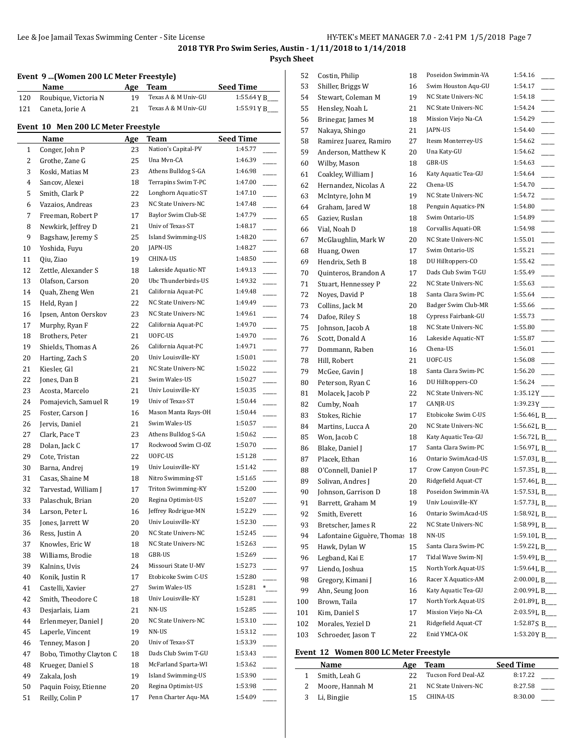## **Psych Sheet**

## **Event 9 ...(Women 200 LC Meter Freestyle)**

|     | Name                 | Age | Team                | <b>Seed Time</b> |
|-----|----------------------|-----|---------------------|------------------|
| 120 | Roubique, Victoria N | 19  | Texas A & M Univ-GU | 1:55.64 Y B      |
|     | 121 Caneta, Jorie A  | 21  | Texas A & M Univ-GU | 1:55.91YB        |

### **Event 10 Men 200 LC Meter Freestyle**

 $\overline{a}$ 

|          | Name                                     | <b>Age</b> | Team                      | <b>Seed Time</b>                    |
|----------|------------------------------------------|------------|---------------------------|-------------------------------------|
| 1        | Conger, John P                           | 23         | Nation's Capital-PV       | 1:45.77                             |
| 2        | Grothe, Zane G                           | 25         | Una Mvn-CA                | 1:46.39                             |
| 3        | Koski, Matias M                          | 23         | Athens Bulldog S-GA       | 1:46.98                             |
| 4        | Sancov, Alexei                           | 18         | Terrapins Swim T-PC       | 1:47.00                             |
| 5        | Smith, Clark P                           | 22         | Longhorn Aquatic-ST       | 1:47.10                             |
| 6        | Vazaios, Andreas                         | 23         | NC State Univers-NC       | 1:47.48                             |
| 7        | Freeman, Robert P                        | 17         | Baylor Swim Club-SE       | 1:47.79                             |
| 8        | Newkirk, Jeffrey D                       | 21         | Univ of Texas-ST          | 1:48.17                             |
| 9        | Bagshaw, Jeremy S                        | 25         | <b>Island Swimming-US</b> | 1:48.20<br>$\overline{\phantom{a}}$ |
| 10       | Yoshida, Fuyu                            | 20         | JAPN-US                   | 1:48.27                             |
| 11       | Qiu, Ziao                                | 19         | CHINA-US                  | 1:48.50                             |
| 12       | Zettle, Alexander S                      | 18         | Lakeside Aquatic-NT       | 1:49.13<br>$\overline{\phantom{0}}$ |
| 13       | Olafson, Carson                          | 20         | Ubc Thunderbirds-US       | 1:49.32<br>$\overline{\phantom{a}}$ |
| 14       | Quah, Zheng Wen                          | 21         | California Aquat-PC       | 1:49.48                             |
| 15       | Held, Ryan J                             | 22         | NC State Univers-NC       | 1:49.49                             |
| 16       | Ipsen, Anton Oerskov                     | 23         | NC State Univers-NC       | 1:49.61                             |
| 17       | Murphy, Ryan F                           | 22         | California Aquat-PC       | 1:49.70                             |
| 18       | Brothers, Peter                          | 21         | UOFC-US                   | 1:49.70<br>$\overline{\phantom{a}}$ |
| 19       | Shields, Thomas A                        | 26         | California Aquat-PC       | 1:49.71                             |
| 20       | Harting, Zach S                          | 20         | Univ Louisville-KY        | 1:50.01                             |
| 21       | Kiesler, Gil                             | 21         | NC State Univers-NC       | 1:50.22<br>L.                       |
| 22       | Jones, Dan B                             | 21         | Swim Wales-US             | 1:50.27                             |
| 23       | Acosta, Marcelo                          | 21         | Univ Louisville-KY        | 1:50.35                             |
| 24       | Pomajevich, Samuel R                     | 19         | Univ of Texas-ST          | 1:50.44                             |
| 25       | Foster, Carson J                         | 16         | Mason Manta Rays-OH       | 1:50.44<br>$\overline{\phantom{a}}$ |
| 26       | Jervis, Daniel                           | 21         | Swim Wales-US             | 1:50.57                             |
| 27       | Clark, Pace T                            | 23         | Athens Bulldog S-GA       | 1:50.62<br>$\overline{\phantom{a}}$ |
| 28       | Dolan, Jack C                            | 17         | Rockwood Swim Cl-OZ       | 1:50.70                             |
| 29       | Cote, Tristan                            | 22         | UOFC-US                   | 1:51.28                             |
| 30       | Barna, Andrej                            | 19         | Univ Louisville-KY        | 1:51.42<br>$\frac{1}{1}$            |
| 31       | Casas, Shaine M                          | 18         | Nitro Swimming-ST         | 1:51.65<br>$\overline{\phantom{a}}$ |
| 32       | Tarvestad, William J                     | 17         | Triton Swimming-KY        | 1:52.00                             |
| 33       | Palaschuk, Brian                         | 20         | Regina Optimist-US        | 1:52.07<br>$\overline{\phantom{a}}$ |
| 34       | Larson, Peter L                          | 16         | Jeffrey Rodrigue-MN       | 1:52.29                             |
| 35       | Jones, Jarrett W                         | 20         | Univ Louisville-KY        | 1:52.30                             |
| 36       | Ress, Justin A                           | 20         | NC State Univers-NC       | 1:52.45                             |
| 37       | Knowles, Eric W                          | 18         | NC State Univers-NC       | 1:52.63                             |
| 38       | Williams, Brodie                         | 18         | GBR-US                    | 1:52.69                             |
| 39       | Kalnins, Uvis                            | 24         | Missouri State U-MV       | 1:52.73                             |
| 40       | Konik, Justin R                          | 17         | Etobicoke Swim C-US       | 1:52.80                             |
| 41       | Castelli, Xavier                         | 27         | Swim Wales-US             | 1:52.81<br>$*$                      |
| 42       | Smith, Theodore C                        | 18         | Univ Louisville-KY        | 1:52.81                             |
| 43       | Desjarlais, Liam                         | 21         | NN-US                     | ш.<br>1:52.85                       |
| 44       | Erlenmeyer, Daniel J                     | 20         | NC State Univers-NC       | 1:53.10                             |
| 45       | Laperle, Vincent                         | 19         | NN-US                     | 1:53.12                             |
| 46       | Tenney, Mason J                          | 20         | Univ of Texas-ST          | 1:53.39                             |
| 47       | Bobo, Timothy Clayton C                  | 18         | Dads Club Swim T-GU       | 1:53.43                             |
| 48       | Krueger, Daniel S                        | 18         | McFarland Sparta-WI       | 1:53.62                             |
| 49       | Zakala, Josh                             | 19         | Island Swimming-US        | 1:53.90                             |
|          |                                          | 20         | Regina Optimist-US        | 1:53.98                             |
| 50<br>51 | Paquin Foisy, Etienne<br>Reilly, Colin P | 17         | Penn Charter Aqu-MA       | 1:54.09                             |
|          |                                          |            |                           |                                     |

| 52       | Costin, Philip             | 18 | Poseidon Swimmin-VA | 1:54.16                        |
|----------|----------------------------|----|---------------------|--------------------------------|
| 53       | Shiller, Briggs W          | 16 | Swim Houston Aqu-GU | 1:54.17                        |
| 54       | Stewart, Coleman M         | 19 | NC State Univers-NC | 1:54.18                        |
| 55       | Hensley, Noah L            | 21 | NC State Univers-NC | 1:54.24                        |
| 56       | Brinegar, James M          | 18 | Mission Viejo Na-CA | 1:54.29                        |
| 57       | Nakaya, Shingo             | 21 | JAPN-US             | 1:54.40                        |
| 58       | Ramirez Juarez, Ramiro     | 27 | Itesm Monterrey-US  | 1:54.62                        |
| 59       | Anderson, Matthew K        | 20 | Una Katy-GU         | 1:54.62                        |
| 60       | Wilby, Mason               | 18 | GBR-US              | 1:54.63                        |
| 61       | Coakley, William J         | 16 | Katy Aquatic Tea-GU | 1:54.64                        |
| 62       | Hernandez, Nicolas A       | 22 | Chena-US            | 1:54.70                        |
| 63       | McIntyre, John M           | 19 | NC State Univers-NC | 1:54.72                        |
| 64       | Graham, Jared W            | 18 | Penguin Aquatics-PN | 1:54.80                        |
| 65       | Gaziev, Ruslan             | 18 | Swim Ontario-US     | 1:54.89                        |
| 66       | Vial, Noah D               | 18 | Corvallis Aquati-OR | 1:54.98                        |
| 67       | McGlaughlin, Mark W        | 20 | NC State Univers-NC | 1:55.01                        |
| 68       | Huang, Owen                | 17 | Swim Ontario-US     | 1:55.21                        |
| 69       | Hendrix, Seth B            | 18 | DU Hilltoppers-CO   | 1:55.42                        |
| 70       | Quinteros, Brandon A       | 17 | Dads Club Swim T-GU | 1:55.49                        |
| 71       | Stuart, Hennessey P        | 22 | NC State Univers-NC | 1:55.63                        |
| 72       | Noyes, David P             | 18 | Santa Clara Swim-PC | 1:55.64                        |
| 73       | Collins, Jack M            | 20 | Badger Swim Club-MR | 1:55.66                        |
| 74       | Dafoe, Riley S             | 18 | Cypress Fairbank-GU | 1:55.73                        |
| 75       | Johnson, Jacob A           | 18 | NC State Univers-NC | 1:55.80                        |
| 76       | Scott, Donald A            | 16 | Lakeside Aquatic-NT | 1:55.87                        |
| 77       | Dommann, Raben             | 16 | Chena-US            | 1:56.01                        |
| 78       | Hill, Robert               | 21 | UOFC-US             | 1:56.08                        |
| 79       | McGee, Gavin J             | 18 | Santa Clara Swim-PC | 1:56.20                        |
| 80       | Peterson, Ryan C           | 16 | DU Hilltoppers-CO   | 1:56.24                        |
| 81       | Molacek, Jacob P           | 22 | NC State Univers-NC | $1:35.12Y$ <sub>----</sub>     |
| 82       | Cumby, Noah                | 17 | CANJR-US            | $1:39.23Y$ <sub>---</sub>      |
| 83       | Stokes, Richie             | 17 | Etobicoke Swim C-US | 1:56.46 L B___                 |
| 84       | Martins, Lucca A           | 20 | NC State Univers-NC | 1:56.62 L B                    |
| 85       | Won, Jacob C               | 18 | Katy Aquatic Tea-GU | 1:56.72 L B                    |
| 86       | Blake, Daniel J            | 17 | Santa Clara Swim-PC | 1:56.97 L B___                 |
| 87       | Placek, Ethan              | 16 | Ontario SwimAcad-US | 1:57.03 L B                    |
|          | O'Connell, Daniel P        | 17 | Crow Canyon Coun-PC | 1:57.35 L B                    |
| 88<br>89 | Solivan, Andres J          | 20 | Ridgefield Aquat-CT | 1:57.46 L B                    |
| 90       |                            | 18 | Poseidon Swimmin-VA | 1:57.53 L B                    |
|          | Johnson, Garrison D        |    | Univ Louisville-KY  |                                |
| 91       | Barrett, Graham M          | 19 | Ontario SwimAcad-US | 1:57.73 L B___                 |
| 92       | Smith, Everett             | 16 | NC State Univers-NC | 1:58.92 L B___<br>1:58.99 L B_ |
| 93       | Bretscher, James R         | 22 | NN-US               | 1:59.10 L B                    |
| 94       | Lafontaine Giguère, Thomas | 18 |                     |                                |
| 95       | Hawk, Dylan W              | 15 | Santa Clara Swim-PC | 1:59.22 L B____                |
| 96       | Legband, Kai E             | 17 | Tidal Wave Swim-NJ  | 1:59.49 L B                    |
| 97       | Liendo, Joshua             | 15 | North York Aquat-US | 1:59.64 L B                    |
| 98       | Gregory, Kimani J          | 16 | Racer X Aquatics-AM | 2:00.00LB                      |
| 99       | Ahn, Seung Joon            | 16 | Katy Aquatic Tea-GU | 2:00.99 L B_                   |
| 100      | Brown, Taila               | 17 | North York Aquat-US | 2:01.89 L B                    |
| 101      | Kim, Daniel S              | 17 | Mission Viejo Na-CA | 2:03.59LB__                    |
| 102      | Morales, Yeziel D          | 21 | Ridgefield Aquat-CT | 1:52.87 S B_                   |
| 103      | Schroeder, Jason T         | 22 | Enid YMCA-OK        | 1:53.20YB_                     |
|          |                            |    |                     |                                |

## **Event 12 Women 800 LC Meter Freestyle**

| <b>Name</b>       | Age | Team                | <b>Seed Time</b> |  |
|-------------------|-----|---------------------|------------------|--|
| 1 Smith, Leah G   |     | Tucson Ford Deal-AZ | 8:17.22          |  |
| 2 Moore, Hannah M |     | NC State Univers-NC | 8:27.58          |  |
| 3 Li, Bingjie     | 15  | CHINA-US            | 8:30.00          |  |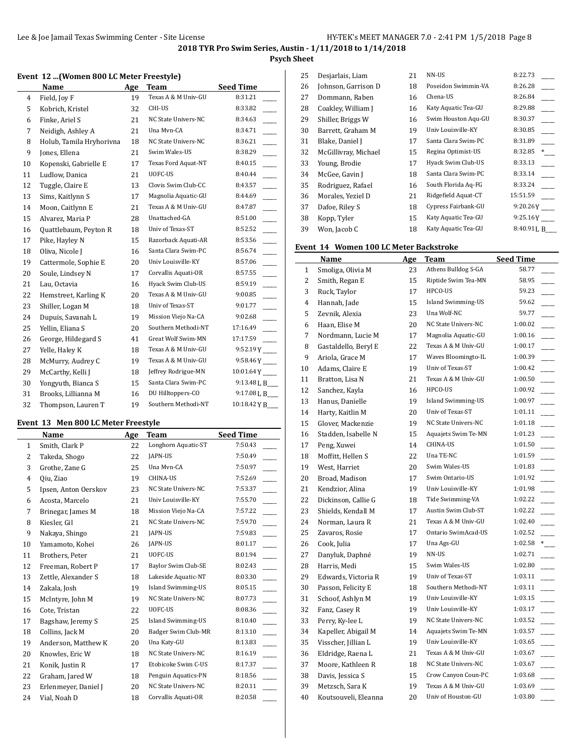**Psych Sheet**

#### **Event 12 ...(Women 800 LC Meter Freestyle)**

|    | Name                     | Age | <b>Team</b>         | <b>Seed Time</b>          |
|----|--------------------------|-----|---------------------|---------------------------|
| 4  | Field, Joy F             | 19  | Texas A & M Univ-GU | 8:31.21                   |
| 5  | Kobrich, Kristel         | 32  | CHI-US              | 8:33.82                   |
| 6  | Finke, Ariel S           | 21  | NC State Univers-NC | 8:34.63                   |
| 7  | Neidigh, Ashley A        | 21  | Una Myn-CA          | 8:34.71                   |
| 8  | Holub, Tamila Hryhorivna | 18  | NC State Univers-NC | 8:36.21                   |
| 9  | Jones, Ellena            | 21  | Swim Wales-US       | 8:38.29                   |
| 10 | Kopenski, Gabrielle E    | 17  | Texas Ford Aquat-NT | 8:40.15                   |
| 11 | Ludlow, Danica           | 21  | UOFC-US             | 8:40.44                   |
| 12 | Tuggle, Claire E         | 13  | Clovis Swim Club-CC | 8:43.57                   |
| 13 | Sims, Kaitlynn S         | 17  | Magnolia Aquatic-GU | 8:44.69                   |
| 14 | Moon, Caitlynn E         | 21  | Texas A & M Univ-GU | 8:47.87                   |
| 15 | Alvarez, Maria P         | 28  | Unattached-GA       | 8:51.00                   |
| 16 | Quattlebaum, Peyton R    | 18  | Univ of Texas-ST    | 8:52.52                   |
| 17 | Pike, Hayley N           | 15  | Razorback Aquati-AR | 8:53.56                   |
| 18 | Oliva, Nicole J          | 16  | Santa Clara Swim-PC | 8:56.74                   |
| 19 | Cattermole, Sophie E     | 20  | Univ Louisville-KY  | 8:57.06                   |
| 20 | Soule, Lindsey N         | 17  | Corvallis Aquati-OR | 8:57.55                   |
| 21 | Lau, Octavia             | 16  | Hyack Swim Club-US  | 8:59.19                   |
| 22 | Hemstreet, Karling K     | 20  | Texas A & M Univ-GU | 9:00.85                   |
| 23 | Shiller, Logan M         | 18  | Univ of Texas-ST    | 9:01.77                   |
| 24 | Dupuis, Savanah L        | 19  | Mission Viejo Na-CA | 9:02.68                   |
| 25 | Yellin, Eliana S         | 20  | Southern Methodi-NT | 17:16.49                  |
| 26 | George, Hildegard S      | 41  | Great Wolf Swim-MN  | 17:17.59                  |
| 27 | Yelle, Haley K           | 18  | Texas A & M Univ-GU | $9:52.19Y$ <sub>---</sub> |
| 28 | McMurry, Audrey C        | 19  | Texas A & M Univ-GU | $9:58.46Y$ <sub>---</sub> |
| 29 | McCarthy, Kelli J        | 18  | Jeffrey Rodrigue-MN |                           |
| 30 | Yongyuth, Bianca S       | 15  | Santa Clara Swim-PC | 9:13.48 L B___            |
| 31 | Brooks, Lillianna M      | 16  | DU Hilltoppers-CO   | 9:17.08 L B___            |
| 32 | Thompson, Lauren T       | 19  | Southern Methodi-NT | 10:18.42 Y B              |
|    |                          |     |                     |                           |

#### **Event 13 Men 800 LC Meter Freestyle**

|                | Name                 | Age | Team                      | <b>Seed Time</b>         |
|----------------|----------------------|-----|---------------------------|--------------------------|
| $\mathbf{1}$   | Smith, Clark P       | 22  | Longhorn Aquatic-ST       | 7:50.43                  |
| $\overline{2}$ | Takeda, Shogo        | 22  | JAPN-US                   | 7:50.49                  |
| 3              | Grothe, Zane G       | 25  | Una Mvn-CA                | 7:50.97                  |
| 4              | Qiu, Ziao            | 19  | CHINA-US                  | 7:52.69                  |
| 5              | Ipsen, Anton Oerskov | 23  | NC State Univers-NC       | 7:53.37                  |
| 6              | Acosta, Marcelo      | 21  | Univ Louisville-KY        | 7:55.70                  |
| 7              | Brinegar, James M    | 18  | Mission Viejo Na-CA       | 7:57.22                  |
| 8              | Kiesler, Gil         | 21  | NC State Univers-NC       | 7:59.70                  |
| 9              | Nakaya, Shingo       | 21  | <b>JAPN-US</b>            | 7:59.83                  |
| 10             | Yamamoto, Kohei      | 26  | JAPN-US                   | 8:01.17                  |
| 11             | Brothers, Peter      | 21  | UOFC-US                   | 8:01.94                  |
| 12             | Freeman, Robert P    | 17  | Baylor Swim Club-SE       | $\frac{1}{2}$<br>8:02.43 |
| 13             | Zettle, Alexander S  | 18  | Lakeside Aquatic-NT       | 8:03.30                  |
| 14             | Zakala, Josh         | 19  | <b>Island Swimming-US</b> | 8:05.15<br>j.            |
| 15             | McIntyre, John M     | 19  | NC State Univers-NC       | 8:07.73                  |
| 16             | Cote, Tristan        | 22  | UOFC-US                   | 8:08.36                  |
| 17             | Bagshaw, Jeremy S    | 25  | Island Swimming-US        | 8:10.40                  |
| 18             | Collins, Jack M      | 20  | Badger Swim Club-MR       | 8:13.10                  |
| 19             | Anderson, Matthew K  | 20  | Una Katy-GU               | 8:13.83                  |
| 20             | Knowles, Eric W      | 18  | NC State Univers-NC       | 8:16.19                  |
| 21             | Konik, Justin R      | 17  | Etobicoke Swim C-US       | 8:17.37                  |
| 22             | Graham, Jared W      | 18  | Penguin Aquatics-PN       | 8:18.56                  |
| 23             | Erlenmeyer, Daniel J | 20  | NC State Univers-NC       | 8:20.11                  |
| 24             | Vial, Noah D         | 18  | Corvallis Aquati-OR       | 8:20.58                  |

| Desjarlais, Liam     | 21 | NN-US               | 8:22.73   |
|----------------------|----|---------------------|-----------|
| Johnson, Garrison D  | 18 | Poseidon Swimmin-VA | 8:26.28   |
| Dommann, Raben       | 16 | Chena-US            | 8:26.84   |
| Coakley, William J   | 16 | Katy Aquatic Tea-GU | 8:29.88   |
| Shiller, Briggs W    | 16 | Swim Houston Aqu-GU | 8:30.37   |
| Barrett, Graham M    | 19 | Univ Louisville-KY  | 8:30.85   |
| Blake, Daniel J      | 17 | Santa Clara Swim-PC | 8:31.89   |
| McGillivray, Michael | 15 | Regina Optimist-US  | 8:32.85   |
| Young, Brodie        | 17 | Hyack Swim Club-US  | 8:33.13   |
| McGee, Gavin J       | 18 | Santa Clara Swim-PC | 8:33.14   |
| Rodriguez, Rafael    | 16 | South Florida Aq-FG | 8:33.24   |
| Morales, Yeziel D    | 21 | Ridgefield Aquat-CT | 15:51.59  |
| Dafoe, Riley S       | 18 | Cypress Fairbank-GU | 9:20.26Y  |
| Kopp, Tyler          | 15 | Katy Aquatic Tea-GU | 9:25.16Y  |
| Won, Jacob C         | 18 | Katy Aquatic Tea-GU | 8:40.91LB |
|                      |    |                     |           |

#### **Event 14 Women 100 LC Meter Backstroke**

|    | Name                 | Age | Team                      | <b>Seed Time</b> |     |
|----|----------------------|-----|---------------------------|------------------|-----|
| 1  | Smoliga, Olivia M    | 23  | Athens Bulldog S-GA       | 58.77            |     |
| 2  | Smith, Regan E       | 15  | Riptide Swim Tea-MN       | 58.95            |     |
| 3  | Ruck, Taylor         | 17  | HPCO-US                   | 59.23            |     |
| 4  | Hannah, Jade         | 15  | <b>Island Swimming-US</b> | 59.62            |     |
| 5  | Zevnik, Alexia       | 23  | Una Wolf-NC               | 59.77            |     |
| 6  | Haan, Elise M        | 20  | NC State Univers-NC       | 1:00.02          |     |
| 7  | Nordmann, Lucie M    | 17  | Magnolia Aquatic-GU       | 1:00.16          |     |
| 8  | Gastaldello, Beryl E | 22  | Texas A & M Univ-GU       | 1:00.17          |     |
| 9  | Ariola, Grace M      | 17  | Waves Bloomingto-IL       | 1:00.39          |     |
| 10 | Adams, Claire E      | 19  | Univ of Texas-ST          | 1:00.42          |     |
| 11 | Bratton, Lisa N      | 21  | Texas A & M Univ-GU       | 1:00.50          |     |
| 12 | Sanchez, Kayla       | 16  | HPCO-US                   | 1:00.92          |     |
| 13 | Hanus, Danielle      | 19  | <b>Island Swimming-US</b> | 1:00.97          |     |
| 14 | Harty, Kaitlin M     | 20  | Univ of Texas-ST          | 1:01.11          |     |
| 15 | Glover, Mackenzie    | 19  | NC State Univers-NC       | 1:01.18          |     |
| 16 | Stadden, Isabelle N  | 15  | Aquajets Swim Te-MN       | 1:01.23          |     |
| 17 | Peng, Xuwei          | 14  | CHINA-US                  | 1:01.50          |     |
| 18 | Moffitt, Hellen S    | 22  | Una TE-NC                 | 1:01.59          |     |
| 19 | West, Harriet        | 20  | Swim Wales-US             | 1:01.83          |     |
| 20 | Broad, Madison       | 17  | Swim Ontario-US           | 1:01.92          |     |
| 21 | Kendzior, Alina      | 19  | Univ Louisville-KY        | 1:01.98          |     |
| 22 | Dickinson, Callie G  | 18  | Tide Swimming-VA          | 1:02.22          |     |
| 23 | Shields, Kendall M   | 17  | Austin Swim Club-ST       | 1:02.22          |     |
| 24 | Norman, Laura R      | 21  | Texas A & M Univ-GU       | 1:02.40          |     |
| 25 | Zavaros, Rosie       | 17  | Ontario SwimAcad-US       | 1:02.52          |     |
| 26 | Cook, Julia          | 17  | Una Ags-GU                | 1:02.58          | $*$ |
| 27 | Danyluk, Daphné      | 19  | NN-US                     | 1:02.71          |     |
| 28 | Harris, Medi         | 15  | Swim Wales-US             | 1:02.80          |     |
| 29 | Edwards, Victoria R  | 19  | Univ of Texas-ST          | 1:03.11          |     |
| 30 | Passon, Felicity E   | 18  | Southern Methodi-NT       | 1:03.11          |     |
| 31 | Schoof, Ashlyn M     | 19  | Univ Louisville-KY        | 1:03.15          |     |
| 32 | Fanz, Casey R        | 19  | Univ Louisville-KY        | 1:03.17          |     |
| 33 | Perry, Ky-lee L      | 19  | NC State Univers-NC       | 1:03.52          |     |
| 34 | Kapeller, Abigail M  | 14  | Aquajets Swim Te-MN       | 1:03.57          |     |
| 35 | Visscher, Jillian L  | 19  | Univ Louisville-KY        | 1:03.65          |     |
| 36 | Eldridge, Raena L    | 21  | Texas A & M Univ-GU       | 1:03.67          |     |
| 37 | Moore, Kathleen R    | 18  | NC State Univers-NC       | 1:03.67          |     |
| 38 | Davis, Jessica S     | 15  | Crow Canyon Coun-PC       | 1:03.68          |     |
| 39 | Metzsch, Sara K      | 19  | Texas A & M Univ-GU       | 1:03.69          |     |
| 40 | Koutsouveli, Eleanna | 20  | Univ of Houston-GU        | 1:03.80          |     |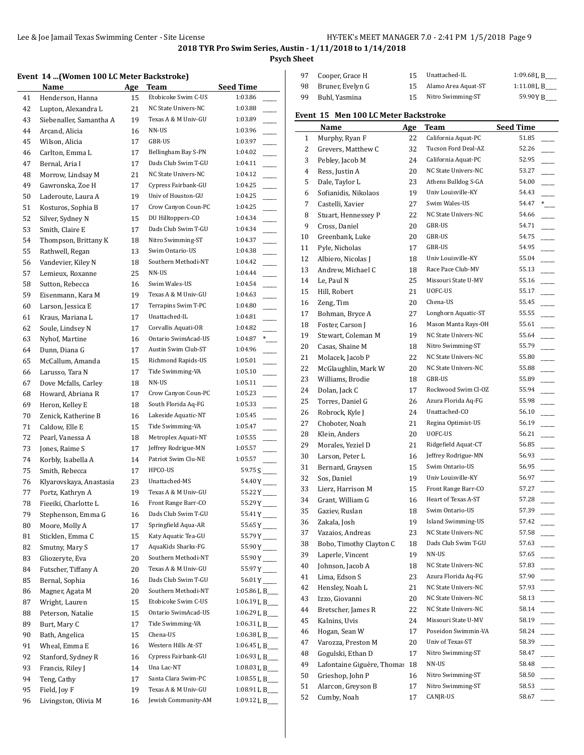**Psych Sheet**

### **Event 14 ...(Women 100 LC Meter Backstroke)**

|          | EVEIN 14  (WOMEN TOO LC METER DACKSLIUKE) |          |                     |                         |
|----------|-------------------------------------------|----------|---------------------|-------------------------|
|          | Name                                      | Age      | Team                | <b>Seed Time</b>        |
| 41       | Henderson, Hanna                          | 15       | Etobicoke Swim C-US | 1:03.86                 |
| 42       | Lupton, Alexandra L                       | 21       | NC State Univers-NC | 1:03.88                 |
| 43       | Siebenaller, Samantha A                   | 19       | Texas A & M Univ-GU | 1:03.89                 |
| 44       | Arcand, Alicia                            | 16       | NN-US               | 1:03.96                 |
| 45       | Wilson, Alicia                            | 17       | GBR-US              | 1:03.97                 |
| 46       | Carlton, Emma L                           | 17       | Bellingham Bay S-PN | 1:04.02                 |
| 47       | Bernal, Aria I                            | 17       | Dads Club Swim T-GU | 1:04.11                 |
| 48       | Morrow, Lindsay M                         | 21       | NC State Univers-NC | 1:04.12                 |
| 49       | Gawronska, Zoe H                          | 17       | Cypress Fairbank-GU | 1:04.25                 |
| 50       | Laderoute, Laura A                        | 19       | Univ of Houston-GU  | 1:04.25                 |
|          |                                           | 17       | Crow Canyon Coun-PC | 1:04.25                 |
| 51       | Kosturos, Sophia B                        |          | DU Hilltoppers-CO   | 1:04.34                 |
| 52       | Silver, Sydney N                          | 15       |                     |                         |
| 53       | Smith, Claire E                           | 17       | Dads Club Swim T-GU | 1:04.34                 |
| 54       | Thompson, Brittany K                      | 18       | Nitro Swimming-ST   | 1:04.37                 |
| 55       | Rathwell, Regan                           | 13       | Swim Ontario-US     | 1:04.38                 |
| 56       | Vandevier, Kiley N                        | 18       | Southern Methodi-NT | 1:04.42                 |
| 57       | Lemieux, Roxanne                          | 25       | NN-US               | 1:04.44                 |
| 58       | Sutton, Rebecca                           | 16       | Swim Wales-US       | 1:04.54                 |
| 59       | Eisenmann, Kara M                         | 19       | Texas A & M Univ-GU | 1:04.63                 |
| 60       | Larson, Jessica E                         | 17       | Terrapins Swim T-PC | 1:04.80                 |
| 61       | Kraus, Mariana L                          | 17       | Unattached-IL       | 1:04.81                 |
| 62       | Soule, Lindsey N                          | 17       | Corvallis Aquati-OR | 1:04.82                 |
| 63       | Nyhof, Martine                            | 16       | Ontario SwimAcad-US | 1:04.87<br>$*$          |
| 64       | Dunn, Diana G                             | 17       | Austin Swim Club-ST | 1:04.96                 |
| 65       | McCallum, Amanda                          | 15       | Richmond Rapids-US  | 1:05.01                 |
| 66       | Larusso, Tara N                           | 17       | Tide Swimming-VA    | 1:05.10                 |
| 67       | Dove Mcfalls, Carley                      | 18       | NN-US               | 1:05.11                 |
| 68       | Howard, Abriana R                         | 17       | Crow Canyon Coun-PC | 1:05.23                 |
| 69       | Heron, Kelley E                           | 18       | South Florida Aq-FG | 1:05.33                 |
| 70       | Zenick, Katherine B                       | 16       | Lakeside Aquatic-NT | 1:05.45                 |
| 71       | Caldow, Elle E                            | 15       | Tide Swimming-VA    | 1:05.47                 |
| 72       | Pearl, Vanessa A                          | 18       | Metroplex Aquati-NT | 1:05.55                 |
| 73       | Jones, Raime S                            | 17       | Jeffrey Rodrigue-MN | 1:05.57                 |
| 74       | Korbly, Isabella A                        | 14       | Patriot Swim Clu-NE | 1:05.57                 |
| 75       | Smith, Rebecca                            | 17       | HPCO-US             |                         |
| 76       | Klyarovskaya, Anastasia                   | 23       | Unattached-MS       | 54.40 Y                 |
| 77       | Portz, Kathryn A                          | 19       | Texas A & M Univ-GU | $55.22Y$ <sub>---</sub> |
| 78       | Fieeiki, Charlotte L                      | 16       | Front Range Barr-CO | $55.29Y$ <sub>---</sub> |
| 79       | Stephenson, Emma G                        | 16       | Dads Club Swim T-GU | $55.41Y$ <sub>---</sub> |
| 80       | Moore, Molly A                            | 17       | Springfield Aqua-AR | $55.65Y$ <sub>---</sub> |
| 81       | Sticklen, Emma C                          | 15       | Katy Aquatic Tea-GU | 55.79Y                  |
| 82       | Smutny, Mary S                            | 17       | AquaKids Sharks-FG  | $55.90Y$ <sub>---</sub> |
| 83       | Gliozeryte, Eva                           | 20       | Southern Methodi-NT | 55.90Y                  |
| 84       | Futscher, Tiffany A                       | 20       | Texas A & M Univ-GU | 55.97Y                  |
| 85       | Bernal, Sophia                            | 16       | Dads Club Swim T-GU | $56.01Y$ <sub>---</sub> |
| 86       | Magner, Agata M                           | 20       | Southern Methodi-NT | 1:05.86 L B             |
| 87       | Wright, Lauren                            | 15       | Etobicoke Swim C-US | 1:06.19 L B             |
| 88       | Peterson, Natalie                         | 15       | Ontario SwimAcad-US | 1:06.29 L B             |
| 89       | Burt, Mary C                              | 17       | Tide Swimming-VA    | 1:06.31 L B             |
| 90       | Bath, Angelica                            | 15       | Chena-US            | 1:06.38 L B             |
| 91       | Wheal, Emma E                             | 16       | Western Hills At-ST | 1:06.45 L B             |
| 92       | Stanford, Sydney R                        | 16       | Cypress Fairbank-GU | 1:06.93 L B             |
|          |                                           | 14       | Una Lac-NT          | 1:08.03 L B             |
| 93       | Francis, Riley J<br>Teng, Cathy           |          | Santa Clara Swim-PC | 1:08.55 L B___          |
| 94<br>95 |                                           | 17<br>19 | Texas A & M Univ-GU | 1:08.91 L B             |
|          | Field, Joy F                              |          | Jewish Community-AM | 1:09.12 L B             |
| 96       | Livingston, Olivia M                      | 16       |                     |                         |

| 97 | Cooper, Grace H     | 15.    | Unattached-IL       | $1:09.68$ J, B |
|----|---------------------|--------|---------------------|----------------|
|    | 98 Bruner, Evelyn G | $15 -$ | Alamo Area Aquat-ST | $1:11.08$ J, B |
| 99 | Buhl, Yasmina       | 15.    | Nitro Swimming-ST   | 59.90 Y B      |

## **Event 15 Men 100 LC Meter Backstroke**

|          | Name                       | <u>Age</u> | Team                | <b>Seed Time</b> |
|----------|----------------------------|------------|---------------------|------------------|
| 1        | Murphy, Ryan F             | 22         | California Aquat-PC | 51.85            |
| 2        | Grevers, Matthew C         | 32         | Tucson Ford Deal-AZ | 52.26            |
| 3        | Pebley, Jacob M            | 24         | California Aquat-PC | 52.95            |
| 4        | Ress, Justin A             | 20         | NC State Univers-NC | 53.27            |
| 5        | Dale, Taylor L             | 23         | Athens Bulldog S-GA | 54.00            |
| 6        | Sofianidis, Nikolaos       | 19         | Univ Louisville-KY  | 54.43            |
| 7        | Castelli, Xavier           | 27         | Swim Wales-US       | 54.47<br>$*$     |
| 8        | Stuart, Hennessey P        | 22         | NC State Univers-NC | 54.66            |
| 9        | Cross, Daniel              | 20         | GBR-US              | 54.71            |
| 10       | Greenbank, Luke            | 20         | GBR-US              | 54.75            |
| 11       | Pyle, Nicholas             | 17         | GBR-US              | 54.95            |
| 12       | Albiero, Nicolas J         | 18         | Univ Louisville-KY  | 55.04            |
| 13       | Andrew, Michael C          | 18         | Race Pace Club-MV   | 55.13            |
| 14       | Le, Paul N                 | 25         | Missouri State U-MV | 55.16            |
| 15       | Hill, Robert               | 21         | UOFC-US             | 55.17            |
| 16       | Zeng, Tim                  | 20         | Chena-US            | 55.45            |
| 17       | Bohman, Bryce A            | 27         | Longhorn Aquatic-ST | 55.55            |
| 18       | Foster, Carson J           | 16         | Mason Manta Rays-OH | 55.61            |
| 19       | Stewart, Coleman M         | 19         | NC State Univers-NC | 55.64            |
| 20       | Casas, Shaine M            | 18         | Nitro Swimming-ST   | 55.79            |
| 21       | Molacek, Jacob P           | 22         | NC State Univers-NC | 55.80            |
| 22       | McGlaughlin, Mark W        | 20         | NC State Univers-NC | 55.88            |
| 23       | Williams, Brodie           | 18         | GBR-US              | 55.89            |
| 24       | Dolan, Jack C              | 17         | Rockwood Swim Cl-OZ | 55.94            |
| 25       | Torres, Daniel G           | 26         | Azura Florida Aq-FG | 55.98            |
| 26       | Robrock, Kyle J            | 24         | Unattached-CO       | 56.10            |
| 27       | Choboter, Noah             | 21         | Regina Optimist-US  | 56.19            |
| 28       | Klein, Anders              | 20         | UOFC-US             | 56.21            |
| 29       | Morales, Yeziel D          | 21         | Ridgefield Aquat-CT | 56.85            |
| 30       | Larson, Peter L            | 16         | Jeffrey Rodrigue-MN | 56.93            |
| 31       | Bernard, Graysen           | 15         | Swim Ontario-US     | 56.95            |
| 32       | Sos, Daniel                | 19         | Univ Louisville-KY  | 56.97            |
| 33       | Lierz, Harrison M          | 15         | Front Range Barr-CO | 57.27            |
| 34       | Grant, William G           | 16         | Heart of Texas A-ST | 57.28            |
| 35       | Gaziev, Ruslan             | 18         | Swim Ontario-US     | 57.39            |
| 36       | Zakala, Josh               | 19         | Island Swimming-US  | 57.42            |
| 37       | Vazaios, Andreas           | 23         | NC State Univers-NC | 57.58            |
| 38       | Bobo, Timothy Clayton C    | 18         | Dads Club Swim T-GU | 57.63            |
| 39       | Laperle, Vincent           | 19         | NN-US               | 57.65            |
| 40       | Johnson, Jacob A           | 18         | NC State Univers-NC | 57.83            |
|          | Lima, Edson S              | 23         | Azura Florida Aq-FG | 57.90            |
| 41<br>42 | Hensley, Noah L            | 21         | NC State Univers-NC | 57.93            |
|          |                            |            | NC State Univers-NC | 58.13            |
| 43       | Izzo, Giovanni             | 20         | NC State Univers-NC |                  |
| 44       | Bretscher, James R         | 22         | Missouri State U-MV | 58.14            |
| 45       | Kalnins, Uvis              | 24         |                     | 58.19            |
| 46       | Hogan, Sean W              | 17         | Poseidon Swimmin-VA | 58.24            |
| 47       | Varozza, Preston M         | 20         | Univ of Texas-ST    | 58.39            |
| 48       | Gogulski, Ethan D          | 17         | Nitro Swimming-ST   | 58.47            |
| 49       | Lafontaine Giguère, Thomas | 18         | NN-US               | 58.48            |
| 50       | Grieshop, John P           | 16         | Nitro Swimming-ST   | 58.50            |
| 51       | Alarcon, Greyson B         | 17         | Nitro Swimming-ST   | 58.53            |
| 52       | Cumby, Noah                | 17         | CANJR-US            | 58.67            |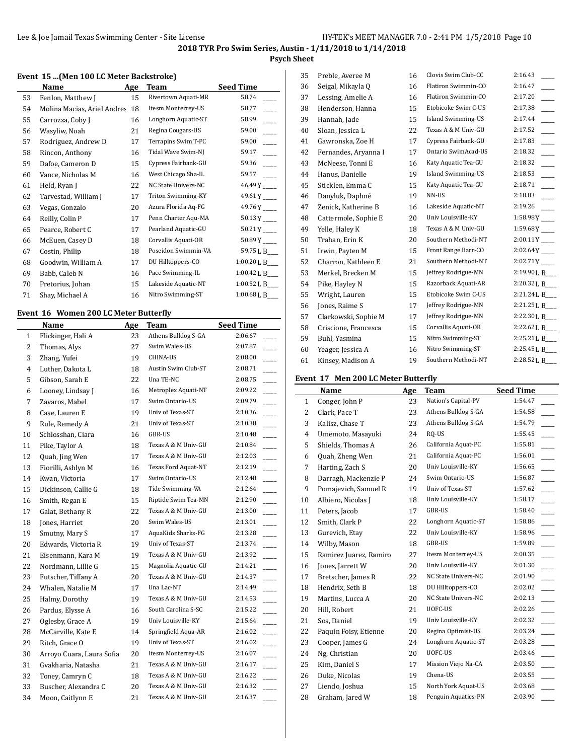## **Psych Sheet**

#### **Event 15 ...(Men 100 LC Meter Backstroke)**

|    | Name                        | Age | Team                | <b>Seed Time</b>        |
|----|-----------------------------|-----|---------------------|-------------------------|
| 53 | Fenlon, Matthew J           | 15  | Rivertown Aquati-MR | 58.74                   |
| 54 | Molina Macias, Ariel Andres | 18  | Itesm Monterrey-US  | 58.77                   |
| 55 | Carrozza, Coby J            | 16  | Longhorn Aquatic-ST | 58.99                   |
| 56 | Wasyliw, Noah               | 21  | Regina Cougars-US   | 59.00                   |
| 57 | Rodriguez, Andrew D         | 17  | Terrapins Swim T-PC | 59.00                   |
| 58 | Rincon, Anthony             | 16  | Tidal Wave Swim-NJ  | 59.17                   |
| 59 | Dafoe, Cameron D            | 15  | Cypress Fairbank-GU | 59.36                   |
| 60 | Vance, Nicholas M           | 16  | West Chicago Sha-IL | 59.57                   |
| 61 | Held, Ryan J                | 22  | NC State Univers-NC | 46.49 Y                 |
| 62 | Tarvestad, William J        | 17  | Triton Swimming-KY  | $49.61Y$ <sub>---</sub> |
| 63 | Vegas, Gonzalo              | 20  | Azura Florida Aq-FG | $49.76Y$ <sub>---</sub> |
| 64 | Reilly, Colin P             | 17  | Penn Charter Aqu-MA | 50.13 Y                 |
| 65 | Pearce, Robert C            | 17  | Pearland Aquatic-GU | 50.21 Y                 |
| 66 | McEuen, Casey D             | 18  | Corvallis Aquati-OR | 50.89 Y                 |
| 67 | Costin, Philip              | 18  | Poseidon Swimmin-VA | 59.75 L B__             |
| 68 | Goodwin, William A          | 17  | DU Hilltoppers-CO   | 1:00.20 L B___          |
| 69 | Babb, Caleb N               | 16  | Pace Swimming-IL    | 1:00.42 L B___          |
| 70 | Pretorius, Johan            | 15  | Lakeside Aquatic-NT | 1:00.52 L B             |
| 71 | Shay, Michael A             | 16  | Nitro Swimming-ST   | $1:00.68$ L B___        |

## **Event 16 Women 200 LC Meter Butterfly**

|                | Name                      | Age | Team                | <b>Seed Time</b>                    |
|----------------|---------------------------|-----|---------------------|-------------------------------------|
| $\mathbf{1}$   | Flickinger, Hali A        | 23  | Athens Bulldog S-GA | 2:06.67                             |
| $\overline{c}$ | Thomas, Alys              | 27  | Swim Wales-US       | 2:07.87                             |
| 3              | Zhang, Yufei              | 19  | <b>CHINA-US</b>     | 2:08.00                             |
| $\overline{4}$ | Luther, Dakota L          | 18  | Austin Swim Club-ST | 2:08.71                             |
| 5              | Gibson, Sarah E           | 22  | Una TE-NC           | 2:08.75<br>$\overline{a}$           |
| 6              | Looney, Lindsay J         | 16  | Metroplex Aquati-NT | 2:09.22                             |
| 7              | Zavaros, Mabel            | 17  | Swim Ontario-US     | 2:09.79                             |
| 8              | Case, Lauren E            | 19  | Univ of Texas-ST    | 2:10.36                             |
| 9              | Rule, Remedy A            | 21  | Univ of Texas-ST    | 2:10.38                             |
| 10             | Schlosshan, Ciara         | 16  | GBR-US              | 2:10.48                             |
| 11             | Pike, Taylor A            | 18  | Texas A & M Univ-GU | 2:10.84                             |
| 12             | Quah, Jing Wen            | 17  | Texas A & M Univ-GU | 2:12.03                             |
| 13             | Fiorilli, Ashlyn M        | 16  | Texas Ford Aquat-NT | 2:12.19<br>$\overline{a}$           |
| 14             | Kwan, Victoria            | 17  | Swim Ontario-US     | 2:12.48                             |
| 15             | Dickinson, Callie G       | 18  | Tide Swimming-VA    | 2:12.64                             |
| 16             | Smith, Regan E            | 15  | Riptide Swim Tea-MN | 2:12.90                             |
| 17             | Galat, Bethany R          | 22  | Texas A & M Univ-GU | 2:13.00                             |
| 18             | Jones, Harriet            | 20  | Swim Wales-US       | 2:13.01                             |
| 19             | Smutny, Mary S            | 17  | AquaKids Sharks-FG  | 2:13.28                             |
| 20             | Edwards, Victoria R       | 19  | Univ of Texas-ST    | 2:13.74                             |
| 21             | Eisenmann, Kara M         | 19  | Texas A & M Univ-GU | 2:13.92                             |
| 22             | Nordmann, Lillie G        | 15  | Magnolia Aquatic-GU | 2:14.21<br>$\overline{a}$           |
| 23             | Futscher, Tiffany A       | 20  | Texas A & M Univ-GU | 2:14.37                             |
| 24             | Whalen, Natalie M         | 17  | Una Lac-NT          | 2:14.49<br>$\overline{\phantom{a}}$ |
| 25             | Halmy, Dorothy            | 19  | Texas A & M Univ-GU | 2:14.53                             |
| 26             | Pardus, Elysse A          | 16  | South Carolina S-SC | 2:15.22                             |
| 27             | Oglesby, Grace A          | 19  | Univ Louisville-KY  | 2:15.64<br>$\overline{a}$           |
| 28             | McCarville, Kate E        | 14  | Springfield Aqua-AR | 2:16.02<br>$\overline{\phantom{a}}$ |
| 29             | Ritch, Grace O            | 19  | Univ of Texas-ST    | 2:16.02                             |
| 30             | Arroyo Cuara, Laura Sofia | 20  | Itesm Monterrey-US  | 2:16.07                             |
| 31             | Gvakharia, Natasha        | 21  | Texas A & M Univ-GU | 2:16.17                             |
| 32             | Toney, Camryn C           | 18  | Texas A & M Univ-GU | 2:16.22                             |
| 33             | Buscher, Alexandra C      | 20  | Texas A & M Univ-GU | 2:16.32                             |
| 34             | Moon, Caitlynn E          | 21  | Texas A & M Univ-GU | 2:16.37                             |
|                |                           |     |                     |                                     |

| 35 | Preble, Averee M     | 16 | Clovis Swim Club-CC       | 2:16.43                    |
|----|----------------------|----|---------------------------|----------------------------|
| 36 | Seigal, Mikayla Q    | 16 | Flatiron Swimmin-CO       | 2:16.47                    |
| 37 | Lessing, Amelie A    | 16 | Flatiron Swimmin-CO       | 2:17.20                    |
| 38 | Henderson, Hanna     | 15 | Etobicoke Swim C-US       | 2:17.38                    |
| 39 | Hannah, Jade         | 15 | Island Swimming-US        | 2:17.44                    |
| 40 | Sloan, Jessica L     | 22 | Texas A & M Univ-GU       | 2:17.52                    |
| 41 | Gawronska, Zoe H     | 17 | Cypress Fairbank-GU       | 2:17.83                    |
| 42 | Fernandes, Aryanna I | 17 | Ontario SwimAcad-US       | 2:18.32                    |
| 43 | McNeese, Tonni E     | 16 | Katy Aquatic Tea-GU       | 2:18.32                    |
| 44 | Hanus, Danielle      | 19 | <b>Island Swimming-US</b> | 2:18.53                    |
| 45 | Sticklen, Emma C     | 15 | Katy Aquatic Tea-GU       | 2:18.71                    |
| 46 | Danyluk, Daphné      | 19 | NN-US                     | 2:18.83                    |
| 47 | Zenick, Katherine B  | 16 | Lakeside Aquatic-NT       | 2:19.26                    |
| 48 | Cattermole, Sophie E | 20 | Univ Louisville-KY        | 1:58.98Y                   |
| 49 | Yelle, Haley K       | 18 | Texas A & M Univ-GU       | $1:59.68Y$ <sub>----</sub> |
| 50 | Trahan, Erin K       | 20 | Southern Methodi-NT       | $2:00.11$ Y                |
| 51 | Irwin, Payten M      | 15 | Front Range Barr-CO       | 2:02.64Y                   |
| 52 | Charron, Kathleen E  | 21 | Southern Methodi-NT       | 2:02.71Y                   |
| 53 | Merkel, Brecken M    | 15 | Jeffrey Rodrigue-MN       | 2:19.90 L B_               |
| 54 | Pike, Hayley N       | 15 | Razorback Aquati-AR       | 2:20.32 L B_               |
| 55 | Wright, Lauren       | 15 | Etobicoke Swim C-US       | 2:21.24 L B_               |
| 56 | Jones, Raime S       | 17 | Jeffrey Rodrigue-MN       | 2:21.25 L B___             |
| 57 | Clarkowski, Sophie M | 17 | Jeffrey Rodrigue-MN       | 2:22.30 L B_               |
| 58 | Criscione, Francesca | 15 | Corvallis Aquati-OR       | 2:22.62 L B_               |
| 59 | Buhl, Yasmina        | 15 | Nitro Swimming-ST         | 2:25.21 L B                |
| 60 | Yeager, Jessica A    | 16 | Nitro Swimming-ST         | 2:25.45 L B_               |
| 61 | Kinsey, Madison A    | 19 | Southern Methodi-NT       | 2:28.52 L B_               |
|    |                      |    |                           |                            |

#### **Event 17 Men 200 LC Meter Butterfly**

|    | Name                   | Age | Team                | <b>Seed Time</b> |
|----|------------------------|-----|---------------------|------------------|
| 1  | Conger, John P         | 23  | Nation's Capital-PV | 1:54.47          |
| 2  | Clark, Pace T          | 23  | Athens Bulldog S-GA | 1:54.58          |
| 3  | Kalisz, Chase T        | 23  | Athens Bulldog S-GA | 1:54.79          |
| 4  | Umemoto, Masayuki      | 24  | RQ-US               | 1:55.45          |
| 5  | Shields, Thomas A      | 26  | California Aquat-PC | 1:55.81          |
| 6  | Quah, Zheng Wen        | 21  | California Aquat-PC | 1:56.01          |
| 7  | Harting, Zach S        | 20  | Univ Louisville-KY  | 1:56.65          |
| 8  | Darragh, Mackenzie P   | 24  | Swim Ontario-US     | 1:56.87          |
| 9  | Pomajevich, Samuel R   | 19  | Univ of Texas-ST    | 1:57.62          |
| 10 | Albiero, Nicolas J     | 18  | Univ Louisville-KY  | 1:58.17          |
| 11 | Peters, Jacob          | 17  | GBR-US              | 1:58.40          |
| 12 | Smith, Clark P         | 22  | Longhorn Aquatic-ST | 1:58.86          |
| 13 | Gurevich, Etay         | 22  | Univ Louisville-KY  | 1:58.96          |
| 14 | Wilby, Mason           | 18  | GBR-US              | 1:59.89          |
| 15 | Ramirez Juarez, Ramiro | 27  | Itesm Monterrey-US  | 2:00.35          |
| 16 | Jones, Jarrett W       | 20  | Univ Louisville-KY  | 2:01.30          |
| 17 | Bretscher, James R     | 22  | NC State Univers-NC | 2:01.90          |
| 18 | Hendrix, Seth B        | 18  | DU Hilltoppers-CO   | 2:02.02          |
| 19 | Martins, Lucca A       | 20  | NC State Univers-NC | 2:02.13          |
| 20 | Hill, Robert           | 21  | UOFC-US             | 2:02.26          |
| 21 | Sos, Daniel            | 19  | Univ Louisville-KY  | 2:02.32          |
| 22 | Paquin Foisy, Etienne  | 20  | Regina Optimist-US  | 2:03.24          |
| 23 | Cooper, James G        | 24  | Longhorn Aquatic-ST | 2:03.28          |
| 24 | Ng, Christian          | 20  | UOFC-US             | 2:03.46          |
| 25 | Kim, Daniel S          | 17  | Mission Viejo Na-CA | 2:03.50          |
| 26 | Duke, Nicolas          | 19  | Chena-US            | 2:03.55          |
| 27 | Liendo, Joshua         | 15  | North York Aquat-US | 2:03.68          |
| 28 | Graham, Jared W        | 18  | Penguin Aquatics-PN | 2:03.90          |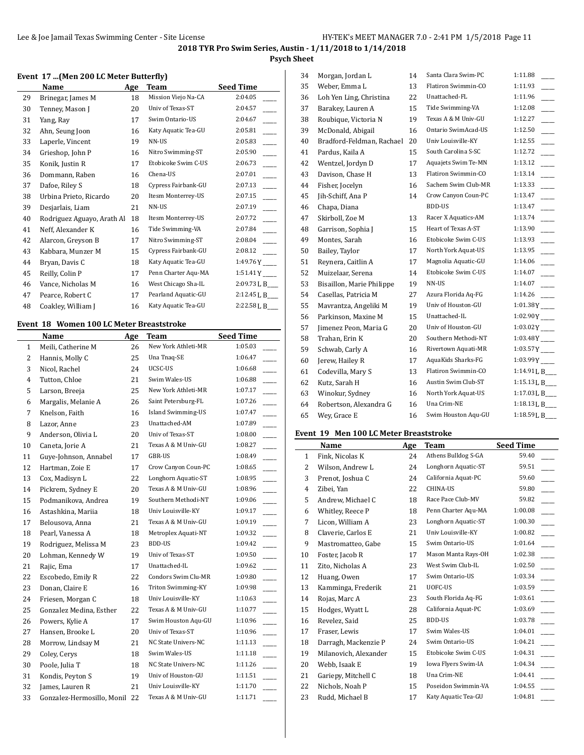**Psych Sheet**

#### **Event 17 ...(Men 200 LC Meter Butterfly)**

|    | Name                       | Age | Team                | <b>Seed Time</b> |
|----|----------------------------|-----|---------------------|------------------|
| 29 | Brinegar, James M          | 18  | Mission Viejo Na-CA | 2:04.05          |
| 30 | Tenney, Mason J            | 20  | Univ of Texas-ST    | 2:04.57          |
| 31 | Yang, Ray                  | 17  | Swim Ontario-US     | 2:04.67          |
| 32 | Ahn, Seung Joon            | 16  | Katy Aquatic Tea-GU | 2:05.81          |
| 33 | Laperle, Vincent           | 19  | NN-US               | 2:05.83          |
| 34 | Grieshop, John P           | 16  | Nitro Swimming-ST   | 2:05.90          |
| 35 | Konik, Justin R            | 17  | Etobicoke Swim C-US | 2:06.73          |
| 36 | Dommann, Raben             | 16  | Chena-US            | 2:07.01          |
| 37 | Dafoe, Riley S             | 18  | Cypress Fairbank-GU | 2:07.13          |
| 38 | Urbina Prieto, Ricardo     | 20  | Itesm Monterrey-US  | 2:07.15          |
| 39 | Desjarlais, Liam           | 21  | NN-US               | 2:07.19          |
| 40 | Rodriguez Aguayo, Arath Al | 18  | Itesm Monterrey-US  | 2:07.72          |
| 41 | Neff, Alexander K          | 16  | Tide Swimming-VA    | 2:07.84          |
| 42 | Alarcon, Greyson B         | 17  | Nitro Swimming-ST   | 2:08.04          |
| 43 | Kabbara, Munzer M          | 15  | Cypress Fairbank-GU | 2:08.12          |
| 44 | Bryan, Davis C             | 18  | Katy Aquatic Tea-GU | 1:49.76 Y        |
| 45 | Reilly, Colin P            | 17  | Penn Charter Aqu-MA | 1:51.41 Y        |
| 46 | Vance, Nicholas M          | 16  | West Chicago Sha-IL | 2:09.73 L B___   |
| 47 | Pearce, Robert C           | 17  | Pearland Aquatic-GU | 2:12.45 L B___   |
| 48 | Coakley, William J         | 16  | Katy Aquatic Tea-GU | 2:22.58 L B      |
|    |                            |     |                     |                  |

### **Event 18 Women 100 LC Meter Breaststroke**

|    | Name                       | <b>Age</b> | <b>Team</b>         | <b>Seed Time</b> |
|----|----------------------------|------------|---------------------|------------------|
| 1  | Meili, Catherine M         | 26         | New York Athleti-MR | 1:05.03          |
| 2  | Hannis, Molly C            | 25         | Una Tnaq-SE         | 1:06.47          |
| 3  | Nicol, Rachel              | 24         | UCSC-US             | 1:06.68          |
| 4  | Tutton, Chloe              | 21         | Swim Wales-US       | 1:06.88          |
| 5  | Larson, Breeja             | 25         | New York Athleti-MR | 1:07.17          |
| 6  | Margalis, Melanie A        | 26         | Saint Petersburg-FL | 1:07.26          |
| 7  | Knelson, Faith             | 16         | Island Swimming-US  | 1:07.47          |
| 8  | Lazor, Anne                | 23         | Unattached-AM       | 1:07.89          |
| 9  | Anderson, Olivia L         | 20         | Univ of Texas-ST    | 1:08.00          |
| 10 | Caneta, Jorie A            | 21         | Texas A & M Univ-GU | 1:08.27          |
| 11 | Guye-Johnson, Annabel      | 17         | GBR-US              | 1:08.49          |
| 12 | Hartman, Zoie E            | 17         | Crow Canyon Coun-PC | 1:08.65          |
| 13 | Cox, Madisyn L             | 22         | Longhorn Aquatic-ST | 1:08.95          |
| 14 | Pickrem, Sydney E          | 20         | Texas A & M Univ-GU | 1:08.96          |
| 15 | Podmanikova, Andrea        | 19         | Southern Methodi-NT | 1:09.06          |
| 16 | Astashkina, Mariia         | 18         | Univ Louisville-KY  | 1:09.17          |
| 17 | Belousova, Anna            | 21         | Texas A & M Univ-GU | 1:09.19          |
| 18 | Pearl, Vanessa A           | 18         | Metroplex Aquati-NT | 1:09.32          |
| 19 | Rodriguez, Melissa M       | 23         | <b>BDD-US</b>       | 1:09.42          |
| 20 | Lohman, Kennedy W          | 19         | Univ of Texas-ST    | 1:09.50          |
| 21 | Rajic, Ema                 | 17         | Unattached-IL       | 1:09.62          |
| 22 | Escobedo, Emily R          | 22         | Condors Swim Clu-MR | 1:09.80          |
| 23 | Donan, Claire E            | 16         | Triton Swimming-KY  | 1:09.98          |
| 24 | Friesen, Morgan C          | 18         | Univ Louisville-KY  | 1:10.63          |
| 25 | Gonzalez Medina, Esther    | 22         | Texas A & M Univ-GU | 1:10.77          |
| 26 | Powers, Kylie A            | 17         | Swim Houston Aqu-GU | 1:10.96          |
| 27 | Hansen, Brooke L           | 20         | Univ of Texas-ST    | 1:10.96          |
| 28 | Morrow, Lindsay M          | 21         | NC State Univers-NC | 1:11.13          |
| 29 | Coley, Cerys               | 18         | Swim Wales-US       | 1:11.18          |
| 30 | Poole, Julia T             | 18         | NC State Univers-NC | 1:11.26          |
| 31 | Kondis, Peyton S           | 19         | Univ of Houston-GU  | 1:11.51          |
| 32 | James, Lauren R            | 21         | Univ Louisville-KY  | 1:11.70          |
| 33 | Gonzalez-Hermosillo, Monil | 22         | Texas A & M Univ-GU | 1:11.71          |

| 34 | Morgan, Jordan L          | 14 | Santa Clara Swim-PC | 1:11.88                   |
|----|---------------------------|----|---------------------|---------------------------|
| 35 | Weber, Emma L             | 13 | Flatiron Swimmin-CO | 1:11.93                   |
| 36 | Loh Yen Ling, Christina   | 22 | Unattached-FL       | 1:11.96                   |
| 37 | Barakey, Lauren A         | 15 | Tide Swimming-VA    | 1:12.08                   |
| 38 | Roubique, Victoria N      | 19 | Texas A & M Univ-GU | 1:12.27                   |
| 39 | McDonald, Abigail         | 16 | Ontario SwimAcad-US | 1:12.50                   |
| 40 | Bradford-Feldman, Rachael | 20 | Univ Louisville-KY  | 1:12.55                   |
| 41 | Pardus, Kaila A           | 15 | South Carolina S-SC | 1:12.72                   |
| 42 | Wentzel, Jordyn D         | 17 | Aquajets Swim Te-MN | 1:13.12                   |
| 43 | Davison, Chase H          | 13 | Flatiron Swimmin-CO | 1:13.14                   |
| 44 | Fisher, Jocelyn           | 16 | Sachem Swim Club-MR | 1:13.33                   |
| 45 | Jih-Schiff, Ana P         | 14 | Crow Canyon Coun-PC | 1:13.47                   |
| 46 | Chapa, Diana              |    | BDD-US              | 1:13.47                   |
| 47 | Skirboll, Zoe M           | 13 | Racer X Aquatics-AM | 1:13.74                   |
| 48 | Garrison, Sophia J        | 15 | Heart of Texas A-ST | 1:13.90                   |
| 49 | Montes, Sarah             | 16 | Etobicoke Swim C-US | 1:13.93                   |
| 50 | Bailey, Taylor            | 17 | North York Aquat-US | 1:13.95                   |
| 51 | Reynera, Caitlin A        | 17 | Magnolia Aquatic-GU | 1:14.06                   |
| 52 | Muizelaar, Serena         | 14 | Etobicoke Swim C-US | 1:14.07                   |
| 53 | Bisaillon, Marie Philippe | 19 | NN-US               | 1:14.07                   |
| 54 | Casellas, Patricia M      | 27 | Azura Florida Aq-FG | 1:14.26                   |
| 55 | Mavrantza, Angeliki M     | 19 | Univ of Houston-GU  | $1:01.38Y$ <sub>---</sub> |
| 56 | Parkinson, Maxine M       | 15 | Unattached-IL       | 1:02.90Y                  |
| 57 | Jimenez Peon, Maria G     | 20 | Univ of Houston-GU  | $1:03.02$ Y               |
| 58 | Trahan, Erin K            | 20 | Southern Methodi-NT | $1:03.48Y$ <sub>---</sub> |
| 59 | Schwab, Carly A           | 16 | Rivertown Aquati-MR | $1:03.57$ Y               |
| 60 | Jerew, Hailey R           | 17 | AquaKids Sharks-FG  | $1:03.99Y$ <sub>---</sub> |
| 61 | Codevilla, Mary S         | 13 | Flatiron Swimmin-CO | 1:14.91 L B_              |
| 62 | Kutz, Sarah H             | 16 | Austin Swim Club-ST | 1:15.13 L B               |
| 63 | Winokur, Sydney           | 16 | North York Aquat-US | 1:17.03 L B               |
| 64 | Robertson, Alexandra G    | 16 | Una Crim-NE         | 1:18.13 L B               |
| 65 | Wey, Grace E              | 16 | Swim Houston Aqu-GU | 1:18.59L B                |
|    |                           |    |                     |                           |

#### **Event 19 Men 100 LC Meter Breaststroke**

|              | Name                  | Age | Team                | <b>Seed Time</b> |
|--------------|-----------------------|-----|---------------------|------------------|
| $\mathbf{1}$ | Fink, Nicolas K       | 24  | Athens Bulldog S-GA | 59.40            |
| 2            | Wilson, Andrew L      | 24  | Longhorn Aquatic-ST | 59.51            |
| 3            | Prenot, Joshua C      | 24  | California Aquat-PC | 59.60            |
| 4            | Zibei, Yan            | 22  | CHINA-US            | 59.80            |
| 5            | Andrew, Michael C     | 18  | Race Pace Club-MV   | 59.82            |
| 6            | Whitley, Reece P      | 18  | Penn Charter Aqu-MA | 1:00.08          |
| 7            | Licon, William A      | 23  | Longhorn Aquatic-ST | 1:00.30          |
| 8            | Claverie, Carlos E    | 21  | Univ Louisville-KY  | 1:00.82          |
| 9            | Mastromatteo, Gabe    | 15  | Swim Ontario-US     | 1:01.64          |
| 10           | Foster, Jacob R       | 17  | Mason Manta Rays-OH | 1:02.38          |
| 11           | Zito, Nicholas A      | 23  | West Swim Club-IL   | 1:02.50          |
| 12           | Huang, Owen           | 17  | Swim Ontario-US     | 1:03.34          |
| 13           | Kamminga, Frederik    | 21  | UOFC-US             | 1:03.59          |
| 14           | Rojas, Marc A         | 23  | South Florida Aq-FG | 1:03.61          |
| 15           | Hodges, Wyatt L       | 28  | California Aquat-PC | 1:03.69          |
| 16           | Revelez, Said         | 25  | BDD-US              | 1:03.78          |
| 17           | Fraser, Lewis         | 17  | Swim Wales-US       | 1:04.01          |
| 18           | Darragh, Mackenzie P  | 24  | Swim Ontario-US     | 1:04.21          |
| 19           | Milanovich, Alexander | 15  | Etobicoke Swim C-US | 1:04.31          |
| 20           | Webb, Isaak E         | 19  | Iowa Flyers Swim-IA | 1:04.34          |
| 21           | Gariepy, Mitchell C   | 18  | Una Crim-NE         | 1:04.41          |
| 22           | Nichols, Noah P       | 15  | Poseidon Swimmin-VA | 1:04.55          |
| 23           | Rudd. Michael B       | 17  | Katy Aquatic Tea-GU | 1:04.81          |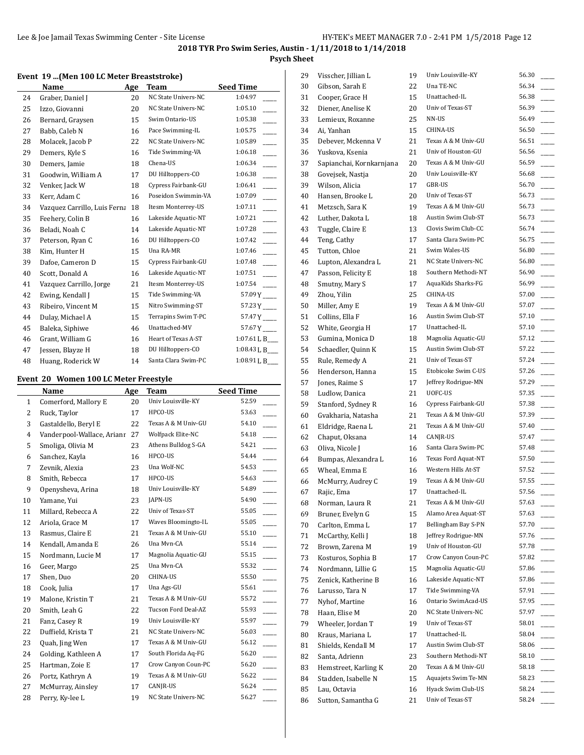**Psych Sheet**

#### **Event 19 ...(Men 100 LC Meter Breaststroke)**

|    | Name                         | Age | Team                | <b>Seed Time</b>                    |
|----|------------------------------|-----|---------------------|-------------------------------------|
| 24 | Graber, Daniel J             | 20  | NC State Univers-NC | 1:04.97                             |
| 25 | Izzo, Giovanni               | 20  | NC State Univers-NC | 1:05.10                             |
| 26 | Bernard, Graysen             | 15  | Swim Ontario-US     | 1:05.38                             |
| 27 | Babb, Caleb N                | 16  | Pace Swimming-IL    | 1:05.75                             |
| 28 | Molacek, Jacob P             | 22  | NC State Univers-NC | 1:05.89                             |
| 29 | Demers, Kyle S               | 16  | Tide Swimming-VA    | 1:06.18                             |
| 30 | Demers, Jamie                | 18  | Chena-US            | 1:06.34<br>$\overline{\phantom{a}}$ |
| 31 | Goodwin, William A           | 17  | DU Hilltoppers-CO   | 1:06.38                             |
| 32 | Venker, Jack W               | 18  | Cypress Fairbank-GU | $\overline{a}$<br>1:06.41           |
| 33 | Kerr, Adam C                 | 16  | Poseidon Swimmin-VA | 1:07.09                             |
| 34 | Vazquez Carrillo, Luis Ferna | 18  | Itesm Monterrey-US  | 1:07.11                             |
| 35 | Feehery, Colin B             | 16  | Lakeside Aquatic-NT | 1:07.21                             |
| 36 | Beladi, Noah C               | 14  | Lakeside Aquatic-NT | 1:07.28                             |
| 37 | Peterson, Ryan C             | 16  | DU Hilltoppers-CO   | 1:07.42                             |
| 38 | Kim, Hunter H                | 15  | Una RA-MR           | 1:07.46                             |
| 39 | Dafoe, Cameron D             | 15  | Cypress Fairbank-GU | 1:07.48<br>$\overline{a}$           |
| 40 | Scott, Donald A              | 16  | Lakeside Aquatic-NT | 1:07.51                             |
| 41 | Vazquez Carrillo, Jorge      | 21  | Itesm Monterrey-US  | 1:07.54                             |
| 42 | Ewing, Kendall J             | 15  | Tide Swimming-VA    | 57.09 Y                             |
| 43 | Ribeiro, Vincent M           | 15  | Nitro Swimming-ST   | 57.23 Y                             |
| 44 | Dulay, Michael A             | 15  | Terrapins Swim T-PC | 57.47 Y                             |
| 45 | Baleka, Siphiwe              | 46  | Unattached-MV       | 57.67 Y                             |
| 46 | Grant, William G             | 16  | Heart of Texas A-ST | 1:07.61 L B                         |
| 47 | Jessen, Blayze H             | 18  | DU Hilltoppers-CO   | 1:08.43 L B__                       |
| 48 | Huang, Roderick W            | 14  | Santa Clara Swim-PC | 1:08.91 L B___                      |

#### **Event 20 Women 100 LC Meter Freestyle**

|                | Name                       | Age | <b>Team</b>         | <b>Seed Time</b> |
|----------------|----------------------------|-----|---------------------|------------------|
| $\mathbf{1}$   | Comerford, Mallory E       | 20  | Univ Louisville-KY  | 52.59            |
| 2              | Ruck, Taylor               | 17  | HPCO-US             | 53.63            |
| 3              | Gastaldello, Beryl E       | 22  | Texas A & M Univ-GU | 54.10            |
| $\overline{4}$ | Vanderpool-Wallace, Arianr | 27  | Wolfpack Elite-NC   | 54.18            |
| 5              | Smoliga, Olivia M          | 23  | Athens Bulldog S-GA | 54.21            |
| 6              | Sanchez, Kayla             | 16  | HPCO-US             | 54.44            |
| 7              | Zevnik, Alexia             | 23  | Una Wolf-NC         | 54.53            |
| 8              | Smith, Rebecca             | 17  | HPCO-US             | 54.63            |
| 9              | Openysheva, Arina          | 18  | Univ Louisville-KY  | 54.89            |
| 10             | Yamane, Yui                | 23  | <b>JAPN-US</b>      | 54.90            |
| 11             | Millard, Rebecca A         | 22  | Univ of Texas-ST    | 55.05            |
| 12             | Ariola, Grace M            | 17  | Waves Bloomingto-IL | 55.05            |
| 13             | Rasmus, Claire E           | 21  | Texas A & M Univ-GU | 55.10            |
| 14             | Kendall, Amanda E          | 26  | Una Mvn-CA          | 55.14            |
| 15             | Nordmann, Lucie M          | 17  | Magnolia Aquatic-GU | 55.15            |
| 16             | Geer, Margo                | 25  | Una Mvn-CA          | 55.32            |
| 17             | Shen, Duo                  | 20  | <b>CHINA-US</b>     | 55.50            |
| 18             | Cook, Julia                | 17  | Una Ags-GU          | 55.61            |
| 19             | Malone, Kristin T          | 21  | Texas A & M Univ-GU | 55.72            |
| 20             | Smith, Leah G              | 22  | Tucson Ford Deal-AZ | 55.93            |
| 21             | Fanz, Casey R              | 19  | Univ Louisville-KY  | 55.97            |
| 22             | Duffield, Krista T         | 21  | NC State Univers-NC | 56.03            |
| 23             | Quah, Jing Wen             | 17  | Texas A & M Univ-GU | 56.12            |
| 24             | Golding, Kathleen A        | 17  | South Florida Aq-FG | 56.20            |
| 25             | Hartman, Zoie E            | 17  | Crow Canyon Coun-PC | 56.20            |
| 26             | Portz, Kathryn A           | 19  | Texas A & M Univ-GU | 56.22            |
| 27             | McMurray, Ainsley          | 17  | CANJR-US            | 56.24            |
| 28             | Perry, Ky-lee L            | 19  | NC State Univers-NC | 56.27            |

| 29 | Visscher, Jillian L      | 19 | Univ Louisville-KY  | 56.30          |
|----|--------------------------|----|---------------------|----------------|
| 30 | Gibson, Sarah E          | 22 | Una TE-NC           | 56.34          |
| 31 | Cooper, Grace H          | 15 | Unattached-IL       | 56.38          |
| 32 | Diener, Anelise K        | 20 | Univ of Texas-ST    | 56.39          |
| 33 | Lemieux, Roxanne         | 25 | NN-US               | 56.49          |
| 34 | Ai, Yanhan               | 15 | CHINA-US            | 56.50          |
| 35 | Debever, Mckenna V       | 21 | Texas A & M Univ-GU | 56.51          |
| 36 | Yuskova, Ksenia          | 21 | Univ of Houston-GU  | 56.56          |
| 37 | Sapianchai, Kornkarnjana | 20 | Texas A & M Univ-GU | 56.59          |
| 38 | Govejsek, Nastja         | 20 | Univ Louisville-KY  | 56.68          |
| 39 | Wilson, Alicia           | 17 | GBR-US              | 56.70          |
| 40 | Hansen, Brooke L         | 20 | Univ of Texas-ST    | 56.73          |
| 41 | Metzsch, Sara K          | 19 | Texas A & M Univ-GU | 56.73          |
| 42 | Luther, Dakota L         | 18 | Austin Swim Club-ST | 56.73          |
| 43 | Tuggle, Claire E         | 13 | Clovis Swim Club-CC | 56.74          |
| 44 | Teng, Cathy              | 17 | Santa Clara Swim-PC | 56.75          |
| 45 | Tutton, Chloe            | 21 | Swim Wales-US       | 56.80          |
| 46 | Lupton, Alexandra L      | 21 | NC State Univers-NC | 56.80          |
| 47 | Passon, Felicity E       | 18 | Southern Methodi-NT | 56.90          |
| 48 | Smutny, Mary S           | 17 | AquaKids Sharks-FG  | 56.99          |
| 49 | Zhou, Yilin              | 25 | CHINA-US            | 57.00          |
| 50 | Miller, Amy E            | 19 | Texas A & M Univ-GU | 57.07          |
| 51 | Collins, Ella F          | 16 | Austin Swim Club-ST | 57.10          |
| 52 | White, Georgia H         | 17 | Unattached-IL       | 57.10          |
| 53 | Gumina, Monica D         | 18 | Magnolia Aquatic-GU | 57.12          |
| 54 | Schaedler, Quinn K       | 15 | Austin Swim Club-ST | 57.22          |
| 55 | Rule, Remedy A           | 21 | Univ of Texas-ST    | 57.24          |
| 56 | Henderson, Hanna         | 15 | Etobicoke Swim C-US | 57.26          |
| 57 | Jones, Raime S           | 17 | Jeffrey Rodrigue-MN | 57.29          |
| 58 | Ludlow, Danica           | 21 | UOFC-US             | 57.35          |
| 59 | Stanford, Sydney R       | 16 | Cypress Fairbank-GU | 57.38          |
| 60 | Gvakharia, Natasha       | 21 | Texas A & M Univ-GU | 57.39          |
| 61 | Eldridge, Raena L        | 21 | Texas A & M Univ-GU | 57.40          |
| 62 | Chaput, Oksana           | 14 | CANJR-US            | 57.47          |
| 63 | Oliva, Nicole J          | 16 | Santa Clara Swim-PC | 57.48          |
|    |                          |    | Texas Ford Aquat-NT | 57.50          |
| 64 | Bumpas, Alexandra L      | 16 | Western Hills At-ST |                |
| 65 | Wheal, Emma E            | 16 | Texas A & M Univ-GU | 57.52          |
| 66 | McMurry, Audrey C        | 19 |                     | 57.55<br>57.56 |
| 67 | Rajic, Ema               | 17 | Unattached-IL       |                |
| 68 | Norman, Laura R          | 21 | Texas A & M Univ-GU | 57.63          |
| 69 | Bruner, Evelyn G         | 15 | Alamo Area Aquat-ST | 57.63          |
| 70 | Carlton, Emma L          | 17 | Bellingham Bay S-PN | 57.70          |
| 71 | McCarthy, Kelli J        | 18 | Jeffrey Rodrigue-MN | 57.76          |
| 72 | Brown, Zarena M          | 19 | Univ of Houston-GU  | 57.78          |
| 73 | Kosturos, Sophia B       | 17 | Crow Canyon Coun-PC | 57.82          |
| 74 | Nordmann, Lillie G       | 15 | Magnolia Aquatic-GU | 57.86          |
| 75 | Zenick, Katherine B      | 16 | Lakeside Aquatic-NT | 57.86          |
| 76 | Larusso, Tara N          | 17 | Tide Swimming-VA    | 57.91          |
| 77 | Nyhof, Martine           | 16 | Ontario SwimAcad-US | 57.95          |
| 78 | Haan, Elise M            | 20 | NC State Univers-NC | 57.97          |
| 79 | Wheeler, Jordan T        | 19 | Univ of Texas-ST    | 58.01          |
| 80 | Kraus, Mariana L         | 17 | Unattached-IL       | 58.04          |
| 81 | Shields, Kendall M       | 17 | Austin Swim Club-ST | 58.06          |
| 82 | Santa, Adrienn           | 23 | Southern Methodi-NT | 58.10          |
| 83 | Hemstreet, Karling K     | 20 | Texas A & M Univ-GU | 58.18          |
| 84 | Stadden, Isabelle N      | 15 | Aquajets Swim Te-MN | 58.23          |
| 85 | Lau, Octavia             | 16 | Hyack Swim Club-US  | 58.24          |
| 86 | Sutton, Samantha G       | 21 | Univ of Texas-ST    | 58.24          |
|    |                          |    |                     |                |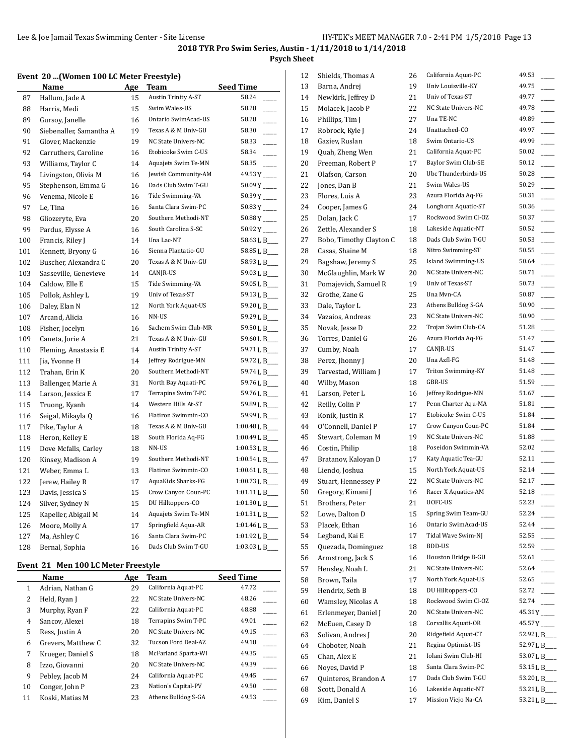**Psych Sheet**

#### **Event 20 ...(Women 100 LC Meter Freestyle)**

|     | Name                    | Age | Team                       | <b>Seed Time</b>        |
|-----|-------------------------|-----|----------------------------|-------------------------|
| 87  | Hallum, Jade A          | 15  | <b>Austin Trinity A-ST</b> | 58.24                   |
| 88  | Harris, Medi            | 15  | Swim Wales-US              | 58.28                   |
| 89  | Gursoy, Janelle         | 16  | Ontario SwimAcad-US        | 58.28<br>$\frac{1}{1}$  |
| 90  | Siebenaller, Samantha A | 19  | Texas A & M Univ-GU        | 58.30                   |
| 91  | Glover, Mackenzie       | 19  | NC State Univers-NC        | 58.33                   |
| 92  | Carruthers, Caroline    | 16  | Etobicoke Swim C-US        | 58.34                   |
| 93  | Williams, Taylor C      | 14  | Aquajets Swim Te-MN        | 58.35                   |
| 94  | Livingston, Olivia M    | 16  | Jewish Community-AM        | $49.53Y$ <sub>---</sub> |
| 95  | Stephenson, Emma G      | 16  | Dads Club Swim T-GU        |                         |
| 96  | Venema, Nicole E        | 16  | Tide Swimming-VA           | $50.39Y$ <sub>---</sub> |
| 97  | Le, Tina                | 16  | Santa Clara Swim-PC        | $50.83Y$ <sub>---</sub> |
| 98  | Gliozeryte, Eva         | 20  | Southern Methodi-NT        |                         |
| 99  | Pardus, Elysse A        | 16  | South Carolina S-SC        | $50.92Y$ <sub>---</sub> |
| 100 | Francis, Riley J        | 14  | Una Lac-NT                 | 58.63 L B___            |
| 101 | Kennett, Bryony G       | 16  | Sienna Plantatio-GU        | 58.85 L B___            |
| 102 | Buscher, Alexandra C    | 20  | Texas A & M Univ-GU        | 58.93 L B___            |
| 103 | Sasseville, Genevieve   | 14  | CANJR-US                   | 59.03 L B___            |
| 104 | Caldow, Elle E          | 15  | Tide Swimming-VA           | 59.05 L B___            |
| 105 | Pollok, Ashley L        | 19  | Univ of Texas-ST           | 59.13 L B___            |
| 106 | Daley, Elan N           | 12  | North York Aquat-US        | 59.20 L B_              |
| 107 | Arcand, Alicia          | 16  | NN-US                      | 59.29 L B___            |
| 108 | Fisher, Jocelyn         | 16  | Sachem Swim Club-MR        | 59.50 L B_              |
| 109 | Caneta, Jorie A         | 21  | Texas A & M Univ-GU        | 59.60 L B__             |
| 110 | Fleming, Anastasia E    | 14  | <b>Austin Trinity A-ST</b> | 59.71 L B_              |
| 111 | Jia, Yvonne H           | 14  | Jeffrey Rodrigue-MN        | 59.72 L B___            |
| 112 | Trahan, Erin K          | 20  | Southern Methodi-NT        | 59.74 L B___            |
| 113 | Ballenger, Marie A      | 31  | North Bay Aquati-PC        | 59.76 L B___            |
| 114 | Larson, Jessica E       | 17  | Terrapins Swim T-PC        | 59.76LB_                |
| 115 | Truong, Kyanh           | 14  | Western Hills At-ST        | 59.89 L B               |
| 116 | Seigal, Mikayla Q       | 16  | Flatiron Swimmin-CO        | 59.99 L B___            |
| 117 | Pike, Taylor A          | 18  | Texas A & M Univ-GU        | 1:00.48 L B             |
| 118 | Heron, Kelley E         | 18  | South Florida Aq-FG        | 1:00.49 L B             |
| 119 | Dove Mcfalls, Carley    | 18  | NN-US                      | 1:00.53 L B             |
| 120 | Kinsey, Madison A       | 19  | Southern Methodi-NT        | 1:00.54 L B             |
| 121 | Weber, Emma L           | 13  | Flatiron Swimmin-CO        | 1:00.61 L B             |
| 122 | Jerew, Hailey R         | 17  | AquaKids Sharks-FG         | 1:00.73 L B             |
| 123 | Davis, Jessica S        | 15  | Crow Canyon Coun-PC        | 1:01.11 L B             |
| 124 | Silver, Sydney N        | 15  | DU Hilltoppers-CO          | 1:01.30 L B             |
| 125 | Kapeller, Abigail M     | 14  | Aquajets Swim Te-MN        | 1:01.31 L B___          |
| 126 | Moore, Molly A          | 17  | Springfield Aqua-AR        | 1:01.46 L B_            |
| 127 | Ma, Ashley C            | 16  | Santa Clara Swim-PC        | 1:01.92 L B_            |
| 128 | Bernal, Sophia          | 16  | Dads Club Swim T-GU        | 1:03.03 L B             |

### **Event 21 Men 100 LC Meter Freestyle**

|    | Name               | Age | Team                | <b>Seed Time</b> |
|----|--------------------|-----|---------------------|------------------|
| 1  | Adrian, Nathan G   | 29  | California Aquat-PC | 47.72            |
| 2  | Held, Ryan J       | 22  | NC State Univers-NC | 48.26            |
| 3  | Murphy, Ryan F     | 22  | California Aquat-PC | 48.88            |
| 4  | Sancov, Alexei     | 18  | Terrapins Swim T-PC | 49.01            |
| 5  | Ress, Justin A     | 20  | NC State Univers-NC | 49.15            |
| 6  | Grevers, Matthew C | 32  | Tucson Ford Deal-AZ | 49.18            |
| 7  | Krueger, Daniel S  | 18  | McFarland Sparta-WI | 49.35            |
| 8  | Izzo, Giovanni     | 20  | NC State Univers-NC | 49.39            |
| 9  | Pebley, Jacob M    | 24  | California Aquat-PC | 49.45            |
| 10 | Conger, John P     | 23  | Nation's Capital-PV | 49.50            |
| 11 | Koski, Matias M    | 23  | Athens Bulldog S-GA | 49.53            |

| 12       | Shields, Thomas A       | 26 | California Aquat-PC        | 49.53                                               |
|----------|-------------------------|----|----------------------------|-----------------------------------------------------|
| 13       | Barna, Andrej           | 19 | Univ Louisville-KY         | 49.75                                               |
| 14       | Newkirk, Jeffrey D      | 21 | Univ of Texas-ST           | 49.77                                               |
| 15       | Molacek, Jacob P        | 22 | NC State Univers-NC        | 49.78                                               |
| 16       | Phillips, Tim J         | 27 | Una TE-NC                  | 49.89                                               |
| 17       | Robrock, Kyle J         | 24 | Unattached-CO              | 49.97                                               |
| 18       | Gaziev, Ruslan          | 18 | Swim Ontario-US            | 49.99                                               |
| 19       | Quah, Zheng Wen         | 21 | California Aquat-PC        | 50.02                                               |
| 20       | Freeman, Robert P       | 17 | Baylor Swim Club-SE        | 50.12                                               |
| 21       | Olafson, Carson         | 20 | Ubc Thunderbirds-US        | 50.28                                               |
| 22       | Jones, Dan B            | 21 | Swim Wales-US              | 50.29                                               |
| 23       | Flores, Luis A          | 23 | Azura Florida Aq-FG        | 50.31                                               |
| 24       | Cooper, James G         | 24 | Longhorn Aquatic-ST        | 50.36                                               |
| 25       | Dolan, Jack C           | 17 | Rockwood Swim Cl-OZ        | 50.37                                               |
| 26       | Zettle, Alexander S     | 18 | Lakeside Aquatic-NT        | 50.52                                               |
| 27       | Bobo, Timothy Clayton C | 18 | Dads Club Swim T-GU        | 50.53                                               |
| 28       | Casas, Shaine M         | 18 | Nitro Swimming-ST          | 50.55                                               |
| 29       | Bagshaw, Jeremy S       | 25 | Island Swimming-US         | 50.64                                               |
| 30       | McGlaughlin, Mark W     | 20 | <b>NC State Univers-NC</b> | 50.71                                               |
| 31       | Pomajevich, Samuel R    | 19 | Univ of Texas-ST           | 50.73                                               |
| 32       | Grothe, Zane G          | 25 | Una Mvn-CA                 | 50.87                                               |
| 33       | Dale, Taylor L          | 23 | Athens Bulldog S-GA        | 50.90                                               |
| 34       | Vazaios, Andreas        | 23 | NC State Univers-NC        | 50.90                                               |
| 35       | Novak, Jesse D          | 22 | Trojan Swim Club-CA        | 51.28                                               |
| 36       | Torres, Daniel G        | 26 | Azura Florida Aq-FG        | 51.47                                               |
| 37       | Cumby, Noah             | 17 | CANJR-US                   | 51.47                                               |
| 38       | Perez, Jhonny J         | 20 | Una Azfl-FG                | 51.48                                               |
| 39       | Tarvestad, William J    | 17 | Triton Swimming-KY         | 51.48                                               |
| 40       | Wilby, Mason            | 18 | GBR-US                     | 51.59                                               |
| 41       | Larson, Peter L         | 16 | Jeffrey Rodrigue-MN        | 51.67                                               |
| 42       | Reilly, Colin P         | 17 | Penn Charter Aqu-MA        | 51.81                                               |
| 43       | Konik, Justin R         | 17 | Etobicoke Swim C-US        | 51.84                                               |
| 44       | O'Connell, Daniel P     | 17 | Crow Canyon Coun-PC        | 51.84                                               |
| 45       | Stewart, Coleman M      | 19 | NC State Univers-NC        | 51.88                                               |
| 46       | Costin, Philip          | 18 | Poseidon Swimmin-VA        | 52.02                                               |
| 47       | Bratanov, Kaloyan D     | 17 | Katy Aquatic Tea-GU        | 52.11                                               |
| 48       | Liendo, Joshua          | 15 | North York Aquat-US        | 52.14                                               |
| 49       | Stuart, Hennessey P     | 22 | NC State Univers-NC        | 52.17                                               |
| 50       | Gregory, Kimani J       | 16 | Racer X Aquatics-AM        | 52.18                                               |
| 51       | Brothers, Peter         | 21 | UOFC-US                    | 52.23                                               |
| 52       | Lowe, Dalton D          | 15 | Spring Swim Team-GU        | 52.24                                               |
| 53       | Placek, Ethan           | 16 | Ontario SwimAcad-US        | 52.44                                               |
| 54       | Legband, Kai E          | 17 | Tidal Wave Swim-NJ         | 52.55                                               |
| 55       | Quezada, Dominguez      | 18 | <b>BDD-US</b>              | 52.59                                               |
| 56       | Armstrong, Jack S       | 16 | Houston Bridge B-GU        | 52.61                                               |
| 57       | Hensley, Noah L         | 21 | NC State Univers-NC        | 52.64                                               |
|          | Brown, Taila            | 17 | North York Aquat-US        | 52.65                                               |
| 58<br>59 | Hendrix, Seth B         |    | DU Hilltoppers-CO          | 52.72                                               |
|          | Wamsley, Nicolas A      | 18 | Rockwood Swim Cl-OZ        | 52.74                                               |
| 60       |                         | 18 | NC State Univers-NC        |                                                     |
| 61       | Erlenmeyer, Daniel J    | 20 | Corvallis Aquati-OR        | $45.31Y$ <sub>----</sub><br>$45.57Y$ <sub>---</sub> |
| 62       | McEuen, Casey D         | 18 | Ridgefield Aquat-CT        | 52.92 L B_                                          |
| 63       | Solivan, Andres J       | 20 | Regina Optimist-US         |                                                     |
| 64       | Choboter, Noah          | 21 | Iolani Swim Club-HI        | 52.97 L B___                                        |
| 65       | Chan, Alex E            | 21 | Santa Clara Swim-PC        | 53.07 L B___                                        |
| 66       | Noyes, David P          | 18 |                            | 53.15 L B_                                          |
| 67       | Quinteros, Brandon A    | 17 | Dads Club Swim T-GU        | 53.20 L B___                                        |
| 68       | Scott, Donald A         | 16 | Lakeside Aquatic-NT        | 53.21 L B___<br>53.21 L B_                          |
| 69       | Kim, Daniel S           | 17 | Mission Viejo Na-CA        |                                                     |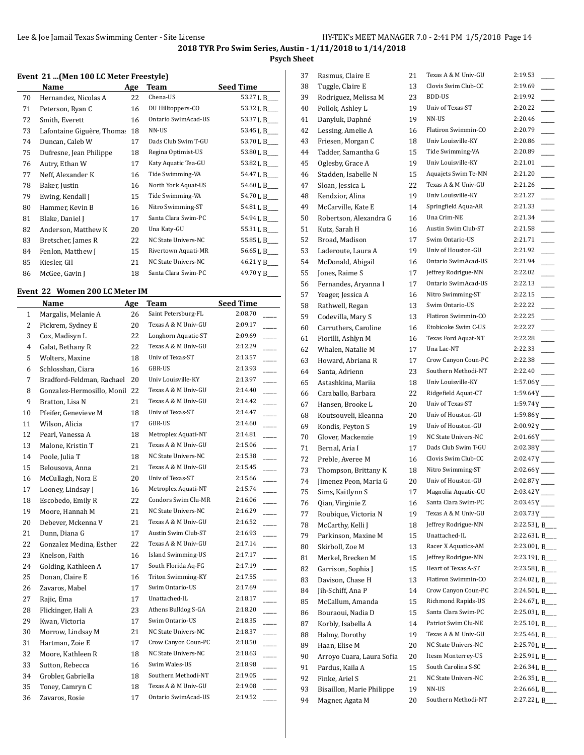## **Psych Sheet**

#### **Event 21 ...(Men 100 LC Meter Freestyle)**

|    | Name                       | Age | Team                | <b>Seed Time</b> |
|----|----------------------------|-----|---------------------|------------------|
| 70 | Hernandez, Nicolas A       | 22  | Chena-US            | 53.27 L B___     |
| 71 | Peterson, Ryan C           | 16  | DU Hilltoppers-CO   | 53.32 L B__      |
| 72 | Smith, Everett             | 16  | Ontario SwimAcad-US | 53.37 L B___     |
| 73 | Lafontaine Giguère, Thomas | 18  | NN-US               | 53.45 L B___     |
| 74 | Duncan, Caleb W            | 17  | Dads Club Swim T-GU | 53.70 L B___     |
| 75 | Dufresne, Jean Philippe    | 18  | Regina Optimist-US  | 53.80 L B__      |
| 76 | Autry, Ethan W             | 17  | Katy Aquatic Tea-GU | 53.82 L B___     |
| 77 | Neff, Alexander K          | 16  | Tide Swimming-VA    | 54.47 L B___     |
| 78 | Baker, Justin              | 16  | North York Aquat-US | 54.60 L B_       |
| 79 | Ewing, Kendall J           | 15  | Tide Swimming-VA    | 54.70 L B___     |
| 80 | Hammer, Kevin B            | 16  | Nitro Swimming-ST   | 54.81 L B___     |
| 81 | Blake, Daniel J            | 17  | Santa Clara Swim-PC | 54.94 L B___     |
| 82 | Anderson, Matthew K        | 20  | Una Katy-GU         | 55.31 L B___     |
| 83 | Bretscher, James R         | 22  | NC State Univers-NC | 55.85 L B___     |
| 84 | Fenlon, Matthew J          | 15  | Rivertown Aquati-MR | 56.65 L B___     |
| 85 | Kiesler, Gil               | 21  | NC State Univers-NC | 46.21 Y B___     |
| 86 | McGee, Gavin J             | 18  | Santa Clara Swim-PC | 49.70 Y B___     |

### **Event 22 Women 200 LC Meter IM**

 $\overline{a}$ 

|                | Name                          | Age | <b>Team</b>         | <b>Seed Time</b> |
|----------------|-------------------------------|-----|---------------------|------------------|
| $\mathbf{1}$   | Margalis, Melanie A           | 26  | Saint Petersburg-FL | 2:08.70          |
| $\overline{c}$ | Pickrem, Sydney E             | 20  | Texas A & M Univ-GU | 2:09.17          |
| 3              | Cox, Madisyn L                | 22  | Longhorn Aquatic-ST | 2:09.69          |
| $\overline{4}$ | Galat, Bethany R              | 22  | Texas A & M Univ-GU | 2:12.29          |
| 5              | Wolters, Maxine               | 18  | Univ of Texas-ST    | 2:13.57          |
| 6              | Schlosshan, Ciara             | 16  | GBR-US              | 2:13.93          |
| 7              | Bradford-Feldman, Rachael     | 20  | Univ Louisville-KY  | 2:13.97          |
| 8              | Gonzalez-Hermosillo, Monil 22 |     | Texas A & M Univ-GU | 2:14.40          |
| 9              | Bratton, Lisa N               | 21  | Texas A & M Univ-GU | 2:14.42          |
| 10             | Pfeifer, Genevieve M          | 18  | Univ of Texas-ST    | 2:14.47          |
| 11             | Wilson, Alicia                | 17  | GBR-US              | 2:14.60          |
| 12             | Pearl, Vanessa A              | 18  | Metroplex Aquati-NT | 2:14.81          |
| 13             | Malone, Kristin T             | 21  | Texas A & M Univ-GU | 2:15.06          |
| 14             | Poole, Julia T                | 18  | NC State Univers-NC | 2:15.38          |
| 15             | Belousova, Anna               | 21  | Texas A & M Univ-GU | 2:15.45          |
| 16             | McCullagh, Nora E             | 20  | Univ of Texas-ST    | 2:15.66          |
| 17             | Looney, Lindsay J             | 16  | Metroplex Aquati-NT | 2:15.74          |
| 18             | Escobedo, Emily R             | 22  | Condors Swim Clu-MR | 2:16.06          |
| 19             | Moore, Hannah M               | 21  | NC State Univers-NC | 2:16.29          |
| 20             | Debever, Mckenna V            | 21  | Texas A & M Univ-GU | 2:16.52          |
| 21             | Dunn, Diana G                 | 17  | Austin Swim Club-ST | 2:16.93          |
| 22             | Gonzalez Medina, Esther       | 22  | Texas A & M Univ-GU | 2:17.14          |
| 23             | Knelson, Faith                | 16  | Island Swimming-US  | 2:17.17          |
| 24             | Golding, Kathleen A           | 17  | South Florida Aq-FG | 2:17.19          |
| 25             | Donan, Claire E               | 16  | Triton Swimming-KY  | 2:17.55          |
| 26             | Zavaros, Mabel                | 17  | Swim Ontario-US     | 2:17.69          |
| 27             | Rajic, Ema                    | 17  | Unattached-IL       | 2:18.17          |
| 28             | Flickinger, Hali A            | 23  | Athens Bulldog S-GA | 2:18.20          |
| 29             | Kwan, Victoria                | 17  | Swim Ontario-US     | 2:18.35          |
| 30             | Morrow, Lindsay M             | 21  | NC State Univers-NC | 2:18.37          |
| 31             | Hartman, Zoie E               | 17  | Crow Canyon Coun-PC | 2:18.50          |
| 32             | Moore, Kathleen R             | 18  | NC State Univers-NC | 2:18.63          |
| 33             | Sutton, Rebecca               | 16  | Swim Wales-US       | 2:18.98          |
| 34             | Grobler, Gabriella            | 18  | Southern Methodi-NT | 2:19.05          |
| 35             | Toney, Camryn C               | 18  | Texas A & M Univ-GU | 2:19.08          |
| 36             | Zavaros, Rosie                | 17  | Ontario SwimAcad-US | 2:19.52          |

| 37 | Rasmus, Claire E          | 21       | Texas A & M Univ-GU | 2:19.53                    |
|----|---------------------------|----------|---------------------|----------------------------|
| 38 | Tuggle, Claire E          | 13       | Clovis Swim Club-CC | 2:19.69                    |
| 39 | Rodriguez, Melissa M      | 23       | BDD-US              | 2:19.92                    |
| 40 | Pollok, Ashley L          | 19       | Univ of Texas-ST    | 2:20.22                    |
| 41 | Danyluk, Daphné           | 19       | NN-US               | 2:20.46                    |
| 42 | Lessing, Amelie A         | 16       | Flatiron Swimmin-CO | 2:20.79                    |
| 43 | Friesen, Morgan C         | 18       | Univ Louisville-KY  | 2:20.86                    |
| 44 | Tadder, Samantha G        | 15       | Tide Swimming-VA    | 2:20.89                    |
| 45 | Oglesby, Grace A          | 19       | Univ Louisville-KY  | 2:21.01                    |
| 46 | Stadden, Isabelle N       | 15       | Aquajets Swim Te-MN | 2:21.20                    |
| 47 | Sloan, Jessica L          | 22       | Texas A & M Univ-GU | 2:21.26                    |
| 48 | Kendzior, Alina           | 19       | Univ Louisville-KY  | 2:21.27                    |
| 49 | McCarville, Kate E        | 14       | Springfield Aqua-AR | 2:21.33                    |
| 50 | Robertson, Alexandra G    | 16       | Una Crim-NE         | 2:21.34                    |
| 51 | Kutz, Sarah H             | 16       | Austin Swim Club-ST | 2:21.58                    |
| 52 | Broad, Madison            | 17       | Swim Ontario-US     | 2:21.71                    |
| 53 | Laderoute, Laura A        | 19       | Univ of Houston-GU  | 2:21.92                    |
| 54 | McDonald, Abigail         | 16       | Ontario SwimAcad-US | 2:21.94                    |
| 55 | Jones, Raime S            | 17       | Jeffrey Rodrigue-MN | 2:22.02                    |
| 56 | Fernandes, Aryanna I      | 17       | Ontario SwimAcad-US | 2:22.13                    |
| 57 | Yeager, Jessica A         | 16       | Nitro Swimming-ST   | 2:22.15                    |
|    |                           |          | Swim Ontario-US     | 2:22.22                    |
| 58 | Rathwell, Regan           | 13<br>13 | Flatiron Swimmin-CO | 2:22.25                    |
| 59 | Codevilla, Mary S         |          | Etobicoke Swim C-US | 2:22.27                    |
| 60 | Carruthers, Caroline      | 16       |                     |                            |
| 61 | Fiorilli, Ashlyn M        | 16       | Texas Ford Aquat-NT | 2:22.28                    |
| 62 | Whalen, Natalie M         | 17       | Una Lac-NT          | 2:22.33                    |
| 63 | Howard, Abriana R         | 17       | Crow Canyon Coun-PC | 2:22.38                    |
| 64 | Santa, Adrienn            | 23       | Southern Methodi-NT | 2:22.40                    |
| 65 | Astashkina, Mariia        | 18       | Univ Louisville-KY  | $1:57.06Y$ <sub>---</sub>  |
| 66 | Caraballo, Barbara        | 22       | Ridgefield Aquat-CT | $1:59.64Y$ <sub>---</sub>  |
| 67 | Hansen, Brooke L          | 20       | Univ of Texas-ST    | $1:59.74Y$ <sub>---</sub>  |
| 68 | Koutsouveli, Eleanna      | 20       | Univ of Houston-GU  | $1:59.86Y$ <sub>----</sub> |
| 69 | Kondis, Peyton S          | 19       | Univ of Houston-GU  | $2:00.92Y$ <sub>----</sub> |
| 70 | Glover, Mackenzie         | 19       | NC State Univers-NC | $2:01.66Y$ <sub>----</sub> |
| 71 | Bernal, Aria I            | 17       | Dads Club Swim T-GU | $2:02.38Y$ <sub>---</sub>  |
| 72 | Preble, Averee M          | 16       | Clovis Swim Club-CC | $2:02.47Y$ <sub>---</sub>  |
| 73 | Thompson, Brittany K      | 18       | Nitro Swimming-ST   | $2:02.66Y$ <sub>---</sub>  |
| 74 | Jimenez Peon, Maria G     | 20       | Univ of Houston-GU  | $2:02.87Y$ <sub>----</sub> |
| 75 | Sims, Kaitlynn S          | 17       | Magnolia Aquatic-GU | $2:03.42Y$ <sup>-1</sup>   |
| 76 | Qian, Virginie Z          | 16       | Santa Clara Swim-PC | 2:03.45 Y                  |
| 77 | Roubique, Victoria N      | 19       | Texas A & M Univ-GU | $2:03.73Y$ <sub>----</sub> |
| 78 | McCarthy, Kelli J         | 18       | Jeffrey Rodrigue-MN | 2:22.53 L B_               |
| 79 | Parkinson, Maxine M       | 15       | Unattached-IL       | 2:22.63 L B_               |
| 80 | Skirboll, Zoe M           | 13       | Racer X Aquatics-AM | 2:23.00 L B                |
| 81 | Merkel, Brecken M         | 15       | Jeffrey Rodrigue-MN | 2:23.19 L B_               |
| 82 | Garrison, Sophia J        | 15       | Heart of Texas A-ST | 2:23.58 L B_               |
| 83 | Davison, Chase H          | 13       | Flatiron Swimmin-CO | 2:24.02 L B_               |
| 84 | Jih-Schiff, Ana P         | 14       | Crow Canyon Coun-PC | 2:24.50 L B_               |
| 85 | McCallum, Amanda          | 15       | Richmond Rapids-US  | 2:24.67 L B_               |
| 86 | Bouraoui, Nadia D         | 15       | Santa Clara Swim-PC | 2:25.03 L B                |
| 87 | Korbly, Isabella A        | 14       | Patriot Swim Clu-NE | 2:25.10 L B_               |
| 88 | Halmy, Dorothy            | 19       | Texas A & M Univ-GU | 2:25.46 L B_               |
| 89 | Haan, Elise M             | 20       | NC State Univers-NC | 2:25.70 L B                |
| 90 | Arroyo Cuara, Laura Sofia | 20       | Itesm Monterrey-US  | 2:25.91 L B_               |
| 91 | Pardus, Kaila A           | 15       | South Carolina S-SC | 2:26.34 L B_               |
| 92 | Finke, Ariel S            | 21       | NC State Univers-NC | 2:26.35L B                 |
| 93 | Bisaillon, Marie Philippe | 19       | NN-US               | 2:26.66 L B_               |
| 94 | Magner, Agata M           | 20       | Southern Methodi-NT | 2:27.22 L B_               |
|    |                           |          |                     |                            |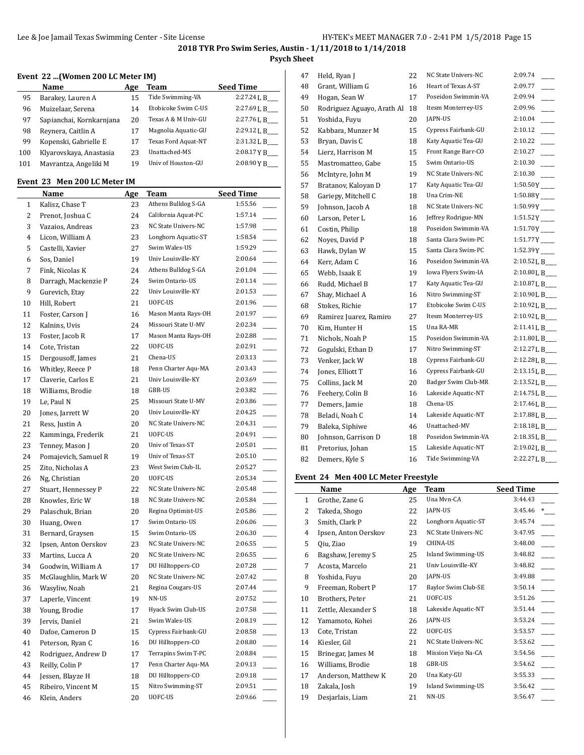# **Psych Sheet**

## **Event 22 ...(Women 200 LC Meter IM)**

|     | Name                     | Age | Team                       | <b>Seed Time</b> |
|-----|--------------------------|-----|----------------------------|------------------|
| 95  | Barakey, Lauren A        | 15  | Tide Swimming-VA           | 2:27.24L B       |
| 96  | Muizelaar, Serena        | 14  | Etobicoke Swim C-US        | 2:27.69 L B      |
| 97  | Sapianchai, Kornkarnjana | 20  | Texas A & M Univ-GU        | 2:27.76L B       |
| 98  | Reynera, Caitlin A       | 17  | Magnolia Aquatic-GU        | 2:29.12 L B      |
| 99  | Kopenski, Gabrielle E    |     | <b>Texas Ford Aquat-NT</b> | 2:31.32 L B      |
| 100 | Klyarovskaya, Anastasia  | 23  | Unattached-MS              | 2:08.17YB        |
| 101 | Mavrantza, Angeliki M    |     | Univ of Houston-GU         | 2:08.90YB        |

# **Event 23 Men 200 LC Meter IM**

|    | <b>Name</b>          | <u>Age</u> | <b>Team</b>         | <b>Seed Time</b> |
|----|----------------------|------------|---------------------|------------------|
| 1  | Kalisz, Chase T      | 23         | Athens Bulldog S-GA | 1:55.56          |
| 2  | Prenot, Joshua C     | 24         | California Aquat-PC | 1:57.14          |
| 3  | Vazaios, Andreas     | 23         | NC State Univers-NC | 1:57.98          |
| 4  | Licon, William A     | 23         | Longhorn Aquatic-ST | 1:58.54          |
| 5  | Castelli, Xavier     | 27         | Swim Wales-US       | 1:59.29          |
| 6  | Sos, Daniel          | 19         | Univ Louisville-KY  | 2:00.64          |
| 7  | Fink, Nicolas K      | 24         | Athens Bulldog S-GA | 2:01.04          |
| 8  | Darragh, Mackenzie P | 24         | Swim Ontario-US     | 2:01.14          |
| 9  | Gurevich, Etay       | 22         | Univ Louisville-KY  | 2:01.53          |
| 10 | Hill, Robert         | 21         | UOFC-US             | 2:01.96          |
| 11 | Foster, Carson J     | 16         | Mason Manta Rays-OH | 2:01.97          |
| 12 | Kalnins, Uvis        | 24         | Missouri State U-MV | 2:02.34          |
| 13 | Foster, Jacob R      | 17         | Mason Manta Rays-OH | 2:02.88          |
| 14 | Cote, Tristan        | 22         | UOFC-US             | 2:02.91          |
| 15 | Dergousoff, James    | 21         | Chena-US            | 2:03.13          |
| 16 | Whitley, Reece P     | 18         | Penn Charter Aqu-MA | 2:03.43          |
| 17 | Claverie, Carlos E   | 21         | Univ Louisville-KY  | 2:03.69          |
| 18 | Williams, Brodie     | 18         | GBR-US              | 2:03.82          |
| 19 | Le, Paul N           | 25         | Missouri State U-MV | 2:03.86          |
| 20 | Jones, Jarrett W     | 20         | Univ Louisville-KY  | 2:04.25          |
| 21 | Ress, Justin A       | 20         | NC State Univers-NC | 2:04.31          |
| 22 | Kamminga, Frederik   | 21         | UOFC-US             | 2:04.91          |
| 23 | Tenney, Mason J      | 20         | Univ of Texas-ST    | 2:05.01          |
| 24 | Pomajevich, Samuel R | 19         | Univ of Texas-ST    | 2:05.10          |
| 25 | Zito, Nicholas A     | 23         | West Swim Club-IL   | 2:05.27          |
| 26 | Ng, Christian        | 20         | UOFC-US             | 2:05.34          |
| 27 | Stuart, Hennessey P  | 22         | NC State Univers-NC | 2:05.48          |
| 28 | Knowles, Eric W      | 18         | NC State Univers-NC | 2:05.84          |
| 29 | Palaschuk, Brian     | 20         | Regina Optimist-US  | 2:05.86          |
| 30 | Huang, Owen          | 17         | Swim Ontario-US     | 2:06.06          |
| 31 | Bernard, Graysen     | 15         | Swim Ontario-US     | 2:06.30          |
| 32 | Ipsen, Anton Oerskov | 23         | NC State Univers-NC | 2:06.55          |
| 33 | Martins, Lucca A     | 20         | NC State Univers-NC | 2:06.55          |
| 34 | Goodwin, William A   | 17         | DU Hilltoppers-CO   | 2:07.28          |
| 35 | McGlaughlin, Mark W  | 20         | NC State Univers-NC | 2:07.42          |
| 36 | Wasyliw, Noah        | 21         | Regina Cougars-US   | 2:07.44          |
| 37 | Laperle, Vincent     | 19         | NN-US               | 2:07.52          |
| 38 | Young, Brodie        | 17         | Hyack Swim Club-US  | 2:07.58          |
| 39 | Jervis, Daniel       | 21         | Swim Wales-US       | 2:08.19          |
| 40 | Dafoe, Cameron D     | 15         | Cypress Fairbank-GU | 2:08.58          |
| 41 | Peterson, Ryan C     | 16         | DU Hilltoppers-CO   | 2:08.80          |
| 42 | Rodriguez, Andrew D  | 17         | Terrapins Swim T-PC | 2:08.84          |
| 43 | Reilly, Colin P      | 17         | Penn Charter Aqu-MA | 2:09.13          |
| 44 | Jessen, Blayze H     | 18         | DU Hilltoppers-CO   | 2:09.18          |
| 45 | Ribeiro, Vincent M   | 15         | Nitro Swimming-ST   | 2:09.51          |
| 46 | Klein, Anders        | 20         | UOFC-US             | 2:09.66          |

| 47 | Held, Ryan J               | 22 | NC State Univers-NC | 2:09.74                    |
|----|----------------------------|----|---------------------|----------------------------|
| 48 | Grant, William G           | 16 | Heart of Texas A-ST | 2:09.77                    |
| 49 | Hogan, Sean W              | 17 | Poseidon Swimmin-VA | 2:09.94<br>$\sim$          |
| 50 | Rodriguez Aguayo, Arath Al | 18 | Itesm Monterrey-US  | 2:09.96                    |
| 51 | Yoshida, Fuyu              | 20 | JAPN-US             | 2:10.04                    |
| 52 | Kabbara, Munzer M          | 15 | Cypress Fairbank-GU | 2:10.12                    |
| 53 | Bryan, Davis C             | 18 | Katy Aquatic Tea-GU | 2:10.22                    |
| 54 | Lierz, Harrison M          | 15 | Front Range Barr-CO | 2:10.27                    |
| 55 | Mastromatteo, Gabe         | 15 | Swim Ontario-US     | 2:10.30                    |
| 56 | McIntyre, John M           | 19 | NC State Univers-NC | 2:10.30                    |
| 57 | Bratanov, Kaloyan D        | 17 | Katy Aquatic Tea-GU | $1:50.50Y$ <sub>----</sub> |
| 58 | Gariepy, Mitchell C        | 18 | Una Crim-NE         | $1:50.88Y$ <sub>----</sub> |
| 59 | Johnson, Jacob A           | 18 | NC State Univers-NC | $1:50.99Y$ <sub>----</sub> |
| 60 | Larson, Peter L            | 16 | Jeffrey Rodrigue-MN | $1:51.52Y$ <sub>---</sub>  |
| 61 | Costin, Philip             | 18 | Poseidon Swimmin-VA | $1:51.70Y$ <sub>---</sub>  |
| 62 | Noyes, David P             | 18 | Santa Clara Swim-PC | $1:51.77Y$ <sub>---</sub>  |
| 63 | Hawk, Dylan W              | 15 | Santa Clara Swim-PC | 1:52.39 Y                  |
| 64 | Kerr, Adam C               | 16 | Poseidon Swimmin-VA | 2:10.52 L B                |
| 65 | Webb, Isaak E              | 19 | Iowa Flyers Swim-IA | 2:10.80 L B                |
| 66 | Rudd, Michael B            | 17 | Katy Aquatic Tea-GU | 2:10.87 L B                |
| 67 | Shay, Michael A            | 16 | Nitro Swimming-ST   | 2:10.90 L B___             |
| 68 | Stokes, Richie             | 17 | Etobicoke Swim C-US | 2:10.92 L B                |
| 69 | Ramirez Juarez, Ramiro     | 27 | Itesm Monterrey-US  | 2:10.92 L B                |
| 70 | Kim, Hunter H              | 15 | Una RA-MR           | 2:11.41 L B                |
| 71 | Nichols, Noah P            | 15 | Poseidon Swimmin-VA | 2:11.80 L B___             |
| 72 | Gogulski, Ethan D          | 17 | Nitro Swimming-ST   | 2:12.27 L B_               |
| 73 | Venker, Jack W             | 18 | Cypress Fairbank-GU | 2:12.28 L B___             |
| 74 | Jones, Elliott T           | 16 | Cypress Fairbank-GU | 2:13.15 L B                |
| 75 | Collins, Jack M            | 20 | Badger Swim Club-MR | 2:13.52 L B_               |
| 76 | Feehery, Colin B           | 16 | Lakeside Aquatic-NT | 2:14.75 L B___             |
| 77 | Demers, Jamie              | 18 | Chena-US            | 2:17.46 L B_               |
| 78 | Beladi, Noah C             | 14 | Lakeside Aquatic-NT | 2:17.88 L B___             |
| 79 | Baleka, Siphiwe            | 46 | Unattached-MV       | 2:18.18 L B                |
| 80 | Johnson, Garrison D        | 18 | Poseidon Swimmin-VA | 2:18.35 L B                |
| 81 | Pretorius, Johan           | 15 | Lakeside Aquatic-NT | 2:19.02 L B                |
| 82 | Demers, Kyle S             | 16 | Tide Swimming-VA    | 2:22.27 L B                |

## **Event 24 Men 400 LC Meter Freestyle**

|              | Name                 | Age | <b>Team</b>               | <b>Seed Time</b> |
|--------------|----------------------|-----|---------------------------|------------------|
| $\mathbf{1}$ | Grothe, Zane G       | 25  | Una Mvn-CA                | 3:44.43          |
| 2            | Takeda, Shogo        | 22  | JAPN-US                   | 3:45.46          |
| 3            | Smith, Clark P       | 22  | Longhorn Aquatic-ST       | 3:45.74          |
| 4            | Ipsen, Anton Oerskov | 23  | NC State Univers-NC       | 3:47.95          |
| 5            | Oiu, Ziao            | 19  | <b>CHINA-US</b>           | 3:48.00          |
| 6            | Bagshaw, Jeremy S    | 25  | <b>Island Swimming-US</b> | 3:48.82          |
| 7            | Acosta, Marcelo      | 21  | Univ Louisville-KY        | 3:48.82          |
| 8            | Yoshida, Fuyu        | 20  | JAPN-US                   | 3:49.88          |
| 9            | Freeman, Robert P    | 17  | Baylor Swim Club-SE       | 3:50.14          |
| 10           | Brothers, Peter      | 21  | UOFC-US                   | 3:51.26          |
| 11           | Zettle, Alexander S  | 18  | Lakeside Aquatic-NT       | 3:51.44          |
| 12           | Yamamoto, Kohei      | 26  | JAPN-US                   | 3:53.24          |
| 13           | Cote, Tristan        | 22  | UOFC-US                   | 3:53.57          |
| 14           | Kiesler, Gil         | 21  | NC State Univers-NC       | 3:53.62          |
| 15           | Brinegar, James M    | 18  | Mission Viejo Na-CA       | 3:54.56          |
| 16           | Williams, Brodie     | 18  | GBR-US                    | 3:54.62          |
| 17           | Anderson, Matthew K  | 20  | Una Katy-GU               | 3:55.33          |
| 18           | Zakala, Josh         | 19  | <b>Island Swimming-US</b> | 3:56.42          |
| 19           | Desjarlais, Liam     | 21  | NN-US                     | 3:56.47          |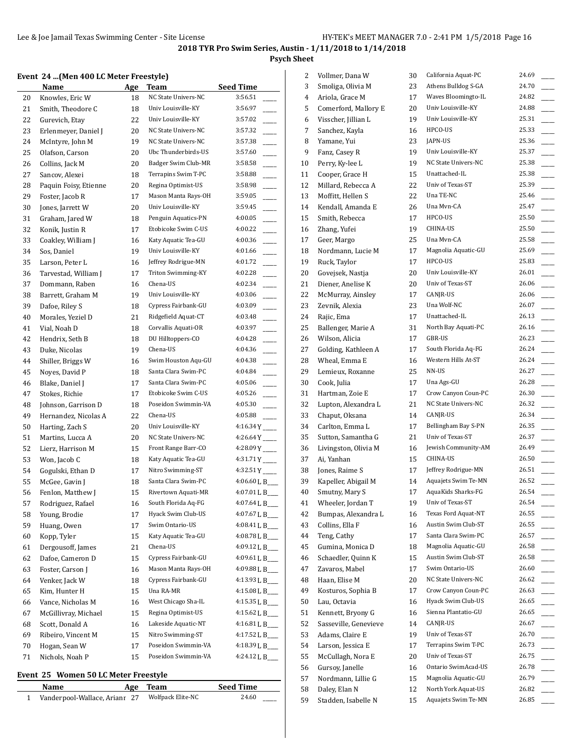## **Psych Sheet**

### **Event 24 ...(Men 400 LC Meter Freestyle)**

|    | <b>Name</b>           | <u>Age</u> | <b>Team</b>         | Seed Time                           |
|----|-----------------------|------------|---------------------|-------------------------------------|
| 20 | Knowles, Eric W       | 18         | NC State Univers-NC | 3:56.51                             |
| 21 | Smith, Theodore C     | 18         | Univ Louisville-KY  | 3:56.97                             |
| 22 | Gurevich, Etay        | 22         | Univ Louisville-KY  | 3:57.02                             |
| 23 | Erlenmeyer, Daniel J  | 20         | NC State Univers-NC | 3:57.32                             |
| 24 | McIntyre, John M      | 19         | NC State Univers-NC | 3:57.38                             |
| 25 | Olafson, Carson       | 20         | Ubc Thunderbirds-US | 3:57.60                             |
| 26 | Collins, Jack M       | 20         | Badger Swim Club-MR | 3:58.58                             |
| 27 | Sancov, Alexei        | 18         | Terrapins Swim T-PC | 3:58.88                             |
| 28 | Paquin Foisy, Etienne | 20         | Regina Optimist-US  | 3:58.98                             |
| 29 | Foster, Jacob R       | 17         | Mason Manta Rays-OH | 3:59.05                             |
| 30 | Jones, Jarrett W      | 20         | Univ Louisville-KY  | 3:59.45                             |
| 31 | Graham, Jared W       | 18         | Penguin Aquatics-PN | 4:00.05                             |
| 32 | Konik, Justin R       | 17         | Etobicoke Swim C-US | 4:00.22<br>$\overline{\phantom{0}}$ |
| 33 | Coakley, William J    | 16         | Katy Aquatic Tea-GU | 4:00.36<br>$\overline{\phantom{a}}$ |
| 34 | Sos, Daniel           | 19         | Univ Louisville-KY  | 4:01.66                             |
| 35 | Larson, Peter L       | 16         | Jeffrey Rodrigue-MN | 4:01.72                             |
| 36 | Tarvestad, William J  | 17         | Triton Swimming-KY  | 4:02.28                             |
| 37 | Dommann, Raben        | 16         | Chena-US            | 4:02.34                             |
| 38 | Barrett, Graham M     | 19         | Univ Louisville-KY  | 4:03.06                             |
| 39 | Dafoe, Riley S        | 18         | Cypress Fairbank-GU | 4:03.09                             |
| 40 | Morales, Yeziel D     | 21         | Ridgefield Aquat-CT | 4:03.48                             |
| 41 | Vial, Noah D          | 18         | Corvallis Aquati-OR | 4:03.97                             |
| 42 | Hendrix, Seth B       | 18         | DU Hilltoppers-CO   | 4:04.28                             |
| 43 | Duke, Nicolas         | 19         | Chena-US            | 4:04.36                             |
| 44 | Shiller, Briggs W     | 16         | Swim Houston Aqu-GU | 4:04.38                             |
| 45 | Noyes, David P        | 18         | Santa Clara Swim-PC | 4:04.84                             |
| 46 | Blake, Daniel J       | 17         | Santa Clara Swim-PC | 4:05.06                             |
| 47 | Stokes, Richie        | 17         | Etobicoke Swim C-US | 4:05.26                             |
| 48 | Johnson, Garrison D   | 18         | Poseidon Swimmin-VA | 4:05.30                             |
| 49 | Hernandez, Nicolas A  | 22         | Chena-US            | 4:05.88                             |
| 50 | Harting, Zach S       | 20         | Univ Louisville-KY  | 4:16.34Y                            |
| 51 | Martins, Lucca A      | 20         | NC State Univers-NC | $4:26.64Y$ <sub>---</sub>           |
| 52 | Lierz, Harrison M     | 15         | Front Range Barr-CO | $4:28.09Y$ <sub>---</sub>           |
| 53 | Won, Jacob C          | 18         | Katy Aquatic Tea-GU | 4:31.71 Y                           |
| 54 | Gogulski, Ethan D     | 17         | Nitro Swimming-ST   | $4:32.51Y$ <sub>----</sub>          |
| 55 | McGee, Gavin J        | 18         | Santa Clara Swim-PC | 4:06.60 L B                         |
| 56 | Fenlon, Matthew J     | 15         | Rivertown Aquati-MR | 4:07.01 L B___                      |
| 57 | Rodriguez, Rafael     | 16         | South Florida Aq-FG | 4:07.64 L B                         |
| 58 | Young, Brodie         | 17         | Hyack Swim Club-US  | 4:07.67 L B                         |
| 59 | Huang, Owen           | 17         | Swim Ontario-US     | 4:08.41 L B                         |
| 60 | Kopp, Tyler           | 15         | Katy Aquatic Tea-GU | 4:08.78 L B___                      |
| 61 | Dergousoff, James     | 21         | Chena-US            | 4:09.12 L B                         |
| 62 | Dafoe, Cameron D      | 15         | Cypress Fairbank-GU | 4:09.61 L B                         |
| 63 | Foster, Carson J      | 16         | Mason Manta Rays-OH | 4:09.88 L B_                        |
| 64 | Venker, Jack W        | 18         | Cypress Fairbank-GU | 4:13.93 L B___                      |
| 65 | Kim, Hunter H         | 15         | Una RA-MR           | 4:15.08 L B                         |
| 66 | Vance, Nicholas M     | 16         | West Chicago Sha-IL | 4:15.35 L B                         |
| 67 | McGillivray, Michael  | 15         | Regina Optimist-US  | 4:15.62 L B                         |
| 68 | Scott, Donald A       | 16         | Lakeside Aquatic-NT | 4:16.81 L B                         |
| 69 | Ribeiro, Vincent M    | 15         | Nitro Swimming-ST   | 4:17.52 L B                         |
| 70 | Hogan, Sean W         | 17         | Poseidon Swimmin-VA | 4:18.39 L B___                      |
| 71 | Nichols, Noah P       | 15         | Poseidon Swimmin-VA | 4:24.12 L B                         |

#### **Event 25 Women 50 LC Meter Freestyle**

| Name                          | Age Team          | <b>Seed Time</b> |
|-------------------------------|-------------------|------------------|
| Vanderpool-Wallace, Arianr 27 | Wolfpack Elite-NC | 24.60            |

| 2        | Vollmer, Dana W       | 30 | California Aquat-PC                        | 24.69          |
|----------|-----------------------|----|--------------------------------------------|----------------|
| 3        | Smoliga, Olivia M     | 23 | Athens Bulldog S-GA                        | 24.70          |
| 4        | Ariola, Grace M       | 17 | Waves Bloomingto-IL                        | 24.82          |
| 5        | Comerford, Mallory E  | 20 | Univ Louisville-KY                         | 24.88          |
| 6        | Visscher, Jillian L   | 19 | Univ Louisville-KY                         | 25.31          |
| 7        | Sanchez, Kayla        | 16 | HPCO-US                                    | 25.33          |
| 8        | Yamane, Yui           | 23 | JAPN-US                                    | 25.36          |
| 9        | Fanz, Casey R         | 19 | Univ Louisville-KY                         | 25.37          |
| 10       | Perry, Ky-lee L       | 19 | NC State Univers-NC                        | 25.38          |
| 11       | Cooper, Grace H       | 15 | Unattached-IL                              | 25.38          |
| 12       | Millard, Rebecca A    | 22 | Univ of Texas-ST                           | 25.39          |
| 13       | Moffitt, Hellen S     | 22 | Una TE-NC                                  | 25.46          |
| 14       | Kendall, Amanda E     | 26 | Una Mvn-CA                                 | 25.47          |
| 15       | Smith, Rebecca        | 17 | HPCO-US                                    | 25.50          |
| 16       | Zhang, Yufei          | 19 | CHINA-US                                   | 25.50          |
| 17       | Geer, Margo           | 25 | Una Myn-CA                                 | 25.58          |
| 18       | Nordmann, Lucie M     | 17 | Magnolia Aquatic-GU                        | 25.69          |
| 19       | Ruck, Taylor          | 17 | HPCO-US                                    | 25.83          |
| 20       | Govejsek, Nastja      | 20 | Univ Louisville-KY                         | 26.01          |
| 21       | Diener, Anelise K     | 20 | Univ of Texas-ST                           | 26.06          |
| 22       | McMurray, Ainsley     | 17 | CANJR-US                                   | 26.06          |
| 23       | Zevnik, Alexia        | 23 | Una Wolf-NC                                | 26.07          |
| 24       | Rajic, Ema            | 17 | Unattached-IL                              | 26.13          |
| 25       | Ballenger, Marie A    | 31 | North Bay Aquati-PC                        | 26.16          |
| 26       | Wilson, Alicia        | 17 | GBR-US                                     | 26.23          |
| 27       | Golding, Kathleen A   | 17 | South Florida Aq-FG                        | 26.24          |
| 28       | Wheal, Emma E         | 16 | Western Hills At-ST                        | 26.24          |
| 29       | Lemieux, Roxanne      | 25 | NN-US                                      | 26.27          |
| 30       | Cook, Julia           | 17 | Una Ags-GU                                 | 26.28          |
| 31       | Hartman, Zoie E       | 17 | Crow Canyon Coun-PC                        | 26.30          |
| 32       | Lupton, Alexandra L   | 21 | NC State Univers-NC                        | 26.32          |
| 33       | Chaput, Oksana        | 14 | CANJR-US                                   | 26.34          |
| 34       | Carlton, Emma L       | 17 | Bellingham Bay S-PN                        | 26.35          |
| 35       | Sutton, Samantha G    | 21 | Univ of Texas-ST                           | 26.37          |
| 36       | Livingston, Olivia M  | 16 | Jewish Community-AM                        | 26.49          |
| 37       | Ai, Yanhan            | 15 | CHINA-US                                   | 26.50          |
| 38       | Jones, Raime S        | 17 | Jeffrey Rodrigue-MN                        | 26.51          |
| 39       | Kapeller, Abigail M   | 14 | Aquajets Swim Te-MN                        | 26.52          |
| 40       | Smutny, Mary S        | 17 | AquaKids Sharks-FG                         | 26.54          |
| 41       | Wheeler, Jordan T     | 19 | Univ of Texas-ST                           | 26.54          |
| 42       | Bumpas, Alexandra L   | 16 | Texas Ford Aquat-NT                        | 26.55          |
| 43       | Collins, Ella F       | 16 | Austin Swim Club-ST                        | 26.55          |
| 44       | Teng, Cathy           | 17 | Santa Clara Swim-PC                        | 26.57          |
| 45       | Gumina, Monica D      | 18 | Magnolia Aquatic-GU                        | 26.58          |
| 46       | Schaedler, Quinn K    | 15 | Austin Swim Club-ST                        | 26.58          |
| 47       | Zavaros, Mabel        | 17 | Swim Ontario-US                            | 26.60          |
| 48       | Haan, Elise M         | 20 | NC State Univers-NC                        | 26.62          |
|          | Kosturos, Sophia B    | 17 | Crow Canyon Coun-PC                        | 26.63          |
| 49<br>50 | Lau, Octavia          | 16 | Hyack Swim Club-US                         | 26.65          |
|          | Kennett, Bryony G     | 16 | Sienna Plantatio-GU                        | 26.65          |
| 51<br>52 | Sasseville, Genevieve |    | CANJR-US                                   | 26.67          |
|          |                       | 14 |                                            |                |
| 53       | Adams, Claire E       | 19 | Univ of Texas-ST                           | 26.70          |
| 54       | Larson, Jessica E     | 17 | Terrapins Swim T-PC<br>Univ of Texas-ST    | 26.73<br>26.75 |
| 55       | McCullagh, Nora E     | 20 | Ontario SwimAcad-US                        | 26.78          |
| 56       | Gursoy, Janelle       | 16 |                                            |                |
| 57       | Nordmann, Lillie G    | 15 | Magnolia Aquatic-GU<br>North York Aquat-US | 26.79<br>26.82 |
| 58       | Daley, Elan N         | 12 | Aquajets Swim Te-MN                        | 26.85          |
| 59       | Stadden, Isabelle N   | 15 |                                            |                |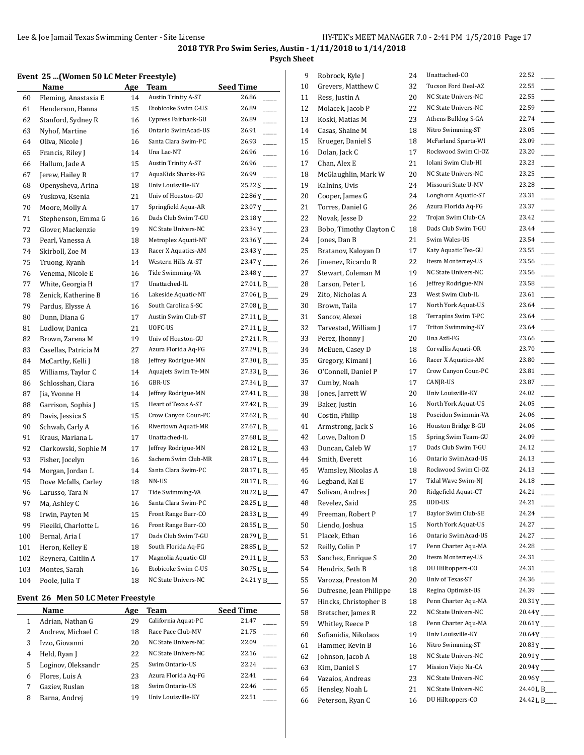## **Psych Sheet**

### **Event 25 ...(Women 50 LC Meter Freestyle)**

|     | Tomen 50 Be Meter Treestyle |            |                            |                         |
|-----|-----------------------------|------------|----------------------------|-------------------------|
|     | Name                        | <b>Age</b> | <b>Team</b>                | <b>Seed Time</b>        |
| 60  | Fleming, Anastasia E        | 14         | Austin Trinity A-ST        | 26.86                   |
| 61  | Henderson, Hanna            | 15         | Etobicoke Swim C-US        | 26.89                   |
| 62  | Stanford, Sydney R          | 16         | Cypress Fairbank-GU        | 26.89                   |
| 63  | Nyhof, Martine              | 16         | Ontario SwimAcad-US        | 26.91                   |
| 64  | Oliva, Nicole J             | 16         | Santa Clara Swim-PC        | 26.93                   |
| 65  | Francis, Riley J            | 14         | Una Lac-NT                 | 26.96                   |
| 66  | Hallum, Jade A              | 15         | <b>Austin Trinity A-ST</b> | 26.96                   |
| 67  | Jerew, Hailey R             | 17         | AquaKids Sharks-FG         | 26.99                   |
| 68  | Openysheva, Arina           | 18         | Univ Louisville-KY         | 25.22 S                 |
| 69  | Yuskova, Ksenia             | 21         | Univ of Houston-GU         | $22.86Y$ <sub>---</sub> |
| 70  | Moore, Molly A              | 17         | Springfield Aqua-AR        | $23.07Y$ <sub>---</sub> |
| 71  | Stephenson, Emma G          | 16         | Dads Club Swim T-GU        | $23.18Y$ <sub>--</sub>  |
| 72  | Glover, Mackenzie           | 19         | NC State Univers-NC        | $23.34Y$ <sub>---</sub> |
| 73  | Pearl, Vanessa A            | 18         | Metroplex Aquati-NT        | $23.36Y$ <sub>---</sub> |
| 74  | Skirboll, Zoe M             | 13         | Racer X Aquatics-AM        | 23.43Y                  |
| 75  | Truong, Kyanh               | 14         | Western Hills At-ST        | $23.47Y$ <sub>---</sub> |
| 76  | Venema, Nicole E            | 16         | Tide Swimming-VA           | $23.48Y$ <sub>---</sub> |
| 77  | White, Georgia H            | 17         | Unattached-IL              | 27.01 L B___            |
| 78  | Zenick, Katherine B         | 16         | Lakeside Aquatic-NT        | 27.06 L B___            |
| 79  | Pardus, Elysse A            | 16         | South Carolina S-SC        | 27.08 L B___            |
| 80  | Dunn, Diana G               | 17         | Austin Swim Club-ST        | 27.11 L B___            |
| 81  | Ludlow, Danica              | 21         | UOFC-US                    | 27.11 L B___            |
| 82  | Brown, Zarena M             | 19         | Univ of Houston-GU         | 27.21 L B___            |
| 83  | Casellas, Patricia M        | 27         | Azura Florida Aq-FG        | 27.29 L B               |
| 84  | McCarthy, Kelli J           | 18         | Jeffrey Rodrigue-MN        | 27.30 L B___            |
| 85  | Williams, Taylor C          | 14         | Aquajets Swim Te-MN        | 27.33 L B_              |
| 86  | Schlosshan, Ciara           | 16         | GBR-US                     | 27.34 L B_              |
| 87  | Jia, Yvonne H               | 14         | Jeffrey Rodrigue-MN        | 27.41 L B___            |
| 88  | Garrison, Sophia J          | 15         | Heart of Texas A-ST        | 27.42 L B____           |
| 89  | Davis, Jessica S            | 15         | Crow Canyon Coun-PC        | 27.62 L B___            |
| 90  | Schwab, Carly A             | 16         | Rivertown Aquati-MR        | 27.67 L B___            |
| 91  | Kraus, Mariana L            | 17         | Unattached-IL              | 27.68 L B___            |
| 92  | Clarkowski, Sophie M        | 17         | Jeffrey Rodrigue-MN        | 28.12 L B___            |
| 93  | Fisher, Jocelyn             | 16         | Sachem Swim Club-MR        | 28.17 L B___            |
| 94  | Morgan, Jordan L            | 14         | Santa Clara Swim-PC        | 28.17 L B___            |
| 95  | Dove Mcfalls, Carley        | 18         | NN-US                      | 28.17 L B___            |
| 96  | Larusso, Tara N             | 17         | Tide Swimming-VA           | 28.22 L B___            |
| 97  | Ma, Ashley C                | 16         | Santa Clara Swim-PC        | 28.25 L B               |
| 98  | Irwin, Payten M             | 15         | Front Range Barr-CO        | 28.33 L B___            |
| 99  | Fieeiki, Charlotte L        | 16         | Front Range Barr-CO        | 28.55 L B_              |
| 100 | Bernal, Aria I              | 17         | Dads Club Swim T-GU        | 28.79 L B__             |
| 101 | Heron, Kelley E             | 18         | South Florida Aq-FG        | 28.85 L B___            |
| 102 | Reynera, Caitlin A          | 17         | Magnolia Aquatic-GU        | 29.11 L B_              |
| 103 | Montes, Sarah               | 16         | Etobicoke Swim C-US        | 30.75 L B_              |
| 104 | Poole, Julia T              | 18         | NC State Univers-NC        | 24.21YB_                |

#### **Event 26 Men 50 LC Meter Freestyle**

|   | Name               | Age | Team                | <b>Seed Time</b> |
|---|--------------------|-----|---------------------|------------------|
|   | Adrian, Nathan G   | 29  | California Aquat-PC | 21.47            |
|   | Andrew, Michael C  | 18  | Race Pace Club-MV   | 21.75            |
| 3 | Izzo, Giovanni     | 20  | NC State Univers-NC | 22.09            |
| 4 | Held, Ryan J       | 22  | NC State Univers-NC | 22.16            |
| 5 | Loginov, Oleksandr | 25  | Swim Ontario-US     | 22.24            |
| 6 | Flores, Luis A     | 23  | Azura Florida Aq-FG | 22.41            |
|   | Gaziev, Ruslan     | 18  | Swim Ontario-US     | 22.46            |
| 8 | Barna, Andrej      | 19  | Univ Louisville-KY  | 22.51            |

| 9  | Robrock, Kyle J         | 24       | Unattached-CO       | 22.52                   |
|----|-------------------------|----------|---------------------|-------------------------|
| 10 | Grevers, Matthew C      | 32       | Tucson Ford Deal-AZ | 22.55                   |
| 11 | Ress, Justin A          | 20       | NC State Univers-NC | 22.55                   |
| 12 | Molacek, Jacob P        | 22       | NC State Univers-NC | 22.59                   |
| 13 | Koski, Matias M         | 23       | Athens Bulldog S-GA | 22.74                   |
| 14 | Casas, Shaine M         | 18       | Nitro Swimming-ST   | 23.05                   |
| 15 | Krueger, Daniel S       | 18       | McFarland Sparta-WI | 23.09                   |
| 16 | Dolan, Jack C           | 17       | Rockwood Swim Cl-OZ | 23.20                   |
| 17 | Chan, Alex E            | 21       | Iolani Swim Club-HI | 23.23                   |
| 18 | McGlaughlin, Mark W     | 20       | NC State Univers-NC | 23.25                   |
| 19 | Kalnins, Uvis           | 24       | Missouri State U-MV | 23.28                   |
| 20 | Cooper, James G         | 24       | Longhorn Aquatic-ST | 23.31                   |
| 21 | Torres, Daniel G        | 26       | Azura Florida Aq-FG | 23.37                   |
| 22 | Novak, Jesse D          | 22       | Trojan Swim Club-CA | 23.42                   |
| 23 | Bobo, Timothy Clayton C | 18       | Dads Club Swim T-GU | 23.44                   |
| 24 | Jones, Dan B            | 21       | Swim Wales-US       | 23.54                   |
| 25 | Bratanov, Kaloyan D     | 17       | Katy Aquatic Tea-GU | 23.55                   |
| 26 | Jimenez, Ricardo R      | 22       | Itesm Monterrey-US  | 23.56                   |
| 27 | Stewart, Coleman M      | 19       | NC State Univers-NC | 23.56                   |
| 28 | Larson, Peter L         | 16       | Jeffrey Rodrigue-MN | 23.58                   |
| 29 | Zito, Nicholas A        | 23       | West Swim Club-IL   | 23.61                   |
| 30 | Brown, Taila            | 17       | North York Aquat-US | 23.64                   |
| 31 | Sancov, Alexei          | 18       | Terrapins Swim T-PC | 23.64                   |
| 32 | Tarvestad, William J    | 17       | Triton Swimming-KY  | 23.64                   |
| 33 | Perez, Jhonny J         | 20       | Una Azfl-FG         | 23.66                   |
| 34 | McEuen, Casey D         | 18       | Corvallis Aquati-OR | 23.70                   |
| 35 | Gregory, Kimani J       | 16       | Racer X Aquatics-AM | 23.80                   |
| 36 | O'Connell, Daniel P     | 17       | Crow Canyon Coun-PC | 23.81                   |
| 37 | Cumby, Noah             | 17       | CANJR-US            | 23.87                   |
| 38 | Jones, Jarrett W        | 20       | Univ Louisville-KY  | 24.02                   |
| 39 | Baker, Justin           | 16       | North York Aquat-US | 24.05                   |
| 40 | Costin, Philip          | 18       | Poseidon Swimmin-VA | 24.06                   |
| 41 | Armstrong, Jack S       | 16       | Houston Bridge B-GU | 24.06                   |
| 42 | Lowe, Dalton D          | 15       | Spring Swim Team-GU | 24.09                   |
| 43 | Duncan, Caleb W         | 17       | Dads Club Swim T-GU | 24.12                   |
| 44 | Smith, Everett          | 16       | Ontario SwimAcad-US | 24.13                   |
| 45 | Wamsley, Nicolas A      | 18       | Rockwood Swim Cl-OZ | 24.13                   |
| 46 | Legband, Kai E          | 17       | Tidal Wave Swim-NJ  | 24.18                   |
| 47 |                         | 20       | Ridgefield Aquat-CT | 24.21                   |
|    | Solivan, Andres J       |          | BDD-US              | 24.21                   |
| 48 | Revelez, Said           | 25<br>17 | Baylor Swim Club-SE | 24.24                   |
| 49 | Freeman, Robert P       |          | North York Aquat-US | 24.27                   |
| 50 | Liendo, Joshua          | 15       | Ontario SwimAcad-US | 24.27                   |
| 51 | Placek, Ethan           | 16       | Penn Charter Aqu-MA |                         |
| 52 | Reilly, Colin P         | 17       |                     | 24.28                   |
| 53 | Sanchez, Enrique S      | 20       | Itesm Monterrey-US  | 24.31                   |
| 54 | Hendrix, Seth B         | 18       | DU Hilltoppers-CO   | 24.31                   |
| 55 | Varozza, Preston M      | 20       | Univ of Texas-ST    | 24.36                   |
| 56 | Dufresne, Jean Philippe | 18       | Regina Optimist-US  | 24.39                   |
| 57 | Hincks, Christopher B   | 18       | Penn Charter Aqu-MA | $20.31Y$ <sub>---</sub> |
| 58 | Bretscher, James R      | 22       | NC State Univers-NC | $20.44Y$ <sub>---</sub> |
| 59 | Whitley, Reece P        | 18       | Penn Charter Aqu-MA | $20.61Y$ <sub>---</sub> |
| 60 | Sofianidis, Nikolaos    | 19       | Univ Louisville-KY  | $20.64Y$ <sub>---</sub> |
| 61 | Hammer, Kevin B         | 16       | Nitro Swimming-ST   | $20.83Y$ <sub>---</sub> |
| 62 | Johnson, Jacob A        | 18       | NC State Univers-NC | $20.91Y$ <sub>---</sub> |
| 63 | Kim, Daniel S           | 17       | Mission Viejo Na-CA | $20.94Y$ <sub>---</sub> |
| 64 | Vazaios, Andreas        | 23       | NC State Univers-NC | $20.96Y$ <sub>---</sub> |
| 65 | Hensley, Noah L         | 21       | NC State Univers-NC | 24.40 L B___            |
| 66 | Peterson, Ryan C        | 16       | DU Hilltoppers-CO   | 24.42 L B               |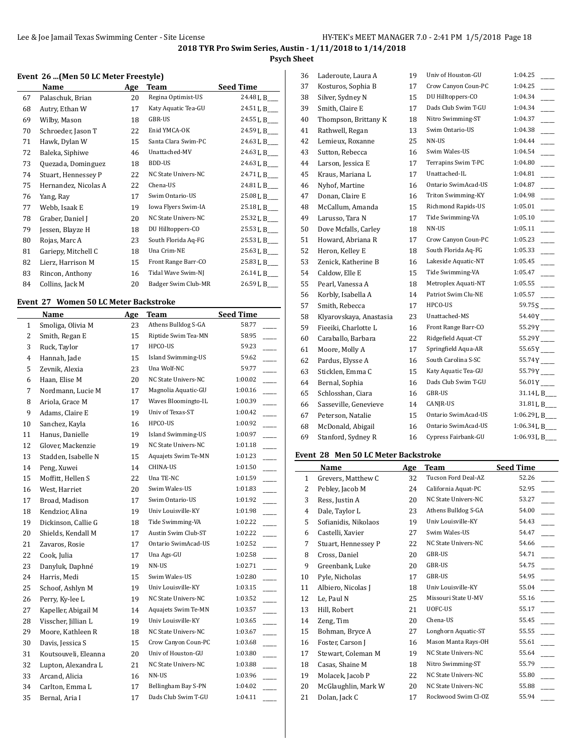## **Psych Sheet**

#### **Event 26 ...(Men 50 LC Meter Freestyle)**

| Name                 | Age | Team                | <b>Seed Time</b> |
|----------------------|-----|---------------------|------------------|
| Palaschuk, Brian     | 20  | Regina Optimist-US  | 24.48 L B___     |
| Autry, Ethan W       | 17  | Katy Aquatic Tea-GU | 24.51 L B___     |
| Wilby, Mason         | 18  | GBR-US              | 24.55 L B___     |
| Schroeder, Jason T   | 22  | Enid YMCA-OK        | 24.59 L B___     |
| Hawk, Dylan W        | 15  | Santa Clara Swim-PC | 24.63 L B___     |
| Baleka, Siphiwe      | 46  | Unattached-MV       | 24.63 L B___     |
| Quezada, Dominguez   | 18  | BDD-US              | 24.63 L B___     |
| Stuart, Hennessey P  | 22  | NC State Univers-NC | 24.71 L B___     |
| Hernandez, Nicolas A | 22  | Chena-US            | 24.81 L B___     |
| Yang, Ray            | 17  | Swim Ontario-US     | 25.08 L B___     |
| Webb, Isaak E        | 19  | Iowa Flyers Swim-IA | 25.18 L B___     |
| Graber, Daniel J     | 20  | NC State Univers-NC | 25.32 L B___     |
| Jessen, Blayze H     | 18  | DU Hilltoppers-CO   | 25.53 L B___     |
| Rojas, Marc A        | 23  | South Florida Aq-FG | 25.53 L B___     |
| Gariepy, Mitchell C  | 18  | Una Crim-NE         | 25.63 L B___     |
| Lierz, Harrison M    | 15  | Front Range Barr-CO | 25.83 L B___     |
| Rincon, Anthony      | 16  | Tidal Wave Swim-NJ  | 26.14 L B___     |
| Collins, Jack M      | 20  | Badger Swim Club-MR | 26.59 L B__      |
|                      |     |                     |                  |

#### **Event 27 Women 50 LC Meter Backstroke**

|                | Name                 | <u>Age</u> | <b>Team</b>               | <b>Seed Time</b> |  |
|----------------|----------------------|------------|---------------------------|------------------|--|
| $\mathbf{1}$   | Smoliga, Olivia M    | 23         | Athens Bulldog S-GA       | 58.77            |  |
| $\overline{c}$ | Smith, Regan E       | 15         | Riptide Swim Tea-MN       | 58.95            |  |
| 3              | Ruck, Taylor         | 17         | HPCO-US                   | 59.23            |  |
| $\overline{4}$ | Hannah, Jade         | 15         | <b>Island Swimming-US</b> | 59.62            |  |
| 5              | Zevnik, Alexia       | 23         | Una Wolf-NC               | 59.77            |  |
| 6              | Haan, Elise M        | 20         | NC State Univers-NC       | 1:00.02          |  |
| 7              | Nordmann, Lucie M    | 17         | Magnolia Aquatic-GU       | 1:00.16          |  |
| 8              | Ariola, Grace M      | 17         | Waves Bloomingto-IL       | 1:00.39          |  |
| 9              | Adams, Claire E      | 19         | Univ of Texas-ST          | 1:00.42          |  |
| 10             | Sanchez, Kayla       | 16         | HPCO-US                   | 1:00.92          |  |
| 11             | Hanus, Danielle      | 19         | <b>Island Swimming-US</b> | 1:00.97          |  |
| 12             | Glover, Mackenzie    | 19         | NC State Univers-NC       | 1:01.18          |  |
| 13             | Stadden, Isabelle N  | 15         | Aquajets Swim Te-MN       | 1:01.23          |  |
| 14             | Peng, Xuwei          | 14         | CHINA-US                  | 1:01.50          |  |
| 15             | Moffitt, Hellen S    | 22         | Una TE-NC                 | 1:01.59          |  |
| 16             | West, Harriet        | 20         | Swim Wales-US             | 1:01.83          |  |
| 17             | Broad, Madison       | 17         | Swim Ontario-US           | 1:01.92          |  |
| 18             | Kendzior, Alina      | 19         | Univ Louisville-KY        | 1:01.98          |  |
| 19             | Dickinson, Callie G  | 18         | Tide Swimming-VA          | 1:02.22          |  |
| 20             | Shields, Kendall M   | 17         | Austin Swim Club-ST       | 1:02.22          |  |
| 21             | Zavaros, Rosie       | 17         | Ontario SwimAcad-US       | 1:02.52          |  |
| 22             | Cook, Julia          | 17         | Una Ags-GU                | 1:02.58          |  |
| 23             | Danyluk, Daphné      | 19         | NN-US                     | 1:02.71          |  |
| 24             | Harris, Medi         | 15         | Swim Wales-US             | 1:02.80          |  |
| 25             | Schoof, Ashlyn M     | 19         | Univ Louisville-KY        | 1:03.15          |  |
| 26             | Perry, Ky-lee L      | 19         | NC State Univers-NC       | 1:03.52          |  |
| 27             | Kapeller, Abigail M  | 14         | Aquajets Swim Te-MN       | 1:03.57          |  |
| 28             | Visscher, Jillian L  | 19         | Univ Louisville-KY        | 1:03.65          |  |
| 29             | Moore, Kathleen R    | 18         | NC State Univers-NC       | 1:03.67          |  |
| 30             | Davis, Jessica S     | 15         | Crow Canyon Coun-PC       | 1:03.68          |  |
| 31             | Koutsouveli, Eleanna | 20         | Univ of Houston-GU        | 1:03.80          |  |
| 32             | Lupton, Alexandra L  | 21         | NC State Univers-NC       | 1:03.88          |  |
| 33             | Arcand, Alicia       | 16         | NN-US                     | 1:03.96          |  |
| 34             | Carlton, Emma L      | 17         | Bellingham Bay S-PN       | 1:04.02          |  |
| 35             | Bernal, Aria I       | 17         | Dads Club Swim T-GU       | 1:04.11          |  |
|                |                      |            |                           |                  |  |

| 36 | Laderoute, Laura A      | 19 | Univ of Houston-GU        | 1:04.25                  |
|----|-------------------------|----|---------------------------|--------------------------|
| 37 | Kosturos, Sophia B      | 17 | Crow Canyon Coun-PC       | 1:04.25                  |
| 38 | Silver, Sydney N        | 15 | DU Hilltoppers-CO         | 1:04.34                  |
| 39 | Smith, Claire E         | 17 | Dads Club Swim T-GU       | 1:04.34                  |
| 40 | Thompson, Brittany K    | 18 | Nitro Swimming-ST         | 1:04.37                  |
| 41 | Rathwell, Regan         | 13 | Swim Ontario-US           | 1:04.38                  |
| 42 | Lemieux, Roxanne        | 25 | NN-US                     | 1:04.44                  |
| 43 | Sutton, Rebecca         | 16 | Swim Wales-US             | 1:04.54                  |
| 44 | Larson, Jessica E       | 17 | Terrapins Swim T-PC       | 1:04.80                  |
| 45 | Kraus, Mariana L        | 17 | Unattached-IL             | 1:04.81                  |
| 46 | Nyhof, Martine          | 16 | Ontario SwimAcad-US       | 1:04.87                  |
| 47 | Donan, Claire E         | 16 | <b>Triton Swimming-KY</b> | 1:04.98                  |
| 48 | McCallum, Amanda        | 15 | Richmond Rapids-US        | 1:05.01                  |
| 49 | Larusso, Tara N         | 17 | Tide Swimming-VA          | 1:05.10                  |
| 50 | Dove Mcfalls, Carley    | 18 | NN-US                     | 1:05.11                  |
| 51 | Howard, Abriana R       | 17 | Crow Canyon Coun-PC       | 1:05.23                  |
| 52 | Heron, Kelley E         | 18 | South Florida Aq-FG       | 1:05.33                  |
| 53 | Zenick, Katherine B     | 16 | Lakeside Aquatic-NT       | 1:05.45                  |
| 54 | Caldow, Elle E          | 15 | Tide Swimming-VA          | 1:05.47                  |
| 55 | Pearl, Vanessa A        | 18 | Metroplex Aquati-NT       | 1:05.55                  |
| 56 | Korbly, Isabella A      | 14 | Patriot Swim Clu-NE       | 1:05.57                  |
| 57 | Smith, Rebecca          | 17 | HPCO-US                   |                          |
| 58 | Klyarovskaya, Anastasia | 23 | Unattached-MS             | 54.40Y                   |
| 59 | Fieeiki, Charlotte L    | 16 | Front Range Barr-CO       | $55.29Y$ <sub>----</sub> |
| 60 | Caraballo, Barbara      | 22 | Ridgefield Aquat-CT       | 55.29 Y                  |
| 61 | Moore, Molly A          | 17 | Springfield Aqua-AR       | $55.65Y$ <sub>---</sub>  |
| 62 | Pardus, Elysse A        | 16 | South Carolina S-SC       | 55.74Y                   |
| 63 | Sticklen, Emma C        | 15 | Katy Aquatic Tea-GU       | 55.79Y ____              |
| 64 | Bernal, Sophia          | 16 | Dads Club Swim T-GU       | $56.01Y$ <sub>---</sub>  |
| 65 | Schlosshan, Ciara       | 16 | GBR-US                    | 31.14 L B___             |
| 66 | Sasseville, Genevieve   | 14 | CANJR-US                  | 31.81 L B___             |
| 67 | Peterson, Natalie       | 15 | Ontario SwimAcad-US       | 1:06.29 L B_             |
| 68 | McDonald, Abigail       | 16 | Ontario SwimAcad-US       | 1:06.34 L B              |
| 69 | Stanford, Sydney R      | 16 | Cypress Fairbank-GU       | 1:06.93 L B              |
|    |                         |    |                           |                          |

# **Event 28 Men 50 LC Meter Backstroke**

|                | Name                 | Age | Team                | <b>Seed Time</b> |
|----------------|----------------------|-----|---------------------|------------------|
| 1              | Grevers, Matthew C   | 32  | Tucson Ford Deal-AZ | 52.26            |
| 2              | Pebley, Jacob M      | 24  | California Aquat-PC | 52.95            |
| 3              | Ress, Justin A       | 20  | NC State Univers-NC | 53.27            |
| $\overline{4}$ | Dale, Taylor L       | 23  | Athens Bulldog S-GA | 54.00            |
| 5              | Sofianidis, Nikolaos | 19  | Univ Louisville-KY  | 54.43            |
| 6              | Castelli, Xavier     | 27  | Swim Wales-US       | 54.47            |
| 7              | Stuart, Hennessey P  | 22  | NC State Univers-NC | 54.66            |
| 8              | Cross, Daniel        | 20  | GBR-US              | 54.71            |
| 9              | Greenbank, Luke      | 20  | GBR-US              | 54.75            |
| 10             | Pyle, Nicholas       | 17  | GBR-US              | 54.95            |
| 11             | Albiero, Nicolas J   | 18  | Univ Louisville-KY  | 55.04            |
| 12             | Le, Paul N           | 25  | Missouri State U-MV | 55.16            |
| 13             | Hill, Robert         | 21  | UOFC-US             | 55.17            |
| 14             | Zeng, Tim            | 20  | Chena-US            | 55.45            |
| 15             | Bohman, Bryce A      | 27  | Longhorn Aquatic-ST | 55.55            |
| 16             | Foster, Carson J     | 16  | Mason Manta Rays-OH | 55.61            |
| 17             | Stewart, Coleman M   | 19  | NC State Univers-NC | 55.64            |
| 18             | Casas, Shaine M      | 18  | Nitro Swimming-ST   | 55.79            |
| 19             | Molacek, Jacob P     | 22  | NC State Univers-NC | 55.80            |
| 20             | McGlaughlin, Mark W  | 20  | NC State Univers-NC | 55.88            |
| 21             | Dolan, Jack C        | 17  | Rockwood Swim Cl-OZ | 55.94            |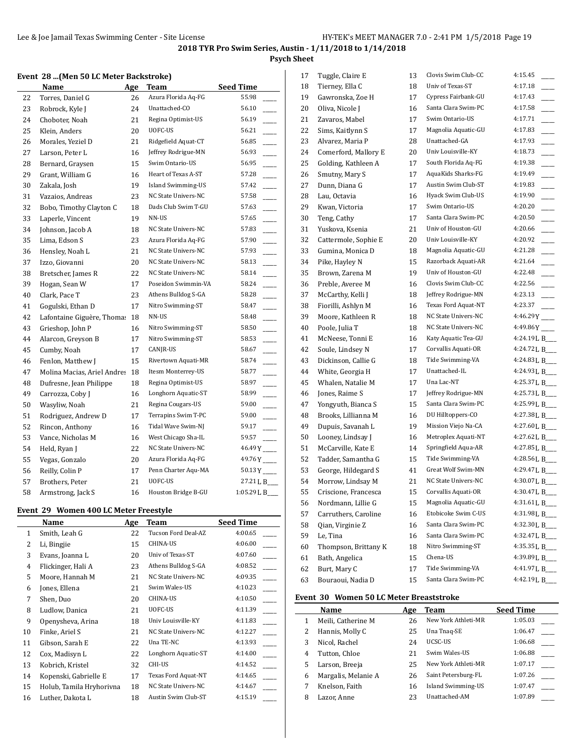## **Psych Sheet**

## **Event 28 ...(Men 50 LC Meter Backstroke)**

|    | Name                        | Age | <b>Team</b>         | <b>Seed Time</b>                  |
|----|-----------------------------|-----|---------------------|-----------------------------------|
| 22 | Torres, Daniel G            | 26  | Azura Florida Aq-FG | 55.98                             |
| 23 | Robrock, Kyle J             | 24  | Unattached-CO       | 56.10                             |
| 24 | Choboter, Noah              | 21  | Regina Optimist-US  | 56.19                             |
| 25 | Klein, Anders               | 20  | UOFC-US             | 56.21<br>L.                       |
| 26 | Morales, Yeziel D           | 21  | Ridgefield Aquat-CT | 56.85<br>÷.                       |
| 27 | Larson, Peter L             | 16  | Jeffrey Rodrigue-MN | 56.93<br><u>.</u>                 |
| 28 | Bernard, Graysen            | 15  | Swim Ontario-US     | $\overline{\phantom{a}}$<br>56.95 |
| 29 | Grant, William G            | 16  | Heart of Texas A-ST | 57.28                             |
| 30 | Zakala, Josh                | 19  | Island Swimming-US  | 57.42                             |
| 31 | Vazaios, Andreas            | 23  | NC State Univers-NC | 57.58<br>$\overline{\phantom{a}}$ |
| 32 | Bobo, Timothy Clayton C     | 18  | Dads Club Swim T-GU | 57.63                             |
| 33 | Laperle, Vincent            | 19  | NN-US               | 57.65                             |
| 34 | Johnson, Jacob A            | 18  | NC State Univers-NC | 57.83<br>$\overline{\phantom{a}}$ |
| 35 | Lima, Edson S               | 23  | Azura Florida Aq-FG | 57.90<br>$\overline{\phantom{a}}$ |
| 36 | Hensley, Noah L             | 21  | NC State Univers-NC | 57.93<br>$\overline{\phantom{a}}$ |
| 37 | Izzo, Giovanni              | 20  | NC State Univers-NC | 58.13<br>$\overline{\phantom{a}}$ |
| 38 | Bretscher, James R          | 22  | NC State Univers-NC | 58.14<br>$\overline{\phantom{a}}$ |
| 39 | Hogan, Sean W               | 17  | Poseidon Swimmin-VA | 58.24<br>$\overline{\phantom{a}}$ |
| 40 | Clark, Pace T               | 23  | Athens Bulldog S-GA | 58.28                             |
| 41 | Gogulski, Ethan D           | 17  | Nitro Swimming-ST   | 58.47                             |
| 42 | Lafontaine Giguère, Thomas  | 18  | NN-US               | 58.48                             |
| 43 | Grieshop, John P            | 16  | Nitro Swimming-ST   | 58.50                             |
| 44 | Alarcon, Greyson B          | 17  | Nitro Swimming-ST   | 58.53                             |
| 45 | Cumby, Noah                 | 17  | CANJR-US            | 58.67<br>j.                       |
| 46 | Fenlon, Matthew J           | 15  | Rivertown Aquati-MR | 58.74<br>$\sim$                   |
| 47 | Molina Macias, Ariel Andres | 18  | Itesm Monterrey-US  | 58.77                             |
| 48 | Dufresne, Jean Philippe     | 18  | Regina Optimist-US  | 58.97                             |
| 49 | Carrozza, Coby J            | 16  | Longhorn Aquatic-ST | 58.99                             |
| 50 | Wasyliw, Noah               | 21  | Regina Cougars-US   | 59.00                             |
| 51 | Rodriguez, Andrew D         | 17  | Terrapins Swim T-PC | 59.00                             |
| 52 | Rincon, Anthony             | 16  | Tidal Wave Swim-NJ  | 59.17<br><u>Link</u>              |
| 53 | Vance, Nicholas M           | 16  | West Chicago Sha-IL | 59.57                             |
| 54 | Held, Ryan J                | 22  | NC State Univers-NC | $46.49Y$ <sub>---</sub>           |
| 55 | Vegas, Gonzalo              | 20  | Azura Florida Aq-FG | $49.76Y$ <sub>---</sub>           |
| 56 | Reilly, Colin P             | 17  | Penn Charter Aqu-MA | $50.13Y$ <sub>---</sub>           |
| 57 | Brothers, Peter             | 21  | UOFC-US             | 27.21 L B                         |
| 58 | Armstrong, Jack S           | 16  | Houston Bridge B-GU | 1:05.29 L B                       |

#### **Event 29 Women 400 LC Meter Freestyle**

|              | Name                     | Age | Team                | <b>Seed Time</b> |
|--------------|--------------------------|-----|---------------------|------------------|
| $\mathbf{1}$ | Smith, Leah G            | 22  | Tucson Ford Deal-AZ | 4:00.65          |
| 2            | Li, Bingjie              | 15  | CHINA-US            | 4:06.00          |
| 3            | Evans, Joanna L          | 20  | Univ of Texas-ST    | 4:07.60          |
| 4            | Flickinger, Hali A       | 23  | Athens Bulldog S-GA | 4:08.52          |
| 5            | Moore, Hannah M          | 21  | NC State Univers-NC | 4:09.35          |
| 6            | Jones, Ellena            | 21  | Swim Wales-US       | 4:10.23          |
| 7            | Shen, Duo                | 20  | CHINA-US            | 4:10.50          |
| 8            | Ludlow, Danica           | 21  | UOFC-US             | 4:11.39          |
| 9            | Openysheva, Arina        | 18  | Univ Louisville-KY  | 4:11.83          |
| 10           | Finke, Ariel S           | 21  | NC State Univers-NC | 4:12.27          |
| 11           | Gibson, Sarah E          | 22  | Una TE-NC           | 4:13.93          |
| 12           | Cox, Madisyn L           | 22  | Longhorn Aquatic-ST | 4:14.00          |
| 13           | Kobrich, Kristel         | 32  | CHI-US              | 4:14.52          |
| 14           | Kopenski, Gabrielle E    | 17  | Texas Ford Aquat-NT | 4:14.65          |
| 15           | Holub, Tamila Hryhorivna | 18  | NC State Univers-NC | 4:14.67          |
| 16           | Luther, Dakota L         | 18  | Austin Swim Club-ST | 4:15.19          |

| 17 | Tuggle, Claire E     | 13 | Clovis Swim Club-CC | 4:15.45                   |
|----|----------------------|----|---------------------|---------------------------|
| 18 | Tierney, Ella C      | 18 | Univ of Texas-ST    | 4:17.18                   |
| 19 | Gawronska, Zoe H     | 17 | Cypress Fairbank-GU | 4:17.43                   |
| 20 | Oliva, Nicole J      | 16 | Santa Clara Swim-PC | 4:17.58                   |
| 21 | Zavaros, Mabel       | 17 | Swim Ontario-US     | 4:17.71                   |
| 22 | Sims, Kaitlynn S     | 17 | Magnolia Aquatic-GU | 4:17.83                   |
| 23 | Alvarez, Maria P     | 28 | Unattached-GA       | 4:17.93                   |
| 24 | Comerford, Mallory E | 20 | Univ Louisville-KY  | 4:18.73                   |
| 25 | Golding, Kathleen A  | 17 | South Florida Aq-FG | 4:19.38                   |
| 26 | Smutny, Mary S       | 17 | AquaKids Sharks-FG  | 4:19.49                   |
| 27 | Dunn, Diana G        | 17 | Austin Swim Club-ST | 4:19.83                   |
| 28 | Lau, Octavia         | 16 | Hyack Swim Club-US  | 4:19.90                   |
| 29 | Kwan, Victoria       | 17 | Swim Ontario-US     | 4:20.20                   |
| 30 | Teng, Cathy          | 17 | Santa Clara Swim-PC | 4:20.50                   |
| 31 | Yuskova, Ksenia      | 21 | Univ of Houston-GU  | 4:20.66                   |
| 32 | Cattermole, Sophie E | 20 | Univ Louisville-KY  | 4:20.92                   |
| 33 | Gumina, Monica D     | 18 | Magnolia Aquatic-GU | 4:21.28                   |
| 34 | Pike, Hayley N       | 15 | Razorback Aquati-AR | 4:21.64                   |
| 35 | Brown, Zarena M      | 19 | Univ of Houston-GU  | 4:22.48                   |
| 36 | Preble, Averee M     | 16 | Clovis Swim Club-CC | 4:22.56                   |
| 37 | McCarthy, Kelli J    | 18 | Jeffrey Rodrigue-MN | 4:23.13                   |
| 38 | Fiorilli, Ashlyn M   | 16 | Texas Ford Aquat-NT | 4:23.37                   |
| 39 | Moore, Kathleen R    | 18 | NC State Univers-NC | 4:46.29Y                  |
| 40 | Poole, Julia T       | 18 | NC State Univers-NC | $4:49.86Y$ <sub>---</sub> |
| 41 | McNeese, Tonni E     | 16 | Katy Aquatic Tea-GU | 4:24.19 L B               |
| 42 | Soule, Lindsey N     | 17 | Corvallis Aquati-OR | 4:24.72 L B_              |
| 43 | Dickinson, Callie G  | 18 | Tide Swimming-VA    | 4:24.83 L B               |
| 44 | White, Georgia H     | 17 | Unattached-IL       | 4:24.93 L B               |
| 45 | Whalen, Natalie M    | 17 | Una Lac-NT          | 4:25.37 L B_              |
| 46 | Jones, Raime S       | 17 | Jeffrey Rodrigue-MN | 4:25.73 L B               |
| 47 | Yongyuth, Bianca S   | 15 | Santa Clara Swim-PC | 4:25.99 L B_              |
| 48 | Brooks, Lillianna M  | 16 | DU Hilltoppers-CO   | 4:27.38 L B               |
| 49 | Dupuis, Savanah L    | 19 | Mission Viejo Na-CA | 4:27.60 L B               |
| 50 | Looney, Lindsay J    | 16 | Metroplex Aquati-NT | 4:27.62 L B               |
| 51 | McCarville, Kate E   | 14 | Springfield Aqua-AR | 4:27.85 L B               |
| 52 | Tadder, Samantha G   | 15 | Tide Swimming-VA    | 4:28.56 L B_              |
| 53 | George, Hildegard S  | 41 | Great Wolf Swim-MN  | 4:29.47 L B_              |
| 54 | Morrow, Lindsay M    | 21 | NC State Univers-NC | 4:30.07 L B               |
| 55 | Criscione, Francesca | 15 | Corvallis Aquati-OR | 4:30.47 L B_              |
| 56 | Nordmann, Lillie G   | 15 | Magnolia Aquatic-GU | 4:31.61 L B_              |
| 57 | Carruthers, Caroline | 16 | Etobicoke Swim C-US | 4:31.98LB_                |
| 58 | Qian, Virginie Z     | 16 | Santa Clara Swim-PC | 4:32.30 L B_              |
| 59 | Le, Tina             | 16 | Santa Clara Swim-PC | 4:32.47 L B___            |
| 60 | Thompson, Brittany K | 18 | Nitro Swimming-ST   | 4:35.35 L B               |
| 61 | Bath, Angelica       | 15 | Chena-US            | 4:39.89 L B_              |
| 62 | Burt, Mary C         | 17 | Tide Swimming-VA    | 4:41.97 L B_              |
| 63 | Bouraoui, Nadia D    | 15 | Santa Clara Swim-PC | 4:42.19 L B               |

## **Event 30 Women 50 LC Meter Breaststroke**

|   | <b>Name</b>         | Age | Team                | <b>Seed Time</b> |
|---|---------------------|-----|---------------------|------------------|
| 1 | Meili, Catherine M  | 26  | New York Athleti-MR | 1:05.03          |
| 2 | Hannis, Molly C     | 25  | Una Tnaq-SE         | 1:06.47          |
| 3 | Nicol, Rachel       | 24  | UCSC-US             | 1:06.68          |
| 4 | Tutton, Chloe       | 21  | Swim Wales-US       | 1:06.88          |
| 5 | Larson, Breeja      | 25  | New York Athleti-MR | 1:07.17          |
| 6 | Margalis, Melanie A | 26  | Saint Petersburg-FL | 1:07.26          |
| 7 | Knelson, Faith      | 16  | Island Swimming-US  | 1:07.47          |
| 8 | Lazor, Anne         | 23  | Unattached-AM       | 1:07.89          |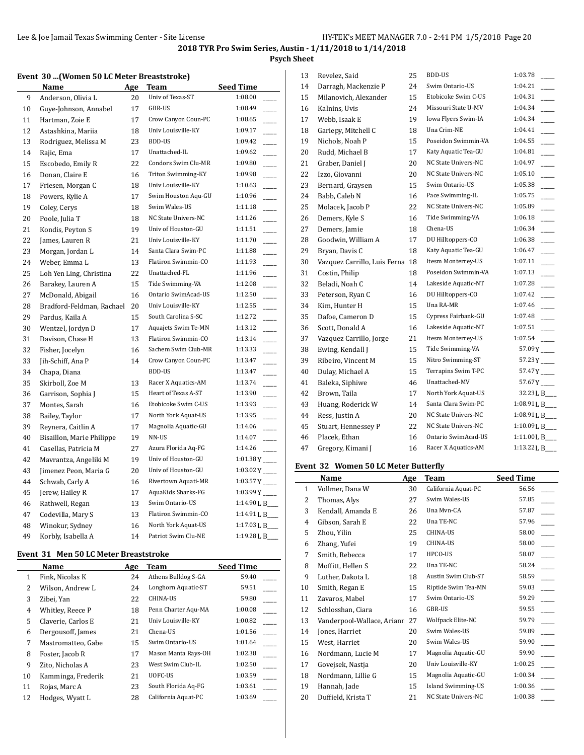**Psych Sheet**

### **Event 30 ...(Women 50 LC Meter Breaststroke)**

|    | <b>Name</b>               | <u>Age</u> | <b>Team</b>         | Seed Time                           |
|----|---------------------------|------------|---------------------|-------------------------------------|
| 9  | Anderson, Olivia L        | 20         | Univ of Texas-ST    | 1:08.00                             |
| 10 | Guye-Johnson, Annabel     | 17         | GBR-US              | 1:08.49                             |
| 11 | Hartman, Zoie E           | 17         | Crow Canyon Coun-PC | 1:08.65                             |
| 12 | Astashkina, Mariia        | 18         | Univ Louisville-KY  | 1:09.17                             |
| 13 | Rodriguez, Melissa M      | 23         | <b>BDD-US</b>       | 1:09.42                             |
| 14 | Rajic, Ema                | 17         | Unattached-IL       | 1:09.62                             |
| 15 | Escobedo, Emily R         | 22         | Condors Swim Clu-MR | 1:09.80                             |
| 16 | Donan, Claire E           | 16         | Triton Swimming-KY  | 1:09.98                             |
| 17 | Friesen, Morgan C         | 18         | Univ Louisville-KY  | 1:10.63                             |
| 18 | Powers, Kylie A           | 17         | Swim Houston Aqu-GU | 1:10.96                             |
| 19 | Coley, Cerys              | 18         | Swim Wales-US       | 1:11.18                             |
| 20 | Poole, Julia T            | 18         | NC State Univers-NC | 1:11.26                             |
| 21 | Kondis, Peyton S          | 19         | Univ of Houston-GU  | 1:11.51<br>$\overline{\phantom{0}}$ |
| 22 | James, Lauren R           | 21         | Univ Louisville-KY  | 1:11.70                             |
| 23 | Morgan, Jordan L          | 14         | Santa Clara Swim-PC | 1:11.88                             |
| 24 | Weber, Emma L             | 13         | Flatiron Swimmin-CO | 1:11.93                             |
| 25 | Loh Yen Ling, Christina   | 22         | Unattached-FL       | 1:11.96                             |
| 26 | Barakey, Lauren A         | 15         | Tide Swimming-VA    | 1:12.08                             |
| 27 | McDonald, Abigail         | 16         | Ontario SwimAcad-US | 1:12.50                             |
| 28 | Bradford-Feldman, Rachael | 20         | Univ Louisville-KY  | 1:12.55                             |
| 29 | Pardus, Kaila A           | 15         | South Carolina S-SC | 1:12.72                             |
| 30 | Wentzel, Jordyn D         | 17         | Aquajets Swim Te-MN | 1:13.12                             |
| 31 | Davison, Chase H          | 13         | Flatiron Swimmin-CO | 1:13.14                             |
| 32 | Fisher, Jocelyn           | 16         | Sachem Swim Club-MR | 1:13.33                             |
| 33 | Jih-Schiff, Ana P         | 14         | Crow Canyon Coun-PC | 1:13.47                             |
| 34 | Chapa, Diana              |            | <b>BDD-US</b>       | 1:13.47                             |
| 35 | Skirboll, Zoe M           | 13         | Racer X Aquatics-AM | 1:13.74                             |
| 36 | Garrison, Sophia J        | 15         | Heart of Texas A-ST | 1:13.90                             |
| 37 | Montes, Sarah             | 16         | Etobicoke Swim C-US | 1:13.93                             |
| 38 | Bailey, Taylor            | 17         | North York Aquat-US | 1:13.95                             |
| 39 | Reynera, Caitlin A        | 17         | Magnolia Aquatic-GU | 1:14.06                             |
| 40 | Bisaillon, Marie Philippe | 19         | NN-US               | 1:14.07                             |
| 41 | Casellas, Patricia M      | 27         | Azura Florida Aq-FG | 1:14.26                             |
| 42 | Mavrantza, Angeliki M     | 19         | Univ of Houston-GU  | $1:01.38Y$ <sub>---</sub>           |
| 43 | Jimenez Peon, Maria G     | 20         | Univ of Houston-GU  |                                     |
| 44 | Schwab, Carly A           | 16         | Rivertown Aquati-MR |                                     |
| 45 | Jerew, Hailey R           | 17         | AquaKids Sharks-FG  | $1:03.99Y$ <sub>---</sub>           |
| 46 | Rathwell, Regan           | 13         | Swim Ontario-US     | 1:14.90 L B                         |
| 47 | Codevilla, Mary S         | 13         | Flatiron Swimmin-CO | 1:14.91 L B                         |
| 48 | Winokur, Sydney           | 16         | North York Aquat-US | 1:17.03 L B                         |
| 49 | Korbly, Isabella A        | 14         | Patriot Swim Clu-NE |                                     |

#### **Event 31 Men 50 LC Meter Breaststroke**

|              | Name               | Age | Team                | <b>Seed Time</b> |
|--------------|--------------------|-----|---------------------|------------------|
| $\mathbf{1}$ | Fink, Nicolas K    | 24  | Athens Bulldog S-GA | 59.40            |
| 2            | Wilson, Andrew L   | 24  | Longhorn Aquatic-ST | 59.51            |
| 3            | Zibei, Yan         | 22  | <b>CHINA-US</b>     | 59.80            |
| 4            | Whitley, Reece P   | 18  | Penn Charter Agu-MA | 1:00.08          |
| 5            | Claverie, Carlos E | 21  | Univ Louisville-KY  | 1:00.82          |
| 6            | Dergousoff, James  | 21  | Chena-US            | 1:01.56          |
| 7            | Mastromatteo, Gabe | 15  | Swim Ontario-US     | 1:01.64          |
| 8            | Foster, Jacob R    | 17  | Mason Manta Rays-OH | 1:02.38          |
| 9            | Zito, Nicholas A   | 23  | West Swim Club-IL   | 1:02.50          |
| 10           | Kamminga, Frederik | 21  | UOFC-US             | 1:03.59          |
| 11           | Rojas, Marc A      | 23  | South Florida Aq-FG | 1:03.61          |
| 12           | Hodges, Wyatt L    | 28  | California Aquat-PC | 1:03.69          |

| 13 | Revelez, Said                | 25 | BDD-US              | 1:03.78                 |
|----|------------------------------|----|---------------------|-------------------------|
| 14 | Darragh, Mackenzie P         | 24 | Swim Ontario-US     | 1:04.21                 |
| 15 | Milanovich, Alexander        | 15 | Etobicoke Swim C-US | 1:04.31                 |
| 16 | Kalnins, Uvis                | 24 | Missouri State U-MV | 1:04.34                 |
| 17 | Webb, Isaak E                | 19 | Iowa Flyers Swim-IA | 1:04.34                 |
| 18 | Gariepy, Mitchell C          | 18 | Una Crim-NE         | 1:04.41                 |
| 19 | Nichols, Noah P              | 15 | Poseidon Swimmin-VA | 1:04.55                 |
| 20 | Rudd, Michael B              | 17 | Katy Aquatic Tea-GU | 1:04.81                 |
| 21 | Graber, Daniel J             | 20 | NC State Univers-NC | 1:04.97                 |
| 22 | Izzo, Giovanni               | 20 | NC State Univers-NC | 1:05.10                 |
| 23 | Bernard, Graysen             | 15 | Swim Ontario-US     | 1:05.38                 |
| 24 | Babb, Caleb N                | 16 | Pace Swimming-IL    | 1:05.75                 |
| 25 | Molacek, Jacob P             | 22 | NC State Univers-NC | 1:05.89                 |
| 26 | Demers, Kyle S               | 16 | Tide Swimming-VA    | 1:06.18                 |
| 27 | Demers, Jamie                | 18 | Chena-US            | 1:06.34                 |
| 28 | Goodwin, William A           | 17 | DU Hilltoppers-CO   | 1:06.38                 |
| 29 | Bryan, Davis C               | 18 | Katy Aquatic Tea-GU | 1:06.47                 |
| 30 | Vazquez Carrillo, Luis Ferna | 18 | Itesm Monterrey-US  | 1:07.11                 |
| 31 | Costin, Philip               | 18 | Poseidon Swimmin-VA | 1:07.13                 |
| 32 | Beladi, Noah C               | 14 | Lakeside Aquatic-NT | 1:07.28                 |
| 33 | Peterson, Ryan C             | 16 | DU Hilltoppers-CO   | 1:07.42                 |
| 34 | Kim, Hunter H                | 15 | Una RA-MR           | 1:07.46                 |
| 35 | Dafoe, Cameron D             | 15 | Cypress Fairbank-GU | 1:07.48                 |
| 36 | Scott, Donald A              | 16 | Lakeside Aquatic-NT | 1:07.51                 |
| 37 | Vazquez Carrillo, Jorge      | 21 | Itesm Monterrey-US  | 1:07.54                 |
| 38 | Ewing, Kendall J             | 15 | Tide Swimming-VA    | 57.09Y                  |
| 39 | Ribeiro, Vincent M           | 15 | Nitro Swimming-ST   | $57.23Y$ <sub>---</sub> |
| 40 | Dulay, Michael A             | 15 | Terrapins Swim T-PC | $57.47Y$ <sub>---</sub> |
| 41 | Baleka, Siphiwe              | 46 | Unattached-MV       | 57.67Y                  |
| 42 | Brown, Taila                 | 17 | North York Aquat-US | 32.23 L B_              |
| 43 | Huang, Roderick W            | 14 | Santa Clara Swim-PC | 1:08.91 L B             |
| 44 | Ress, Justin A               | 20 | NC State Univers-NC | 1:08.91 L B_            |
| 45 | Stuart, Hennessey P          | 22 | NC State Univers-NC | 1:10.09 L B             |
| 46 | Placek, Ethan                | 16 | Ontario SwimAcad-US | 1:11.00 L B             |
| 47 | Gregory, Kimani J            | 16 | Racer X Aquatics-AM | 1:13.22 L B             |

## **Event 32 Women 50 LC Meter Butterfly**

|    | Name                       | Age | Team                      | <b>Seed Time</b> |
|----|----------------------------|-----|---------------------------|------------------|
| 1  | Vollmer, Dana W            | 30  | California Aquat-PC       | 56.56            |
| 2  | Thomas, Alys               | 27  | Swim Wales-US             | 57.85            |
| 3  | Kendall, Amanda E          | 26  | Una Myn-CA                | 57.87            |
| 4  | Gibson, Sarah E            | 22  | Una TE-NC                 | 57.96            |
| 5  | Zhou, Yilin                | 25  | CHINA-US                  | 58.00            |
| 6  | Zhang, Yufei               | 19  | CHINA-US                  | 58.00            |
| 7  | Smith, Rebecca             | 17  | HPCO-US                   | 58.07            |
| 8  | Moffitt, Hellen S          | 22  | Una TE-NC                 | 58.24            |
| 9  | Luther, Dakota L           | 18  | Austin Swim Club-ST       | 58.59            |
| 10 | Smith, Regan E             | 15  | Riptide Swim Tea-MN       | 59.03            |
| 11 | Zavaros, Mabel             | 17  | Swim Ontario-US           | 59.29            |
| 12 | Schlosshan, Ciara          | 16  | GBR-US                    | 59.55            |
| 13 | Vanderpool-Wallace, Arianr | 27  | Wolfpack Elite-NC         | 59.79            |
| 14 | Jones, Harriet             | 20  | Swim Wales-US             | 59.89            |
| 15 | West, Harriet              | 20  | Swim Wales-US             | 59.90            |
| 16 | Nordmann, Lucie M          | 17  | Magnolia Aquatic-GU       | 59.90            |
| 17 | Govejsek, Nastja           | 20  | Univ Louisville-KY        | 1:00.25          |
| 18 | Nordmann, Lillie G         | 15  | Magnolia Aquatic-GU       | 1:00.34          |
| 19 | Hannah, Jade               | 15  | <b>Island Swimming-US</b> | 1:00.36          |
| 20 | Duffield, Krista T         | 21  | NC State Univers-NC       | 1:00.38          |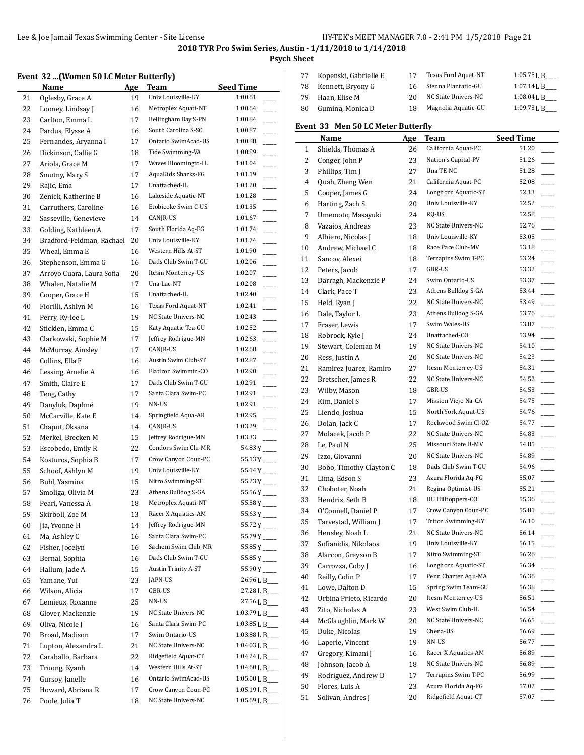**Psych Sheet**

## **Event 32 ...(Women 50 LC Meter Butterfly)**

|    | $\mathbf x$ (women 50 LC meter butterily) |     |                     |                          |
|----|-------------------------------------------|-----|---------------------|--------------------------|
|    | Name                                      | Age | Team                | <b>Seed Time</b>         |
| 21 | Oglesby, Grace A                          | 19  | Univ Louisville-KY  | 1:00.61                  |
| 22 | Looney, Lindsay J                         | 16  | Metroplex Aquati-NT | 1:00.64                  |
| 23 | Carlton, Emma L                           | 17  | Bellingham Bay S-PN | 1:00.84                  |
| 24 | Pardus, Elysse A                          | 16  | South Carolina S-SC | 1:00.87                  |
| 25 | Fernandes, Aryanna I                      | 17  | Ontario SwimAcad-US | 1:00.88                  |
| 26 | Dickinson, Callie G                       | 18  | Tide Swimming-VA    | 1:00.89                  |
| 27 | Ariola, Grace M                           | 17  | Waves Bloomingto-IL | 1:01.04                  |
| 28 | Smutny, Mary S                            | 17  | AquaKids Sharks-FG  | 1:01.19                  |
| 29 | Rajic, Ema                                | 17  | Unattached-IL       | 1:01.20                  |
| 30 | Zenick, Katherine B                       | 16  | Lakeside Aquatic-NT | 1:01.28                  |
| 31 | Carruthers, Caroline                      | 16  | Etobicoke Swim C-US | 1:01.35                  |
| 32 | Sasseville, Genevieve                     | 14  | CANJR-US            | 1:01.67                  |
| 33 | Golding, Kathleen A                       | 17  | South Florida Aq-FG | 1:01.74                  |
| 34 | Bradford-Feldman, Rachael                 | 20  | Univ Louisville-KY  | 1:01.74                  |
| 35 | Wheal, Emma E                             | 16  | Western Hills At-ST | 1:01.90                  |
| 36 | Stephenson, Emma G                        | 16  | Dads Club Swim T-GU | 1:02.06                  |
| 37 | Arroyo Cuara, Laura Sofia                 | 20  | Itesm Monterrey-US  | 1:02.07                  |
|    |                                           |     | Una Lac-NT          | 1:02.08                  |
| 38 | Whalen, Natalie M                         | 17  | Unattached-IL       | 1:02.40                  |
| 39 | Cooper, Grace H                           | 15  |                     | $\overline{\phantom{a}}$ |
| 40 | Fiorilli, Ashlyn M                        | 16  | Texas Ford Aquat-NT | 1:02.41<br>$\frac{1}{1}$ |
| 41 | Perry, Ky-lee L                           | 19  | NC State Univers-NC | 1:02.43                  |
| 42 | Sticklen, Emma C                          | 15  | Katy Aquatic Tea-GU | 1:02.52                  |
| 43 | Clarkowski, Sophie M                      | 17  | Jeffrey Rodrigue-MN | 1:02.63                  |
| 44 | McMurray, Ainsley                         | 17  | CANJR-US            | 1:02.68                  |
| 45 | Collins, Ella F                           | 16  | Austin Swim Club-ST | 1:02.87                  |
| 46 | Lessing, Amelie A                         | 16  | Flatiron Swimmin-CO | 1:02.90                  |
| 47 | Smith, Claire E                           | 17  | Dads Club Swim T-GU | 1:02.91                  |
| 48 | Teng, Cathy                               | 17  | Santa Clara Swim-PC | 1:02.91                  |
| 49 | Danyluk, Daphné                           | 19  | NN-US               | 1:02.91                  |
| 50 | McCarville, Kate E                        | 14  | Springfield Aqua-AR | 1:02.95                  |
| 51 | Chaput, Oksana                            | 14  | CANJR-US            | 1:03.29                  |
| 52 | Merkel, Brecken M                         | 15  | Jeffrey Rodrigue-MN | 1:03.33                  |
| 53 | Escobedo, Emily R                         | 22  | Condors Swim Clu-MR | $54.83Y$ <sub>---</sub>  |
| 54 | Kosturos, Sophia B                        | 17  | Crow Canyon Coun-PC | $55.13Y$ <sub>---</sub>  |
| 55 | Schoof, Ashlyn M                          | 19  | Univ Louisville-KY  | $55.14Y$ <sub>---</sub>  |
| 56 | Buhl, Yasmina                             | 15  | Nitro Swimming-ST   | $55.23Y$ <sub>---</sub>  |
| 57 | Smoliga, Olivia M                         | 23  | Athens Bulldog S-GA | $55.56Y$ <sub>---</sub>  |
| 58 | Pearl, Vanessa A                          | 18  | Metroplex Aquati-NT | $55.58Y$ <sup>-</sup>    |
| 59 | Skirboll, Zoe M                           | 13  | Racer X Aquatics-AM |                          |
| 60 | Jia, Yvonne H                             | 14  | Jeffrey Rodrigue-MN | 55.72Y                   |
| 61 | Ma, Ashley C                              | 16  | Santa Clara Swim-PC | $55.79Y$ <sub>----</sub> |
| 62 | Fisher, Jocelyn                           | 16  | Sachem Swim Club-MR | $55.85Y$ <sub>---</sub>  |
| 63 | Bernal, Sophia                            | 16  | Dads Club Swim T-GU | $55.85Y$ <sub>---</sub>  |
| 64 | Hallum, Jade A                            | 15  | Austin Trinity A-ST | $55.90Y$ <sub>---</sub>  |
| 65 | Yamane, Yui                               | 23  | JAPN-US             | 26.96 L B___             |
|    | Wilson, Alicia                            |     | GBR-US              | 27.28 L B___             |
| 66 |                                           | 17  | NN-US               | 27.56 L B___             |
| 67 | Lemieux, Roxanne                          | 25  |                     |                          |
| 68 | Glover, Mackenzie                         | 19  | NC State Univers-NC | 1:03.79 L B___           |
| 69 | Oliva, Nicole J                           | 16  | Santa Clara Swim-PC | 1:03.85 L B___           |
| 70 | Broad, Madison                            | 17  | Swim Ontario-US     | 1:03.88 L B___           |
| 71 | Lupton, Alexandra L                       | 21  | NC State Univers-NC | 1:04.03 L B              |
| 72 | Caraballo, Barbara                        | 22  | Ridgefield Aquat-CT | 1:04.24 L B              |
| 73 | Truong, Kyanh                             | 14  | Western Hills At-ST | 1:04.60 L B___           |
| 74 | Gursoy, Janelle                           | 16  | Ontario SwimAcad-US | 1:05.00 L B              |
| 75 | Howard, Abriana R                         | 17  | Crow Canyon Coun-PC | 1:05.19 L B___           |
| 76 | Poole, Julia T                            | 18  | NC State Univers-NC | 1:05.69 L B              |
|    |                                           |     |                     |                          |

| 77 | Kopenski, Gabrielle E | 17 | Texas Ford Aquat-NT | $1:05.75$ J, B |
|----|-----------------------|----|---------------------|----------------|
| 78 | Kennett, Bryony G     | 16 | Sienna Plantatio-GU | 1:07.14L B     |
| 79 | Haan, Elise M         | 20 | NC State Univers-NC | $1:08.04$ J, B |
| 80 | Gumina, Monica D      | 18 | Magnolia Aquatic-GU | $1:09.73$ J, B |

## **Event 33 Men 50 LC Meter Butterfly**

|    | <b>Name</b>                         | <b>Age</b> | Team                | <b>Seed Time</b> |
|----|-------------------------------------|------------|---------------------|------------------|
| 1  | Shields, Thomas A                   | 26         | California Aquat-PC | 51.20            |
| 2  | Conger, John P                      | 23         | Nation's Capital-PV | 51.26            |
| 3  | Phillips, Tim J                     | 27         | Una TE-NC           | 51.28            |
| 4  | Quah, Zheng Wen                     | 21         | California Aquat-PC | 52.08            |
| 5  | Cooper, James G                     | 24         | Longhorn Aquatic-ST | 52.13            |
| 6  | Harting, Zach S                     | 20         | Univ Louisville-KY  | 52.52            |
|    |                                     |            | RQ-US               | 52.58            |
| 7  | Umemoto, Masayuki                   | 24         | NC State Univers-NC | 52.76            |
| 8  | Vazaios, Andreas                    | 23         | Univ Louisville-KY  | 53.05            |
| 9  | Albiero, Nicolas J                  | 18         | Race Pace Club-MV   | 53.18            |
| 10 | Andrew, Michael C<br>Sancov, Alexei | 18         | Terrapins Swim T-PC | 53.24            |
| 11 |                                     | 18         | GBR-US              | 53.32            |
| 12 | Peters, Jacob                       | 17         | Swim Ontario-US     | 53.37            |
| 13 | Darragh, Mackenzie P                | 24         |                     |                  |
| 14 | Clark, Pace T                       | 23         | Athens Bulldog S-GA | 53.44            |
| 15 | Held, Ryan J                        | 22         | NC State Univers-NC | 53.49            |
| 16 | Dale, Taylor L                      | 23         | Athens Bulldog S-GA | 53.76            |
| 17 | Fraser, Lewis                       | 17         | Swim Wales-US       | 53.87            |
| 18 | Robrock, Kyle J                     | 24         | Unattached-CO       | 53.94            |
| 19 | Stewart, Coleman M                  | 19         | NC State Univers-NC | 54.10            |
| 20 | Ress, Justin A                      | 20         | NC State Univers-NC | 54.23            |
| 21 | Ramirez Juarez, Ramiro              | 27         | Itesm Monterrey-US  | 54.31            |
| 22 | Bretscher, James R                  | 22         | NC State Univers-NC | 54.52            |
| 23 | Wilby, Mason                        | 18         | GBR-US              | 54.53            |
| 24 | Kim, Daniel S                       | 17         | Mission Viejo Na-CA | 54.75            |
| 25 | Liendo, Joshua                      | 15         | North York Aquat-US | 54.76            |
| 26 | Dolan, Jack C                       | 17         | Rockwood Swim Cl-OZ | 54.77            |
| 27 | Molacek, Jacob P                    | 22         | NC State Univers-NC | 54.83            |
| 28 | Le, Paul N                          | 25         | Missouri State U-MV | 54.85            |
| 29 | Izzo, Giovanni                      | 20         | NC State Univers-NC | 54.89            |
| 30 | Bobo, Timothy Clayton C             | 18         | Dads Club Swim T-GU | 54.96            |
| 31 | Lima, Edson S                       | 23         | Azura Florida Aq-FG | 55.07            |
| 32 | Choboter, Noah                      | 21         | Regina Optimist-US  | 55.21            |
| 33 | Hendrix, Seth B                     | 18         | DU Hilltoppers-CO   | 55.36            |
| 34 | O'Connell, Daniel P                 | 17         | Crow Canyon Coun-PC | 55.81            |
| 35 | Tarvestad, William J                | 17         | Triton Swimming-KY  | 56.10            |
| 36 | Hensley, Noah L                     | 21         | NC State Univers-NC | 56.14            |
| 37 | Sofianidis, Nikolaos                | 19         | Univ Louisville-KY  | 56.15            |
| 38 | Alarcon, Greyson B                  | 17         | Nitro Swimming-ST   | 56.26            |
| 39 | Carrozza, Coby J                    | 16         | Longhorn Aquatic-ST | 56.34            |
| 40 | Reilly, Colin P                     | 17         | Penn Charter Aqu-MA | 56.36            |
| 41 | Lowe, Dalton D                      | 15         | Spring Swim Team-GU | 56.38            |
| 42 | Urbina Prieto, Ricardo              | 20         | Itesm Monterrey-US  | 56.51            |
| 43 | Zito, Nicholas A                    | 23         | West Swim Club-IL   | 56.54            |
| 44 | McGlaughlin, Mark W                 | 20         | NC State Univers-NC | 56.65            |
| 45 | Duke, Nicolas                       | 19         | Chena-US            | 56.69            |
| 46 | Laperle, Vincent                    | 19         | NN-US               | 56.77            |
| 47 | Gregory, Kimani J                   | 16         | Racer X Aquatics-AM | 56.89            |
| 48 | Johnson, Jacob A                    | 18         | NC State Univers-NC | 56.89            |
| 49 | Rodriguez, Andrew D                 | 17         | Terrapins Swim T-PC | 56.99            |
| 50 | Flores, Luis A                      | 23         | Azura Florida Aq-FG | 57.02<br>$\sim$  |
| 51 | Solivan, Andres J                   | 20         | Ridgefield Aquat-CT | 57.07            |